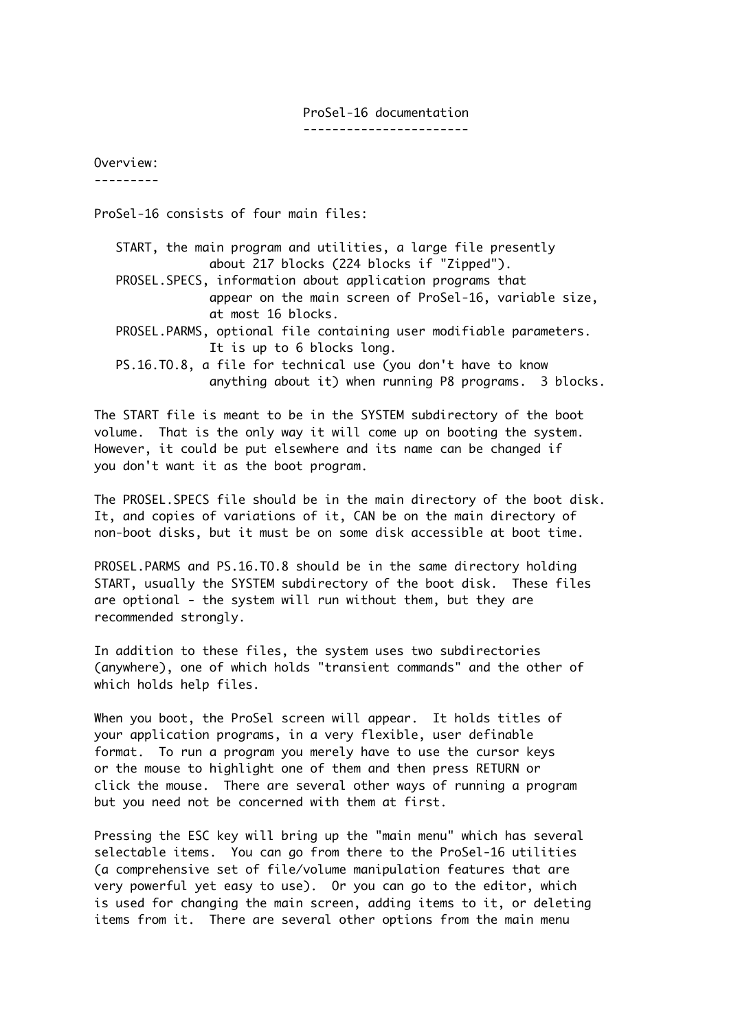### ProSel-16 documentation

-----------------------

Overview:

---------

ProSel-16 consists of four main files:

 START, the main program and utilities, a large file presently about 217 blocks (224 blocks if "Zipped"). PROSEL.SPECS, information about application programs that appear on the main screen of ProSel-16, variable size, at most 16 blocks. PROSEL.PARMS, optional file containing user modifiable parameters. It is up to 6 blocks long. PS.16.TO.8, a file for technical use (you don't have to know anything about it) when running P8 programs. 3 blocks.

The START file is meant to be in the SYSTEM subdirectory of the boot volume. That is the only way it will come up on booting the system. However, it could be put elsewhere and its name can be changed if you don't want it as the boot program.

The PROSEL.SPECS file should be in the main directory of the boot disk. It, and copies of variations of it, CAN be on the main directory of non-boot disks, but it must be on some disk accessible at boot time.

PROSEL.PARMS and PS.16.TO.8 should be in the same directory holding START, usually the SYSTEM subdirectory of the boot disk. These files are optional - the system will run without them, but they are recommended strongly.

In addition to these files, the system uses two subdirectories (anywhere), one of which holds "transient commands" and the other of which holds help files.

When you boot, the ProSel screen will appear. It holds titles of your application programs, in a very flexible, user definable format. To run a program you merely have to use the cursor keys or the mouse to highlight one of them and then press RETURN or click the mouse. There are several other ways of running a program but you need not be concerned with them at first.

Pressing the ESC key will bring up the "main menu" which has several selectable items. You can go from there to the ProSel-16 utilities (a comprehensive set of file/volume manipulation features that are very powerful yet easy to use). Or you can go to the editor, which is used for changing the main screen, adding items to it, or deleting items from it. There are several other options from the main menu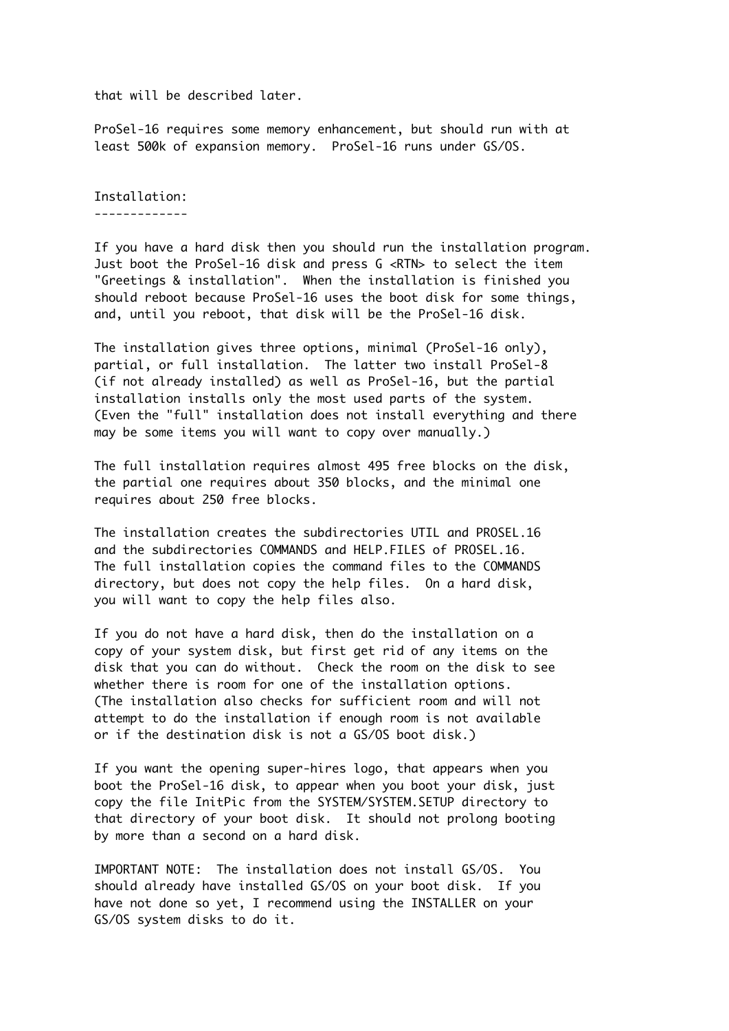that will be described later.

ProSel-16 requires some memory enhancement, but should run with at least 500k of expansion memory. ProSel-16 runs under GS/OS.

Installation: -------------

If you have a hard disk then you should run the installation program. Just boot the ProSel-16 disk and press G <RTN> to select the item "Greetings & installation". When the installation is finished you should reboot because ProSel-16 uses the boot disk for some things, and, until you reboot, that disk will be the ProSel-16 disk.

The installation gives three options, minimal (ProSel-16 only), partial, or full installation. The latter two install ProSel-8 (if not already installed) as well as ProSel-16, but the partial installation installs only the most used parts of the system. (Even the "full" installation does not install everything and there may be some items you will want to copy over manually.)

The full installation requires almost 495 free blocks on the disk, the partial one requires about 350 blocks, and the minimal one requires about 250 free blocks.

The installation creates the subdirectories UTIL and PROSEL.16 and the subdirectories COMMANDS and HELP.FILES of PROSEL.16. The full installation copies the command files to the COMMANDS directory, but does not copy the help files. On a hard disk, you will want to copy the help files also.

If you do not have a hard disk, then do the installation on a copy of your system disk, but first get rid of any items on the disk that you can do without. Check the room on the disk to see whether there is room for one of the installation options. (The installation also checks for sufficient room and will not attempt to do the installation if enough room is not available or if the destination disk is not a GS/OS boot disk.)

If you want the opening super-hires logo, that appears when you boot the ProSel-16 disk, to appear when you boot your disk, just copy the file InitPic from the SYSTEM/SYSTEM.SETUP directory to that directory of your boot disk. It should not prolong booting by more than a second on a hard disk.

IMPORTANT NOTE: The installation does not install GS/OS. You should already have installed GS/OS on your boot disk. If you have not done so yet, I recommend using the INSTALLER on your GS/OS system disks to do it.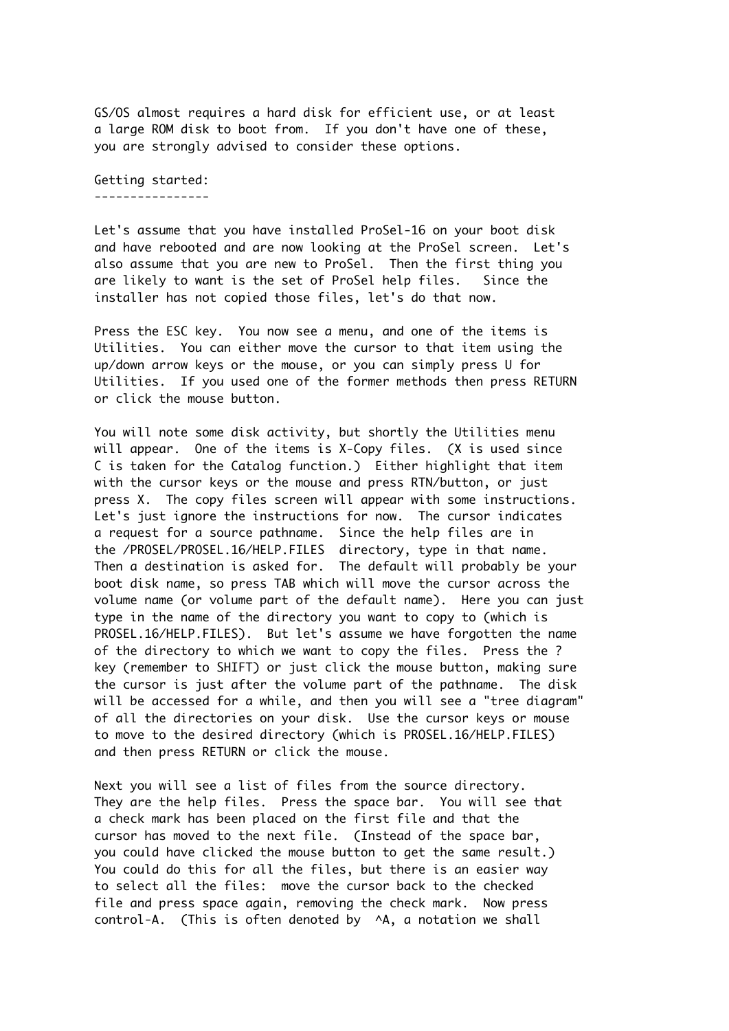GS/OS almost requires a hard disk for efficient use, or at least a large ROM disk to boot from. If you don't have one of these, you are strongly advised to consider these options.

Getting started: ----------------

Let's assume that you have installed ProSel-16 on your boot disk and have rebooted and are now looking at the ProSel screen. Let's also assume that you are new to ProSel. Then the first thing you are likely to want is the set of ProSel help files. Since the installer has not copied those files, let's do that now.

Press the ESC key. You now see a menu, and one of the items is Utilities. You can either move the cursor to that item using the up/down arrow keys or the mouse, or you can simply press U for Utilities. If you used one of the former methods then press RETURN or click the mouse button.

You will note some disk activity, but shortly the Utilities menu will appear. One of the items is X-Copy files. (X is used since C is taken for the Catalog function.) Either highlight that item with the cursor keys or the mouse and press RTN/button, or just press X. The copy files screen will appear with some instructions. Let's just ignore the instructions for now. The cursor indicates a request for a source pathname. Since the help files are in the /PROSEL/PROSEL.16/HELP.FILES directory, type in that name. Then a destination is asked for. The default will probably be your boot disk name, so press TAB which will move the cursor across the volume name (or volume part of the default name). Here you can just type in the name of the directory you want to copy to (which is PROSEL.16/HELP.FILES). But let's assume we have forgotten the name of the directory to which we want to copy the files. Press the ? key (remember to SHIFT) or just click the mouse button, making sure the cursor is just after the volume part of the pathname. The disk will be accessed for a while, and then you will see a "tree diagram" of all the directories on your disk. Use the cursor keys or mouse to move to the desired directory (which is PROSEL.16/HELP.FILES) and then press RETURN or click the mouse.

Next you will see a list of files from the source directory. They are the help files. Press the space bar. You will see that a check mark has been placed on the first file and that the cursor has moved to the next file. (Instead of the space bar, you could have clicked the mouse button to get the same result.) You could do this for all the files, but there is an easier way to select all the files: move the cursor back to the checked file and press space again, removing the check mark. Now press control-A. (This is often denoted by ^A, a notation we shall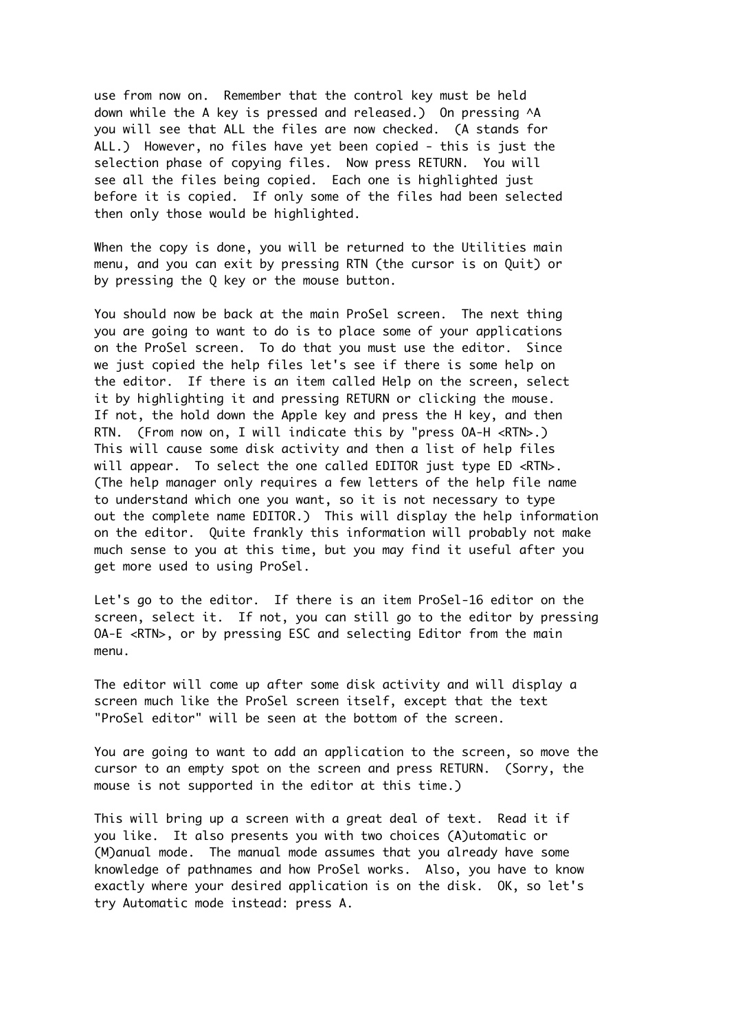use from now on. Remember that the control key must be held down while the A key is pressed and released.) On pressing ^A you will see that ALL the files are now checked. (A stands for ALL.) However, no files have yet been copied - this is just the selection phase of copying files. Now press RETURN. You will see all the files being copied. Each one is highlighted just before it is copied. If only some of the files had been selected then only those would be highlighted.

When the copy is done, you will be returned to the Utilities main menu, and you can exit by pressing RTN (the cursor is on Quit) or by pressing the Q key or the mouse button.

You should now be back at the main ProSel screen. The next thing you are going to want to do is to place some of your applications on the ProSel screen. To do that you must use the editor. Since we just copied the help files let's see if there is some help on the editor. If there is an item called Help on the screen, select it by highlighting it and pressing RETURN or clicking the mouse. If not, the hold down the Apple key and press the H key, and then RTN. (From now on, I will indicate this by "press OA-H <RTN>.) This will cause some disk activity and then a list of help files will appear. To select the one called EDITOR just type ED <RTN>. (The help manager only requires a few letters of the help file name to understand which one you want, so it is not necessary to type out the complete name EDITOR.) This will display the help information on the editor. Quite frankly this information will probably not make much sense to you at this time, but you may find it useful after you get more used to using ProSel.

Let's go to the editor. If there is an item ProSel-16 editor on the screen, select it. If not, you can still go to the editor by pressing OA-E <RTN>, or by pressing ESC and selecting Editor from the main menu.

The editor will come up after some disk activity and will display a screen much like the ProSel screen itself, except that the text "ProSel editor" will be seen at the bottom of the screen.

You are going to want to add an application to the screen, so move the cursor to an empty spot on the screen and press RETURN. (Sorry, the mouse is not supported in the editor at this time.)

This will bring up a screen with a great deal of text. Read it if you like. It also presents you with two choices (A)utomatic or (M)anual mode. The manual mode assumes that you already have some knowledge of pathnames and how ProSel works. Also, you have to know exactly where your desired application is on the disk. OK, so let's try Automatic mode instead: press A.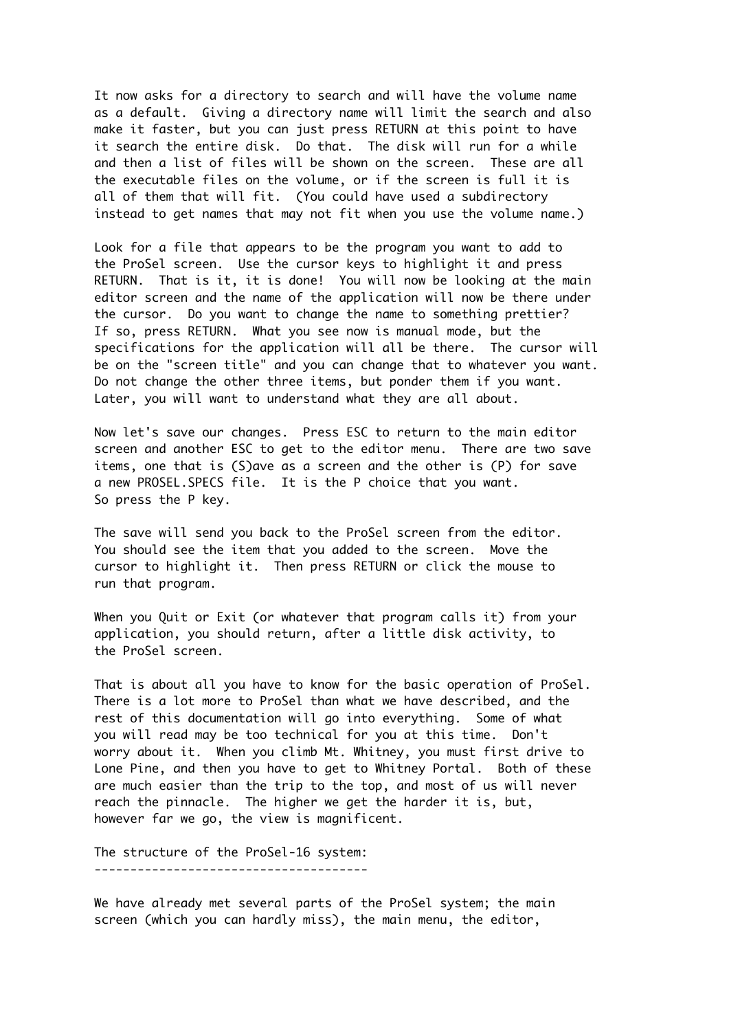It now asks for a directory to search and will have the volume name as a default. Giving a directory name will limit the search and also make it faster, but you can just press RETURN at this point to have it search the entire disk. Do that. The disk will run for a while and then a list of files will be shown on the screen. These are all the executable files on the volume, or if the screen is full it is all of them that will fit. (You could have used a subdirectory instead to get names that may not fit when you use the volume name.)

Look for a file that appears to be the program you want to add to the ProSel screen. Use the cursor keys to highlight it and press RETURN. That is it, it is done! You will now be looking at the main editor screen and the name of the application will now be there under the cursor. Do you want to change the name to something prettier? If so, press RETURN. What you see now is manual mode, but the specifications for the application will all be there. The cursor will be on the "screen title" and you can change that to whatever you want. Do not change the other three items, but ponder them if you want. Later, you will want to understand what they are all about.

Now let's save our changes. Press ESC to return to the main editor screen and another ESC to get to the editor menu. There are two save items, one that is (S)ave as a screen and the other is (P) for save a new PROSEL.SPECS file. It is the P choice that you want. So press the P key.

The save will send you back to the ProSel screen from the editor. You should see the item that you added to the screen. Move the cursor to highlight it. Then press RETURN or click the mouse to run that program.

When you Quit or Exit (or whatever that program calls it) from your application, you should return, after a little disk activity, to the ProSel screen.

That is about all you have to know for the basic operation of ProSel. There is a lot more to ProSel than what we have described, and the rest of this documentation will go into everything. Some of what you will read may be too technical for you at this time. Don't worry about it. When you climb Mt. Whitney, you must first drive to Lone Pine, and then you have to get to Whitney Portal. Both of these are much easier than the trip to the top, and most of us will never reach the pinnacle. The higher we get the harder it is, but, however far we go, the view is magnificent.

The structure of the ProSel-16 system: --------------------------------------

We have already met several parts of the ProSel system; the main screen (which you can hardly miss), the main menu, the editor,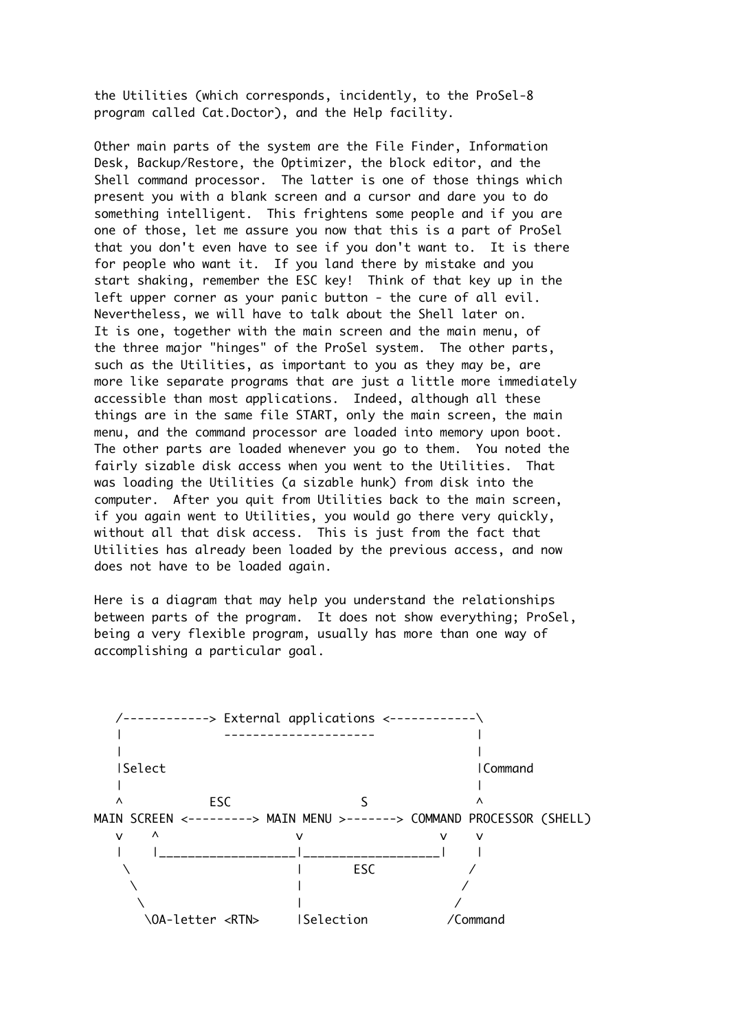the Utilities (which corresponds, incidently, to the ProSel-8 program called Cat.Doctor), and the Help facility.

Other main parts of the system are the File Finder, Information Desk, Backup/Restore, the Optimizer, the block editor, and the Shell command processor. The latter is one of those things which present you with a blank screen and a cursor and dare you to do something intelligent. This frightens some people and if you are one of those, let me assure you now that this is a part of ProSel that you don't even have to see if you don't want to. It is there for people who want it. If you land there by mistake and you start shaking, remember the ESC key! Think of that key up in the left upper corner as your panic button - the cure of all evil. Nevertheless, we will have to talk about the Shell later on. It is one, together with the main screen and the main menu, of the three major "hinges" of the ProSel system. The other parts, such as the Utilities, as important to you as they may be, are more like separate programs that are just a little more immediately accessible than most applications. Indeed, although all these things are in the same file START, only the main screen, the main menu, and the command processor are loaded into memory upon boot. The other parts are loaded whenever you go to them. You noted the fairly sizable disk access when you went to the Utilities. That was loading the Utilities (a sizable hunk) from disk into the computer. After you quit from Utilities back to the main screen, if you again went to Utilities, you would go there very quickly, without all that disk access. This is just from the fact that Utilities has already been loaded by the previous access, and now does not have to be loaded again.

Here is a diagram that may help you understand the relationships between parts of the program. It does not show everything; ProSel, being a very flexible program, usually has more than one way of accomplishing a particular goal.

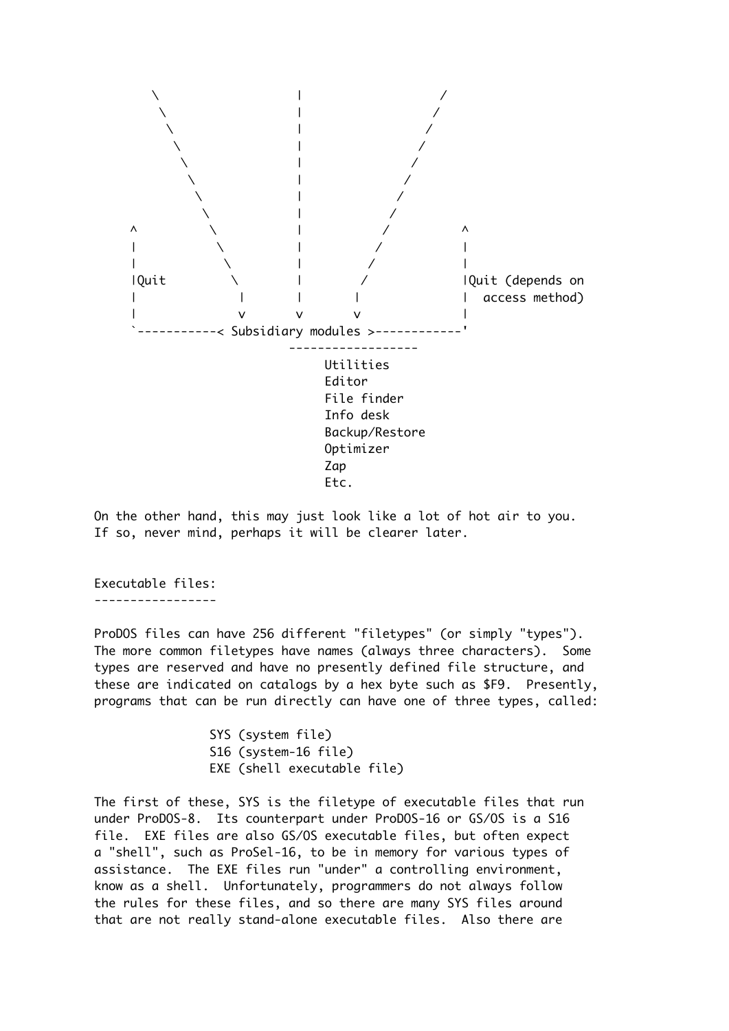

On the other hand, this may just look like a lot of hot air to you. If so, never mind, perhaps it will be clearer later.

Executable files: -----------------

ProDOS files can have 256 different "filetypes" (or simply "types"). The more common filetypes have names (always three characters). Some types are reserved and have no presently defined file structure, and these are indicated on catalogs by a hex byte such as \$F9. Presently, programs that can be run directly can have one of three types, called:

> SYS (system file) S16 (system-16 file) EXE (shell executable file)

The first of these, SYS is the filetype of executable files that run under ProDOS-8. Its counterpart under ProDOS-16 or GS/OS is a S16 file. EXE files are also GS/OS executable files, but often expect a "shell", such as ProSel-16, to be in memory for various types of assistance. The EXE files run "under" a controlling environment, know as a shell. Unfortunately, programmers do not always follow the rules for these files, and so there are many SYS files around that are not really stand-alone executable files. Also there are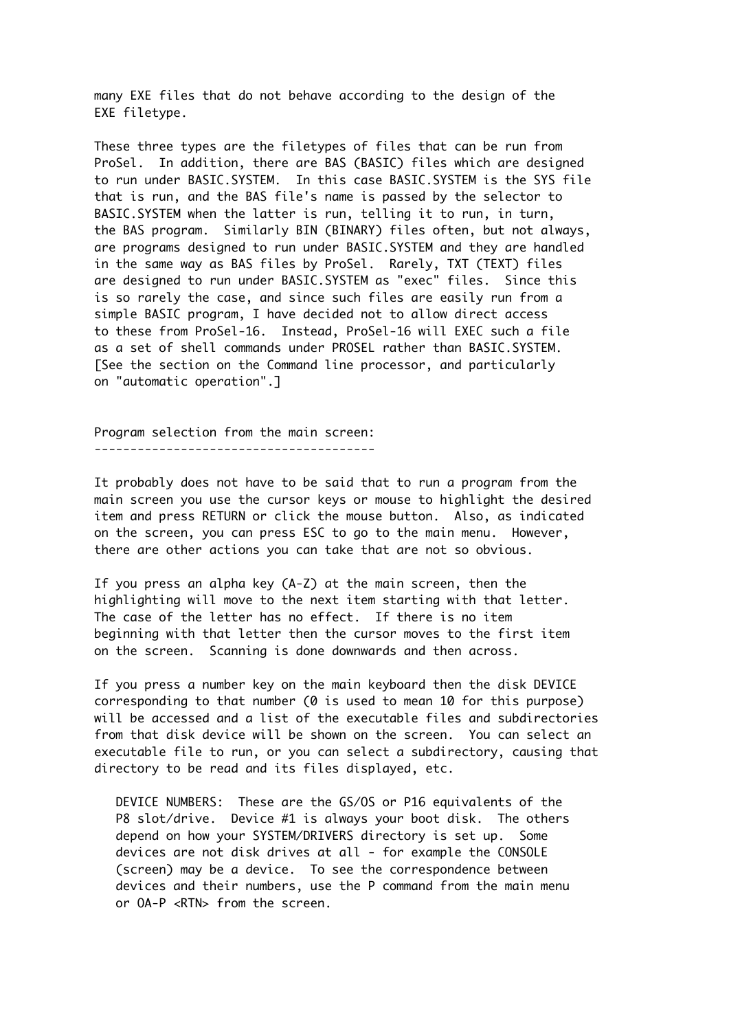many EXE files that do not behave according to the design of the EXE filetype.

These three types are the filetypes of files that can be run from ProSel. In addition, there are BAS (BASIC) files which are designed to run under BASIC.SYSTEM. In this case BASIC.SYSTEM is the SYS file that is run, and the BAS file's name is passed by the selector to BASIC.SYSTEM when the latter is run, telling it to run, in turn, the BAS program. Similarly BIN (BINARY) files often, but not always, are programs designed to run under BASIC.SYSTEM and they are handled in the same way as BAS files by ProSel. Rarely, TXT (TEXT) files are designed to run under BASIC.SYSTEM as "exec" files. Since this is so rarely the case, and since such files are easily run from a simple BASIC program, I have decided not to allow direct access to these from ProSel-16. Instead, ProSel-16 will EXEC such a file as a set of shell commands under PROSEL rather than BASIC.SYSTEM. [See the section on the Command line processor, and particularly on "automatic operation".]

Program selection from the main screen: ---------------------------------------

It probably does not have to be said that to run a program from the main screen you use the cursor keys or mouse to highlight the desired item and press RETURN or click the mouse button. Also, as indicated on the screen, you can press ESC to go to the main menu. However, there are other actions you can take that are not so obvious.

If you press an alpha key (A-Z) at the main screen, then the highlighting will move to the next item starting with that letter. The case of the letter has no effect. If there is no item beginning with that letter then the cursor moves to the first item on the screen. Scanning is done downwards and then across.

If you press a number key on the main keyboard then the disk DEVICE corresponding to that number (0 is used to mean 10 for this purpose) will be accessed and a list of the executable files and subdirectories from that disk device will be shown on the screen. You can select an executable file to run, or you can select a subdirectory, causing that directory to be read and its files displayed, etc.

 DEVICE NUMBERS: These are the GS/OS or P16 equivalents of the P8 slot/drive. Device #1 is always your boot disk. The others depend on how your SYSTEM/DRIVERS directory is set up. Some devices are not disk drives at all - for example the CONSOLE (screen) may be a device. To see the correspondence between devices and their numbers, use the P command from the main menu or OA-P <RTN> from the screen.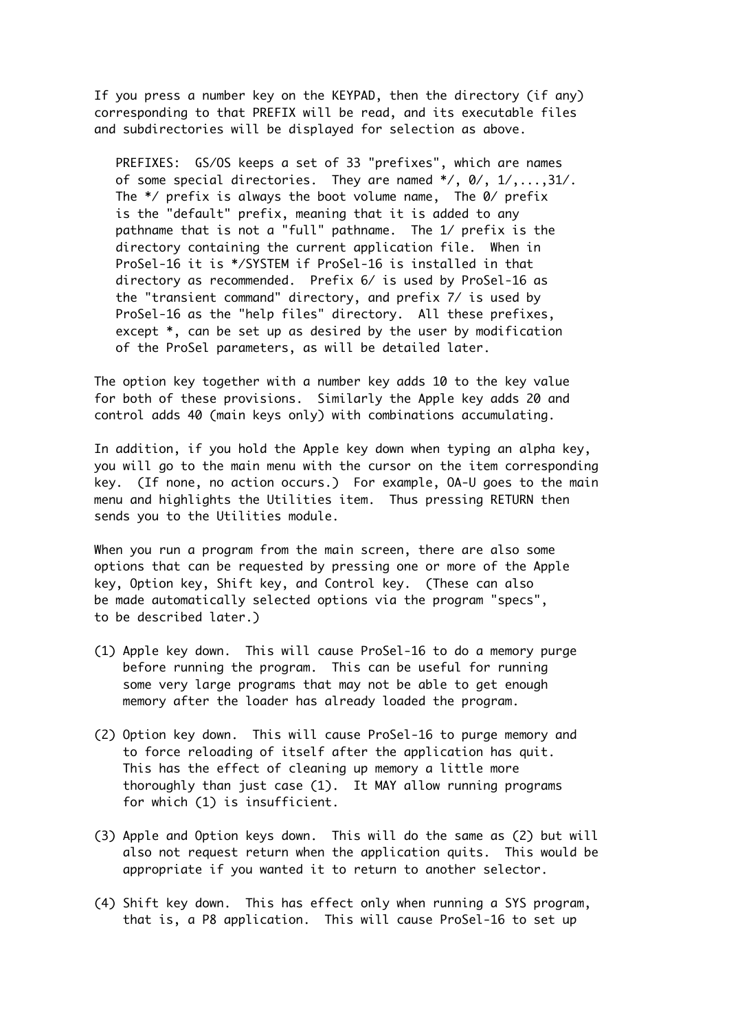If you press a number key on the KEYPAD, then the directory (if any) corresponding to that PREFIX will be read, and its executable files and subdirectories will be displayed for selection as above.

 PREFIXES: GS/OS keeps a set of 33 "prefixes", which are names of some special directories. They are named \*/, 0/, 1/,...,31/. The \*/ prefix is always the boot volume name, The 0/ prefix is the "default" prefix, meaning that it is added to any pathname that is not a "full" pathname. The 1/ prefix is the directory containing the current application file. When in ProSel-16 it is \*/SYSTEM if ProSel-16 is installed in that directory as recommended. Prefix 6/ is used by ProSel-16 as the "transient command" directory, and prefix 7/ is used by ProSel-16 as the "help files" directory. All these prefixes, except \*, can be set up as desired by the user by modification of the ProSel parameters, as will be detailed later.

The option key together with a number key adds 10 to the key value for both of these provisions. Similarly the Apple key adds 20 and control adds 40 (main keys only) with combinations accumulating.

In addition, if you hold the Apple key down when typing an alpha key, you will go to the main menu with the cursor on the item corresponding key. (If none, no action occurs.) For example, OA-U goes to the main menu and highlights the Utilities item. Thus pressing RETURN then sends you to the Utilities module.

When you run a program from the main screen, there are also some options that can be requested by pressing one or more of the Apple key, Option key, Shift key, and Control key. (These can also be made automatically selected options via the program "specs", to be described later.)

- (1) Apple key down. This will cause ProSel-16 to do a memory purge before running the program. This can be useful for running some very large programs that may not be able to get enough memory after the loader has already loaded the program.
- (2) Option key down. This will cause ProSel-16 to purge memory and to force reloading of itself after the application has quit. This has the effect of cleaning up memory a little more thoroughly than just case (1). It MAY allow running programs for which (1) is insufficient.
- (3) Apple and Option keys down. This will do the same as (2) but will also not request return when the application quits. This would be appropriate if you wanted it to return to another selector.
- (4) Shift key down. This has effect only when running a SYS program, that is, a P8 application. This will cause ProSel-16 to set up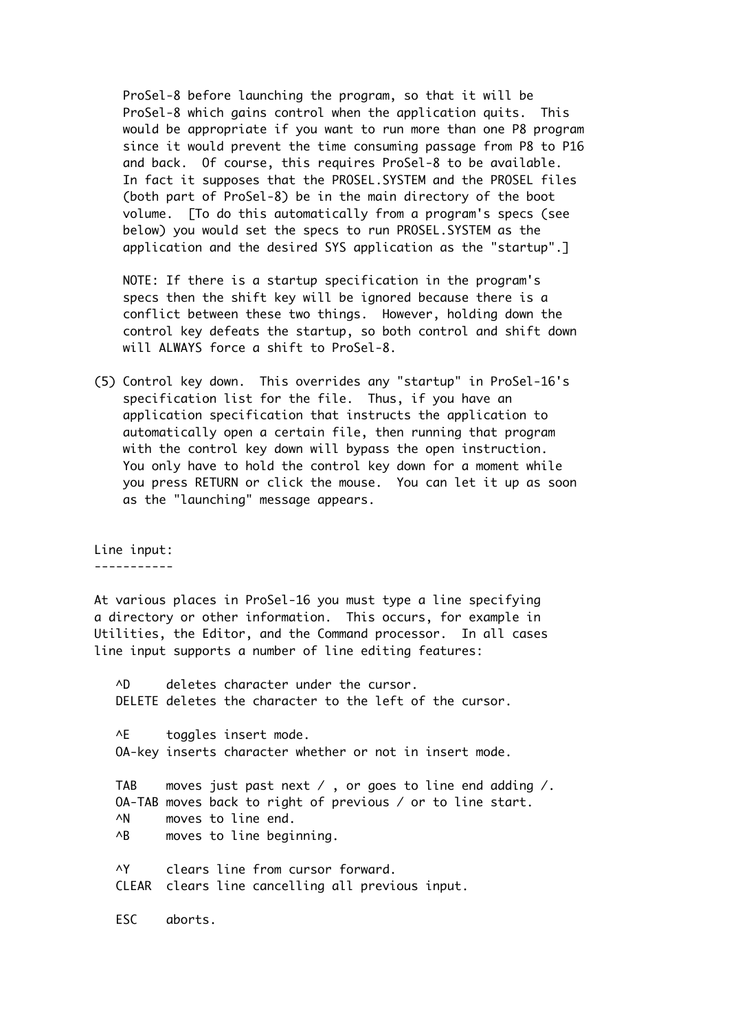ProSel-8 before launching the program, so that it will be ProSel-8 which gains control when the application quits. This would be appropriate if you want to run more than one P8 program since it would prevent the time consuming passage from P8 to P16 and back. Of course, this requires ProSel-8 to be available. In fact it supposes that the PROSEL.SYSTEM and the PROSEL files (both part of ProSel-8) be in the main directory of the boot volume. [To do this automatically from a program's specs (see below) you would set the specs to run PROSEL.SYSTEM as the application and the desired SYS application as the "startup".]

 NOTE: If there is a startup specification in the program's specs then the shift key will be ignored because there is a conflict between these two things. However, holding down the control key defeats the startup, so both control and shift down will ALWAYS force a shift to ProSel-8.

(5) Control key down. This overrides any "startup" in ProSel-16's specification list for the file. Thus, if you have an application specification that instructs the application to automatically open a certain file, then running that program with the control key down will bypass the open instruction. You only have to hold the control key down for a moment while you press RETURN or click the mouse. You can let it up as soon as the "launching" message appears.

Line input: -----------

At various places in ProSel-16 you must type a line specifying a directory or other information. This occurs, for example in Utilities, the Editor, and the Command processor. In all cases line input supports a number of line editing features:

 ^D deletes character under the cursor. DELETE deletes the character to the left of the cursor. ^E toggles insert mode. OA-key inserts character whether or not in insert mode. TAB moves just past next / , or goes to line end adding /. OA-TAB moves back to right of previous / or to line start. ^N moves to line end. ^B moves to line beginning. ^Y clears line from cursor forward. CLEAR clears line cancelling all previous input. ESC aborts.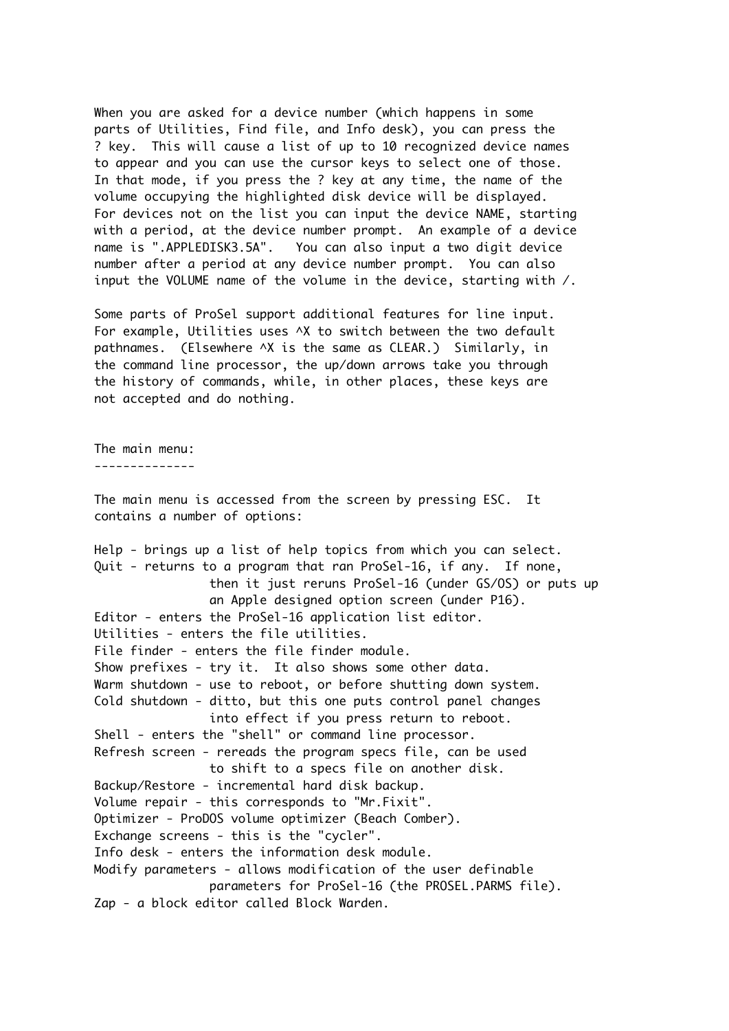When you are asked for a device number (which happens in some parts of Utilities, Find file, and Info desk), you can press the ? key. This will cause a list of up to 10 recognized device names to appear and you can use the cursor keys to select one of those. In that mode, if you press the ? key at any time, the name of the volume occupying the highlighted disk device will be displayed. For devices not on the list you can input the device NAME, starting with a period, at the device number prompt. An example of a device name is ".APPLEDISK3.5A". You can also input a two digit device number after a period at any device number prompt. You can also input the VOLUME name of the volume in the device, starting with /.

Some parts of ProSel support additional features for line input. For example, Utilities uses ^X to switch between the two default pathnames. (Elsewhere ^X is the same as CLEAR.) Similarly, in the command line processor, the up/down arrows take you through the history of commands, while, in other places, these keys are not accepted and do nothing.

The main menu:

--------------

The main menu is accessed from the screen by pressing ESC. It contains a number of options:

Help - brings up a list of help topics from which you can select. Quit - returns to a program that ran ProSel-16, if any. If none, then it just reruns ProSel-16 (under GS/OS) or puts up an Apple designed option screen (under P16). Editor - enters the ProSel-16 application list editor. Utilities - enters the file utilities. File finder - enters the file finder module. Show prefixes - try it. It also shows some other data. Warm shutdown - use to reboot, or before shutting down system. Cold shutdown - ditto, but this one puts control panel changes into effect if you press return to reboot. Shell - enters the "shell" or command line processor. Refresh screen - rereads the program specs file, can be used to shift to a specs file on another disk. Backup/Restore - incremental hard disk backup. Volume repair - this corresponds to "Mr.Fixit". Optimizer - ProDOS volume optimizer (Beach Comber). Exchange screens - this is the "cycler". Info desk - enters the information desk module. Modify parameters - allows modification of the user definable parameters for ProSel-16 (the PROSEL.PARMS file). Zap - a block editor called Block Warden.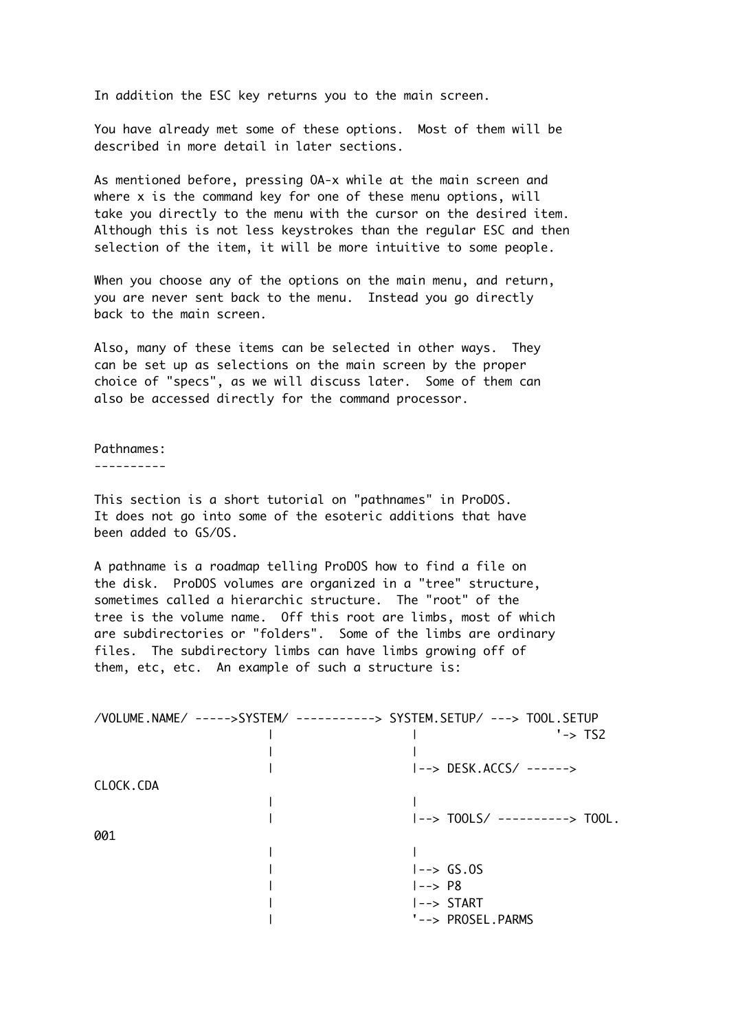In addition the ESC key returns you to the main screen.

You have already met some of these options. Most of them will be described in more detail in later sections.

As mentioned before, pressing OA-x while at the main screen and where x is the command key for one of these menu options, will take you directly to the menu with the cursor on the desired item. Although this is not less keystrokes than the regular ESC and then selection of the item, it will be more intuitive to some people.

When you choose any of the options on the main menu, and return, you are never sent back to the menu. Instead you go directly back to the main screen.

Also, many of these items can be selected in other ways. They can be set up as selections on the main screen by the proper choice of "specs", as we will discuss later. Some of them can also be accessed directly for the command processor.

#### Pathnames:

----------

This section is a short tutorial on "pathnames" in ProDOS. It does not go into some of the esoteric additions that have been added to GS/OS.

A pathname is a roadmap telling ProDOS how to find a file on the disk. ProDOS volumes are organized in a "tree" structure, sometimes called a hierarchic structure. The "root" of the tree is the volume name. Off this root are limbs, most of which are subdirectories or "folders". Some of the limbs are ordinary files. The subdirectory limbs can have limbs growing off of them, etc, etc. An example of such a structure is:

| $' \rightarrow T$<br> --> DESK.ACCS/ ------><br>CLOCK.CDA<br>$ --\rangle$ TOOLS/ ----------> TOOL.<br>001<br>$ --\rangle$ GS.0S | /VOLUME.NAME/ ----->SYSTEM/ ----------> SYSTEM.SETUP/ ---> TOOL.SETUP |  |  |  |
|---------------------------------------------------------------------------------------------------------------------------------|-----------------------------------------------------------------------|--|--|--|
|                                                                                                                                 |                                                                       |  |  |  |
|                                                                                                                                 |                                                                       |  |  |  |
|                                                                                                                                 |                                                                       |  |  |  |
|                                                                                                                                 |                                                                       |  |  |  |
|                                                                                                                                 |                                                                       |  |  |  |
|                                                                                                                                 |                                                                       |  |  |  |
|                                                                                                                                 |                                                                       |  |  |  |
|                                                                                                                                 |                                                                       |  |  |  |
|                                                                                                                                 |                                                                       |  |  |  |
| $ --\rangle$ P8                                                                                                                 |                                                                       |  |  |  |
| $ --\rangle$ START                                                                                                              |                                                                       |  |  |  |
| '--> PROSEL.PARMS                                                                                                               |                                                                       |  |  |  |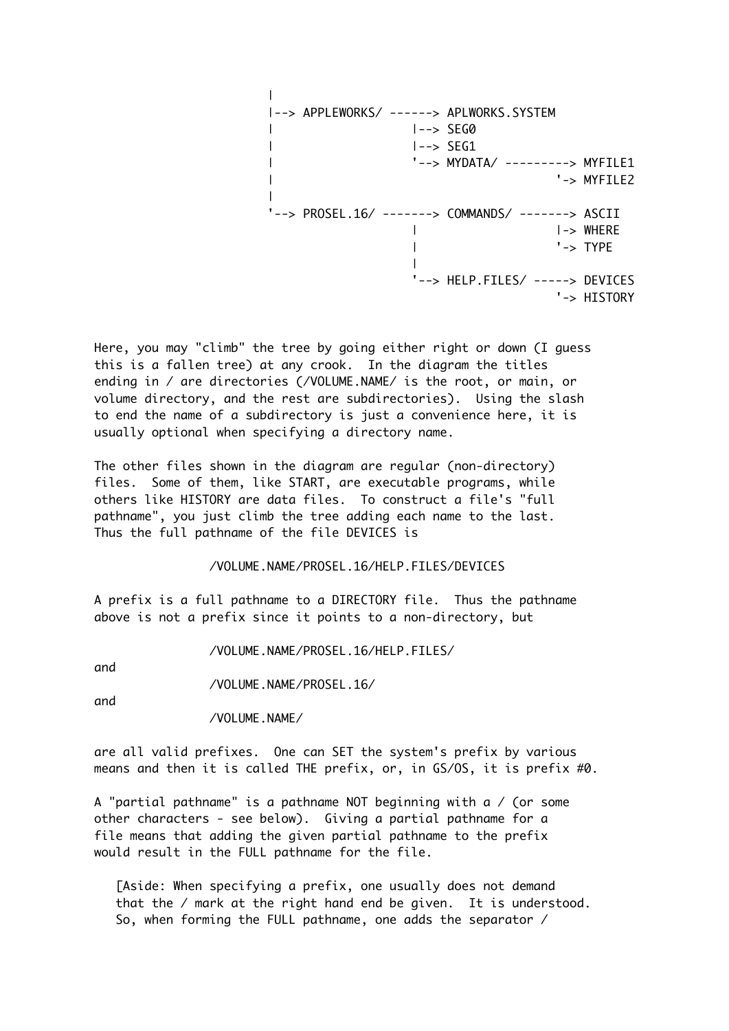```
\blacksquare|--> APPLEWORKS/ ------> APLWORKS.SYSTEM
| |--> SEG0
| |--> SEG1
| '--> MYDATA/ ---------> MYFILE1
| '-> MYFILE2
|
'--> PROSEL.16/ -------> COMMANDS/ -------> ASCII
              | |-> WHERE
               | '-> TYPE
              \blacksquare '--> HELP.FILES/ -----> DEVICES
                            '-> HISTORY
```
Here, you may "climb" the tree by going either right or down (I guess this is a fallen tree) at any crook. In the diagram the titles ending in / are directories (/VOLUME.NAME/ is the root, or main, or volume directory, and the rest are subdirectories). Using the slash to end the name of a subdirectory is just a convenience here, it is usually optional when specifying a directory name.

The other files shown in the diagram are regular (non-directory) files. Some of them, like START, are executable programs, while others like HISTORY are data files. To construct a file's "full pathname", you just climb the tree adding each name to the last. Thus the full pathname of the file DEVICES is

/VOLUME.NAME/PROSEL.16/HELP.FILES/DEVICES

A prefix is a full pathname to a DIRECTORY file. Thus the pathname above is not a prefix since it points to a non-directory, but

/VOLUME.NAME/PROSEL.16/HELP.FILES/

and

/VOLUME.NAME/PROSEL.16/

and

/VOLUME.NAME/

are all valid prefixes. One can SET the system's prefix by various means and then it is called THE prefix, or, in GS/OS, it is prefix #0.

A "partial pathname" is a pathname NOT beginning with a  $/$  (or some other characters - see below). Giving a partial pathname for a file means that adding the given partial pathname to the prefix would result in the FULL pathname for the file.

 [Aside: When specifying a prefix, one usually does not demand that the / mark at the right hand end be given. It is understood. So, when forming the FULL pathname, one adds the separator /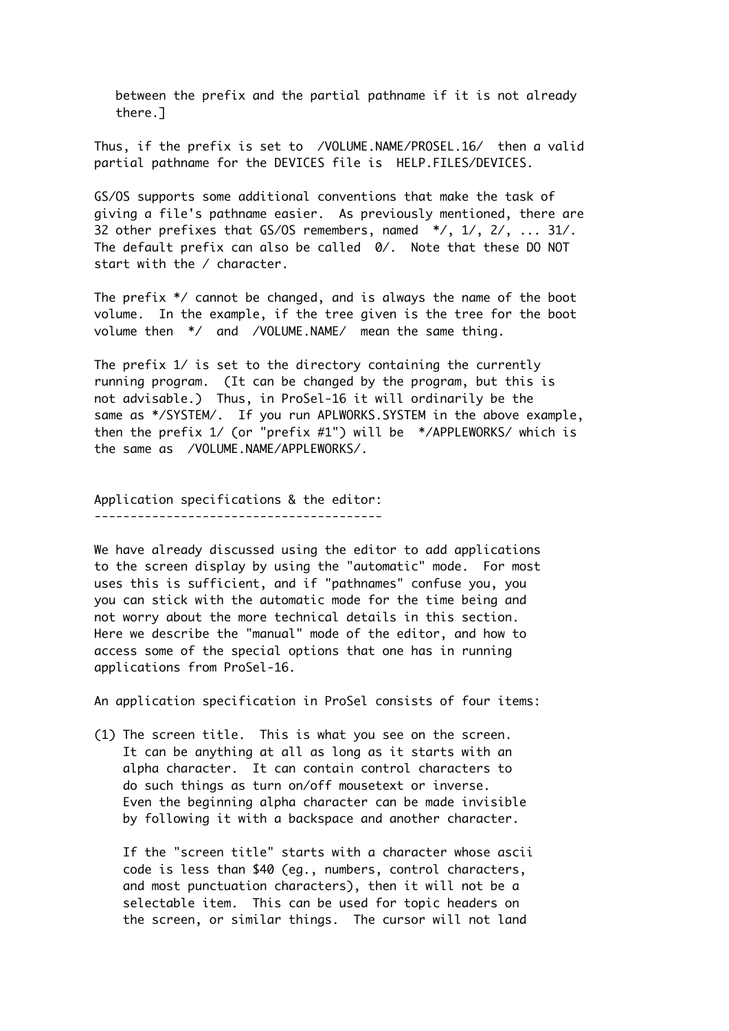between the prefix and the partial pathname if it is not already there.]

Thus, if the prefix is set to /VOLUME.NAME/PROSEL.16/ then a valid partial pathname for the DEVICES file is HELP.FILES/DEVICES.

GS/OS supports some additional conventions that make the task of giving a file's pathname easier. As previously mentioned, there are 32 other prefixes that GS/OS remembers, named \*/, 1/, 2/, ... 31/. The default prefix can also be called 0/. Note that these DO NOT start with the / character.

The prefix \*/ cannot be changed, and is always the name of the boot volume. In the example, if the tree given is the tree for the boot volume then \*/ and /VOLUME.NAME/ mean the same thing.

The prefix 1/ is set to the directory containing the currently running program. (It can be changed by the program, but this is not advisable.) Thus, in ProSel-16 it will ordinarily be the same as \*/SYSTEM/. If you run APLWORKS.SYSTEM in the above example, then the prefix 1/ (or "prefix #1") will be \*/APPLEWORKS/ which is the same as /VOLUME.NAME/APPLEWORKS/.

Application specifications & the editor:

----------------------------------------

We have already discussed using the editor to add applications to the screen display by using the "automatic" mode. For most uses this is sufficient, and if "pathnames" confuse you, you you can stick with the automatic mode for the time being and not worry about the more technical details in this section. Here we describe the "manual" mode of the editor, and how to access some of the special options that one has in running applications from ProSel-16.

An application specification in ProSel consists of four items:

(1) The screen title. This is what you see on the screen. It can be anything at all as long as it starts with an alpha character. It can contain control characters to do such things as turn on/off mousetext or inverse. Even the beginning alpha character can be made invisible by following it with a backspace and another character.

 If the "screen title" starts with a character whose ascii code is less than \$40 (eg., numbers, control characters, and most punctuation characters), then it will not be a selectable item. This can be used for topic headers on the screen, or similar things. The cursor will not land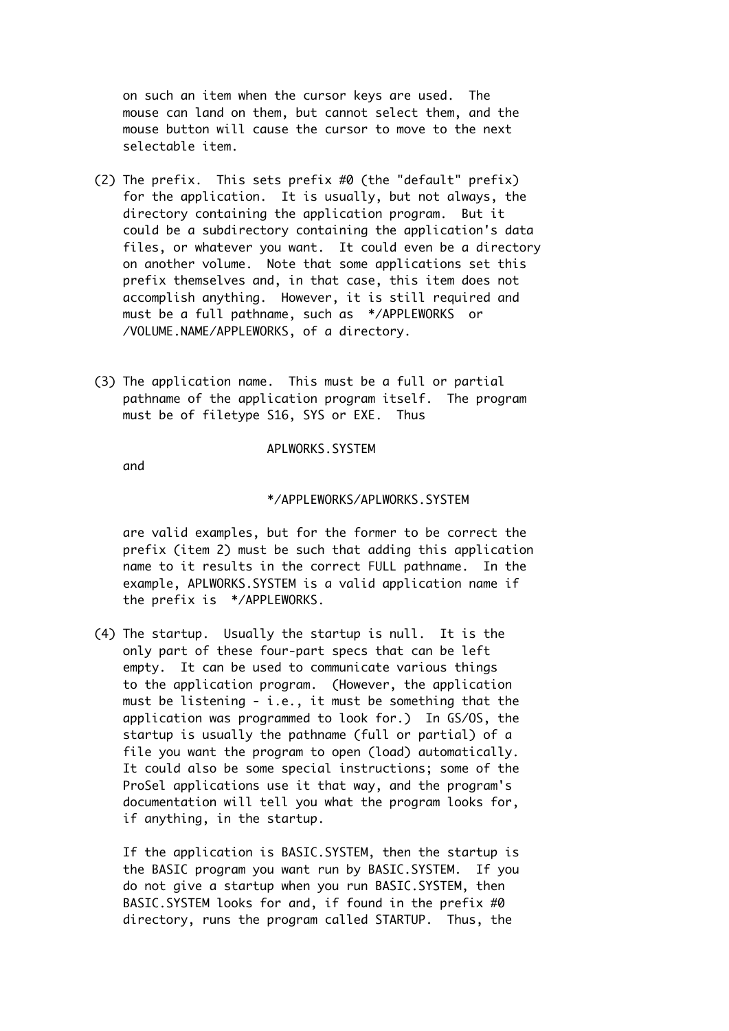on such an item when the cursor keys are used. The mouse can land on them, but cannot select them, and the mouse button will cause the cursor to move to the next selectable item.

- (2) The prefix. This sets prefix #0 (the "default" prefix) for the application. It is usually, but not always, the directory containing the application program. But it could be a subdirectory containing the application's data files, or whatever you want. It could even be a directory on another volume. Note that some applications set this prefix themselves and, in that case, this item does not accomplish anything. However, it is still required and must be a full pathname, such as \*/APPLEWORKS or /VOLUME.NAME/APPLEWORKS, of a directory.
- (3) The application name. This must be a full or partial pathname of the application program itself. The program must be of filetype S16, SYS or EXE. Thus

## APLWORKS.SYSTEM

and

#### \*/APPLEWORKS/APLWORKS.SYSTEM

 are valid examples, but for the former to be correct the prefix (item 2) must be such that adding this application name to it results in the correct FULL pathname. In the example, APLWORKS.SYSTEM is a valid application name if the prefix is \*/APPLEWORKS.

(4) The startup. Usually the startup is null. It is the only part of these four-part specs that can be left empty. It can be used to communicate various things to the application program. (However, the application must be listening - i.e., it must be something that the application was programmed to look for.) In GS/OS, the startup is usually the pathname (full or partial) of a file you want the program to open (load) automatically. It could also be some special instructions; some of the ProSel applications use it that way, and the program's documentation will tell you what the program looks for, if anything, in the startup.

 If the application is BASIC.SYSTEM, then the startup is the BASIC program you want run by BASIC.SYSTEM. If you do not give a startup when you run BASIC.SYSTEM, then BASIC.SYSTEM looks for and, if found in the prefix #0 directory, runs the program called STARTUP. Thus, the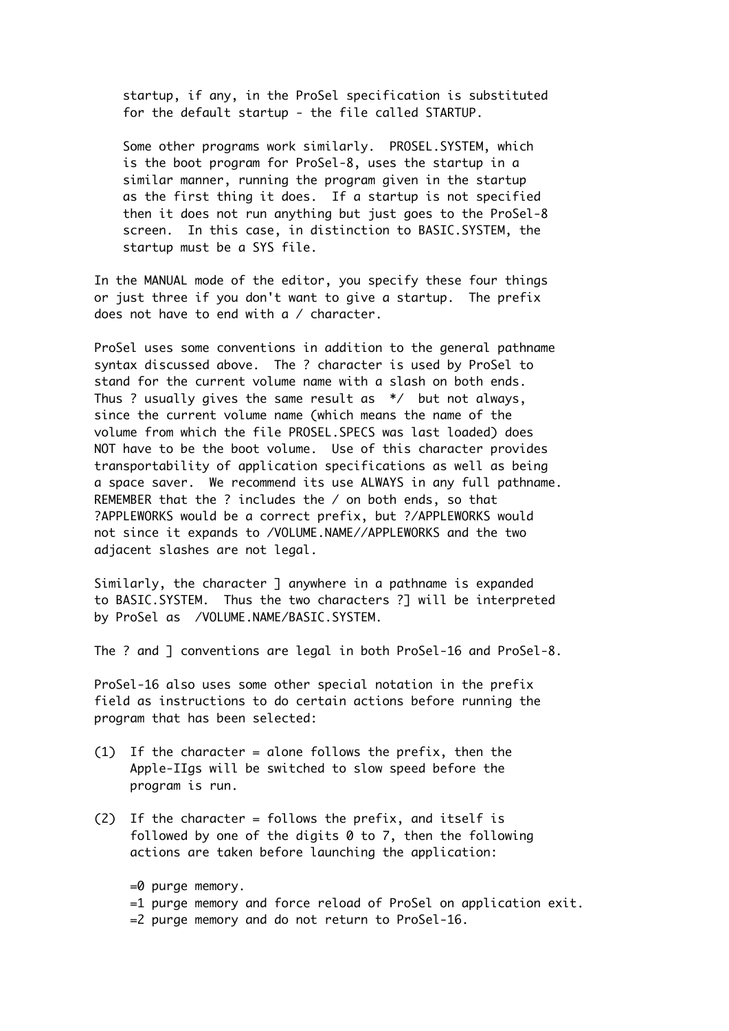startup, if any, in the ProSel specification is substituted for the default startup - the file called STARTUP.

 Some other programs work similarly. PROSEL.SYSTEM, which is the boot program for ProSel-8, uses the startup in a similar manner, running the program given in the startup as the first thing it does. If a startup is not specified then it does not run anything but just goes to the ProSel-8 screen. In this case, in distinction to BASIC.SYSTEM, the startup must be a SYS file.

In the MANUAL mode of the editor, you specify these four things or just three if you don't want to give a startup. The prefix does not have to end with a / character.

ProSel uses some conventions in addition to the general pathname syntax discussed above. The ? character is used by ProSel to stand for the current volume name with a slash on both ends. Thus ? usually gives the same result as \*/ but not always, since the current volume name (which means the name of the volume from which the file PROSEL.SPECS was last loaded) does NOT have to be the boot volume. Use of this character provides transportability of application specifications as well as being a space saver. We recommend its use ALWAYS in any full pathname. REMEMBER that the ? includes the / on both ends, so that ?APPLEWORKS would be a correct prefix, but ?/APPLEWORKS would not since it expands to /VOLUME.NAME//APPLEWORKS and the two adjacent slashes are not legal.

Similarly, the character ] anywhere in a pathname is expanded to BASIC.SYSTEM. Thus the two characters ?] will be interpreted by ProSel as /VOLUME.NAME/BASIC.SYSTEM.

The ? and ] conventions are legal in both ProSel-16 and ProSel-8.

ProSel-16 also uses some other special notation in the prefix field as instructions to do certain actions before running the program that has been selected:

- (1) If the character = alone follows the prefix, then the Apple-IIgs will be switched to slow speed before the program is run.
- (2) If the character = follows the prefix, and itself is followed by one of the digits 0 to 7, then the following actions are taken before launching the application:
	- $=0$  purge memory.
	- =1 purge memory and force reload of ProSel on application exit.
	- =2 purge memory and do not return to ProSel-16.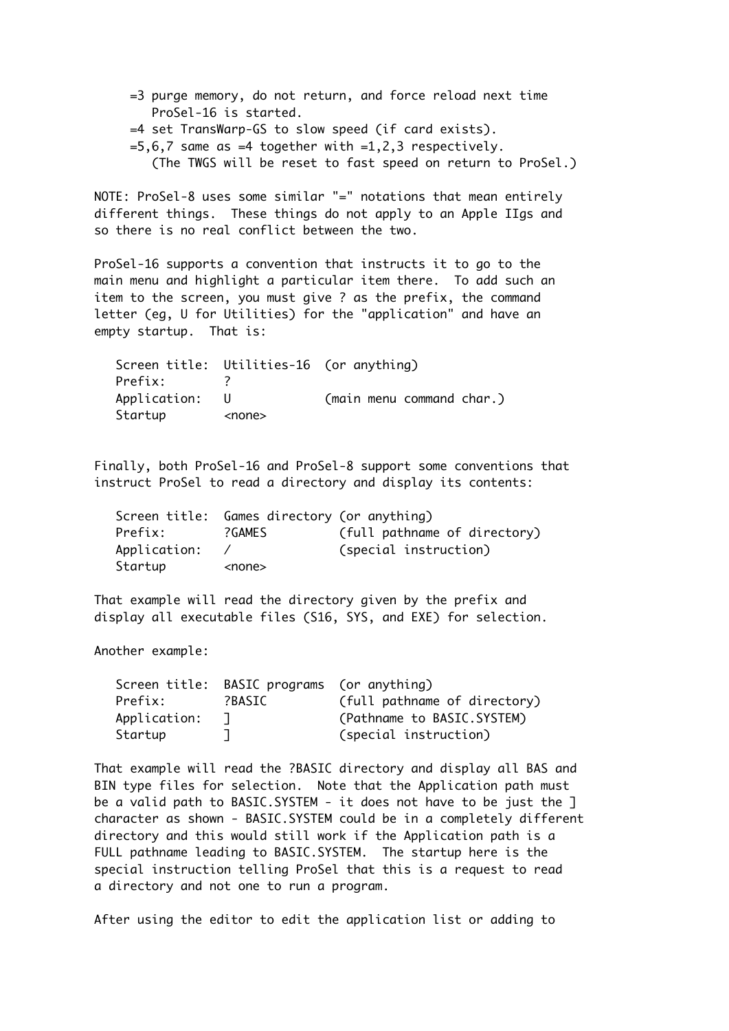- =3 purge memory, do not return, and force reload next time ProSel-16 is started.
- =4 set TransWarp-GS to slow speed (if card exists).
- $=5,6,7$  same as  $=4$  together with  $=1,2,3$  respectively.
	- (The TWGS will be reset to fast speed on return to ProSel.)

NOTE: ProSel-8 uses some similar "=" notations that mean entirely different things. These things do not apply to an Apple IIgs and so there is no real conflict between the two.

ProSel-16 supports a convention that instructs it to go to the main menu and highlight a particular item there. To add such an item to the screen, you must give ? as the prefix, the command letter (eg, U for Utilities) for the "application" and have an empty startup. That is:

| Screen title: Utilities-16 (or anything) |               |                           |
|------------------------------------------|---------------|---------------------------|
| Prefix:                                  |               |                           |
| Application: U                           |               | (main menu command char.) |
| Startup                                  | <none></none> |                           |

Finally, both ProSel-16 and ProSel-8 support some conventions that instruct ProSel to read a directory and display its contents:

|              | Screen title: Games directory (or anything) |                              |
|--------------|---------------------------------------------|------------------------------|
| Prefix:      | ?GAMES                                      | (full pathname of directory) |
| Application: |                                             | (special instruction)        |
| Startup      | <none></none>                               |                              |

That example will read the directory given by the prefix and display all executable files (S16, SYS, and EXE) for selection.

Another example:

|              | Screen title: BASIC programs (or anything) |                              |
|--------------|--------------------------------------------|------------------------------|
| Prefix:      | ?BASIC                                     | (full pathname of directory) |
| Application: |                                            | (Pathname to BASIC.SYSTEM)   |
| Startup      |                                            | (special instruction)        |

That example will read the ?BASIC directory and display all BAS and BIN type files for selection. Note that the Application path must be a valid path to BASIC.SYSTEM - it does not have to be just the ] character as shown - BASIC.SYSTEM could be in a completely different directory and this would still work if the Application path is a FULL pathname leading to BASIC.SYSTEM. The startup here is the special instruction telling ProSel that this is a request to read a directory and not one to run a program.

After using the editor to edit the application list or adding to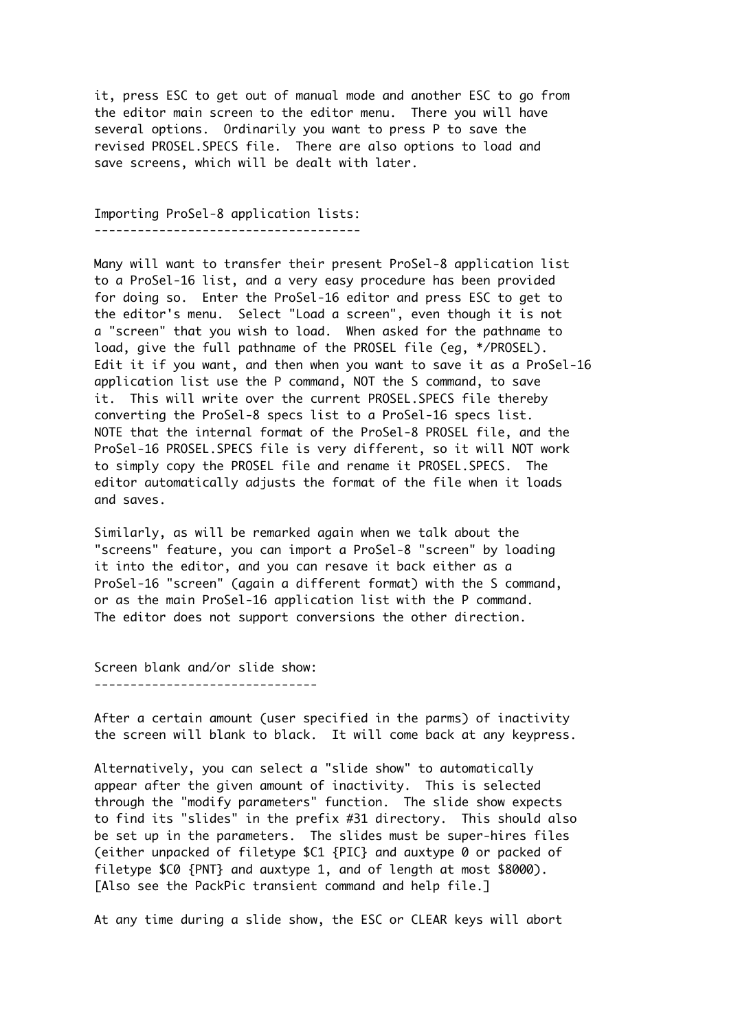it, press ESC to get out of manual mode and another ESC to go from the editor main screen to the editor menu. There you will have several options. Ordinarily you want to press P to save the revised PROSEL.SPECS file. There are also options to load and save screens, which will be dealt with later.

Importing ProSel-8 application lists: -------------------------------------

Many will want to transfer their present ProSel-8 application list to a ProSel-16 list, and a very easy procedure has been provided for doing so. Enter the ProSel-16 editor and press ESC to get to the editor's menu. Select "Load a screen", even though it is not a "screen" that you wish to load. When asked for the pathname to load, give the full pathname of the PROSEL file (eg, \*/PROSEL). Edit it if you want, and then when you want to save it as a ProSel-16 application list use the P command, NOT the S command, to save it. This will write over the current PROSEL.SPECS file thereby converting the ProSel-8 specs list to a ProSel-16 specs list. NOTE that the internal format of the ProSel-8 PROSEL file, and the ProSel-16 PROSEL.SPECS file is very different, so it will NOT work to simply copy the PROSEL file and rename it PROSEL.SPECS. The editor automatically adjusts the format of the file when it loads and saves.

Similarly, as will be remarked again when we talk about the "screens" feature, you can import a ProSel-8 "screen" by loading it into the editor, and you can resave it back either as a ProSel-16 "screen" (again a different format) with the S command, or as the main ProSel-16 application list with the P command. The editor does not support conversions the other direction.

Screen blank and/or slide show: -------------------------------

After a certain amount (user specified in the parms) of inactivity the screen will blank to black. It will come back at any keypress.

Alternatively, you can select a "slide show" to automatically appear after the given amount of inactivity. This is selected through the "modify parameters" function. The slide show expects to find its "slides" in the prefix #31 directory. This should also be set up in the parameters. The slides must be super-hires files (either unpacked of filetype \$C1 {PIC} and auxtype 0 or packed of filetype \$C0 {PNT} and auxtype 1, and of length at most \$8000). [Also see the PackPic transient command and help file.]

At any time during a slide show, the ESC or CLEAR keys will abort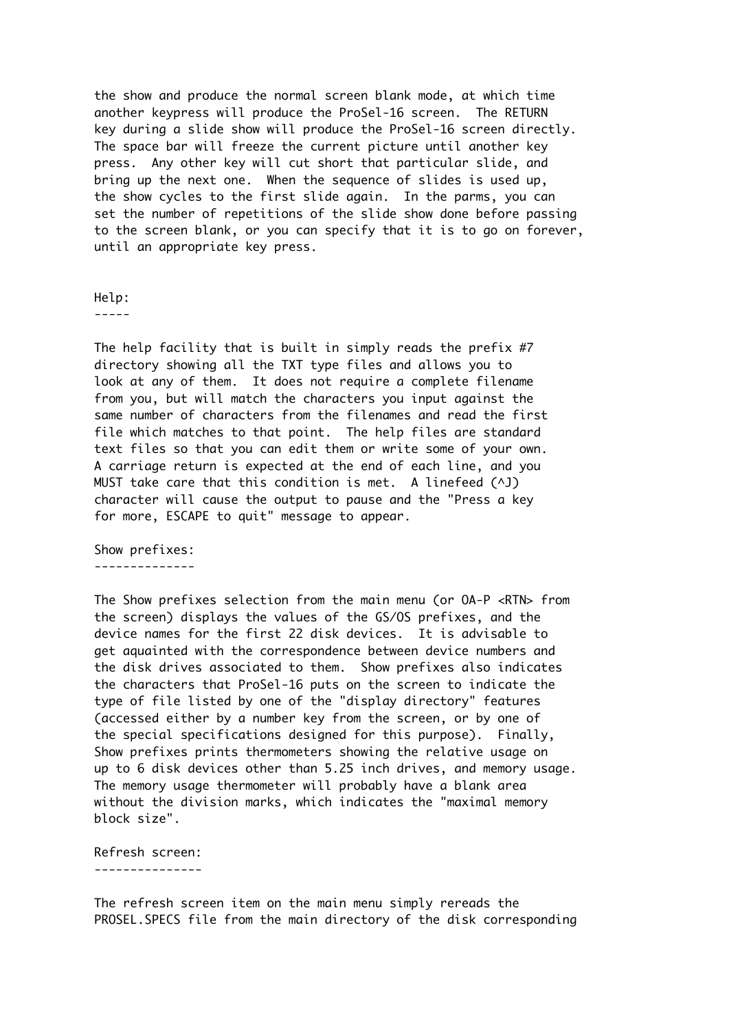the show and produce the normal screen blank mode, at which time another keypress will produce the ProSel-16 screen. The RETURN key during a slide show will produce the ProSel-16 screen directly. The space bar will freeze the current picture until another key press. Any other key will cut short that particular slide, and bring up the next one. When the sequence of slides is used up, the show cycles to the first slide again. In the parms, you can set the number of repetitions of the slide show done before passing to the screen blank, or you can specify that it is to go on forever, until an appropriate key press.

Help:

-----

The help facility that is built in simply reads the prefix #7 directory showing all the TXT type files and allows you to look at any of them. It does not require a complete filename from you, but will match the characters you input against the same number of characters from the filenames and read the first file which matches to that point. The help files are standard text files so that you can edit them or write some of your own. A carriage return is expected at the end of each line, and you MUST take care that this condition is met. A linefeed (^J) character will cause the output to pause and the "Press a key for more, ESCAPE to quit" message to appear.

Show prefixes: --------------

The Show prefixes selection from the main menu (or OA-P <RTN> from the screen) displays the values of the GS/OS prefixes, and the device names for the first 22 disk devices. It is advisable to get aquainted with the correspondence between device numbers and the disk drives associated to them. Show prefixes also indicates the characters that ProSel-16 puts on the screen to indicate the type of file listed by one of the "display directory" features (accessed either by a number key from the screen, or by one of the special specifications designed for this purpose). Finally, Show prefixes prints thermometers showing the relative usage on up to 6 disk devices other than 5.25 inch drives, and memory usage. The memory usage thermometer will probably have a blank area without the division marks, which indicates the "maximal memory block size".

Refresh screen: ---------------

The refresh screen item on the main menu simply rereads the PROSEL.SPECS file from the main directory of the disk corresponding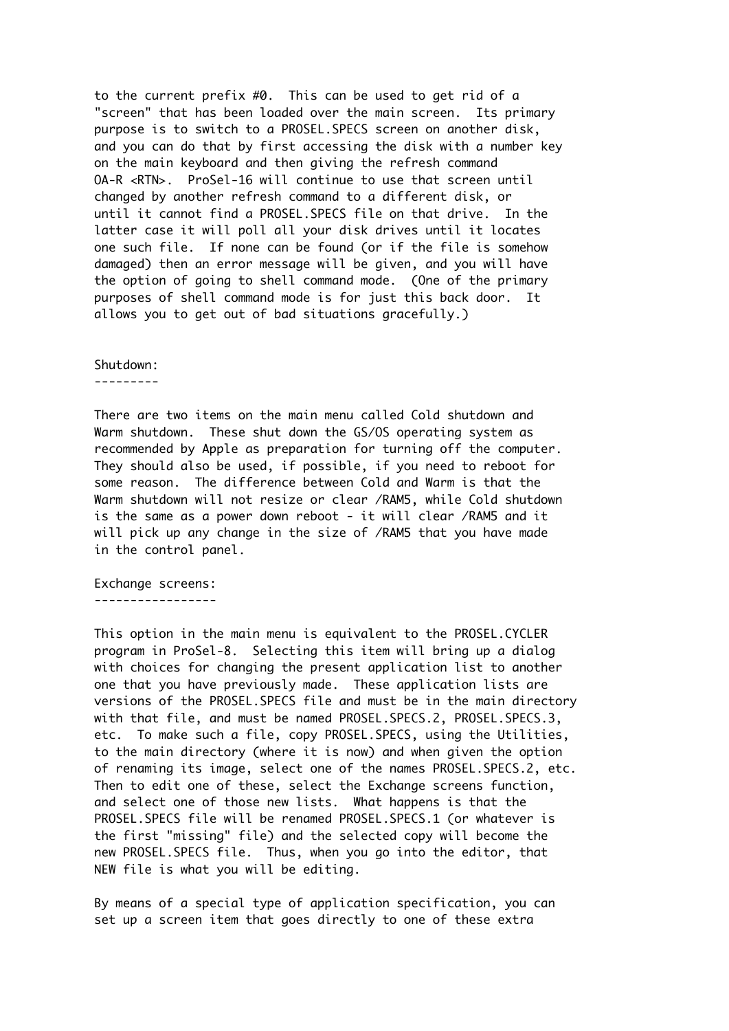to the current prefix #0. This can be used to get rid of a "screen" that has been loaded over the main screen. Its primary purpose is to switch to a PROSEL.SPECS screen on another disk, and you can do that by first accessing the disk with a number key on the main keyboard and then giving the refresh command OA-R <RTN>. ProSel-16 will continue to use that screen until changed by another refresh command to a different disk, or until it cannot find a PROSEL.SPECS file on that drive. In the latter case it will poll all your disk drives until it locates one such file. If none can be found (or if the file is somehow damaged) then an error message will be given, and you will have the option of going to shell command mode. (One of the primary purposes of shell command mode is for just this back door. It allows you to get out of bad situations gracefully.)

#### Shutdown:

---------

There are two items on the main menu called Cold shutdown and Warm shutdown. These shut down the GS/OS operating system as recommended by Apple as preparation for turning off the computer. They should also be used, if possible, if you need to reboot for some reason. The difference between Cold and Warm is that the Warm shutdown will not resize or clear /RAM5, while Cold shutdown is the same as a power down reboot - it will clear /RAM5 and it will pick up any change in the size of /RAM5 that you have made in the control panel.

Exchange screens: -----------------

This option in the main menu is equivalent to the PROSEL.CYCLER program in ProSel-8. Selecting this item will bring up a dialog with choices for changing the present application list to another one that you have previously made. These application lists are versions of the PROSEL.SPECS file and must be in the main directory with that file, and must be named PROSEL.SPECS.2, PROSEL.SPECS.3, etc. To make such a file, copy PROSEL.SPECS, using the Utilities, to the main directory (where it is now) and when given the option of renaming its image, select one of the names PROSEL.SPECS.2, etc. Then to edit one of these, select the Exchange screens function, and select one of those new lists. What happens is that the PROSEL.SPECS file will be renamed PROSEL.SPECS.1 (or whatever is the first "missing" file) and the selected copy will become the new PROSEL.SPECS file. Thus, when you go into the editor, that NEW file is what you will be editing.

By means of a special type of application specification, you can set up a screen item that goes directly to one of these extra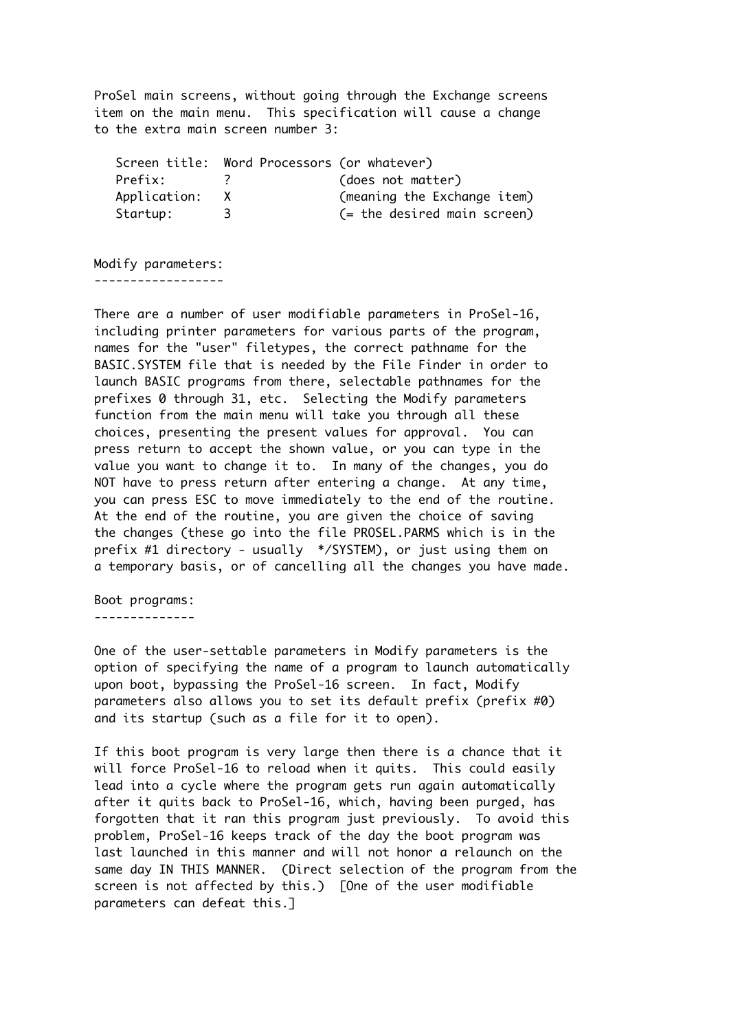ProSel main screens, without going through the Exchange screens item on the main menu. This specification will cause a change to the extra main screen number 3:

|                | Screen title: Word Processors (or whatever) |                                |
|----------------|---------------------------------------------|--------------------------------|
| Prefix:        |                                             | (does not matter)              |
| Application: X |                                             | (meaning the Exchange item)    |
| Startup:       |                                             | $($ = the desired main screen) |

Modify parameters: ------------------

There are a number of user modifiable parameters in ProSel-16, including printer parameters for various parts of the program, names for the "user" filetypes, the correct pathname for the BASIC.SYSTEM file that is needed by the File Finder in order to launch BASIC programs from there, selectable pathnames for the prefixes 0 through 31, etc. Selecting the Modify parameters function from the main menu will take you through all these choices, presenting the present values for approval. You can press return to accept the shown value, or you can type in the value you want to change it to. In many of the changes, you do NOT have to press return after entering a change. At any time, you can press ESC to move immediately to the end of the routine. At the end of the routine, you are given the choice of saving the changes (these go into the file PROSEL.PARMS which is in the prefix #1 directory - usually \*/SYSTEM), or just using them on a temporary basis, or of cancelling all the changes you have made.

Boot programs:

--------------

One of the user-settable parameters in Modify parameters is the option of specifying the name of a program to launch automatically upon boot, bypassing the ProSel-16 screen. In fact, Modify parameters also allows you to set its default prefix (prefix #0) and its startup (such as a file for it to open).

If this boot program is very large then there is a chance that it will force ProSel-16 to reload when it quits. This could easily lead into a cycle where the program gets run again automatically after it quits back to ProSel-16, which, having been purged, has forgotten that it ran this program just previously. To avoid this problem, ProSel-16 keeps track of the day the boot program was last launched in this manner and will not honor a relaunch on the same day IN THIS MANNER. (Direct selection of the program from the screen is not affected by this.) [One of the user modifiable parameters can defeat this.]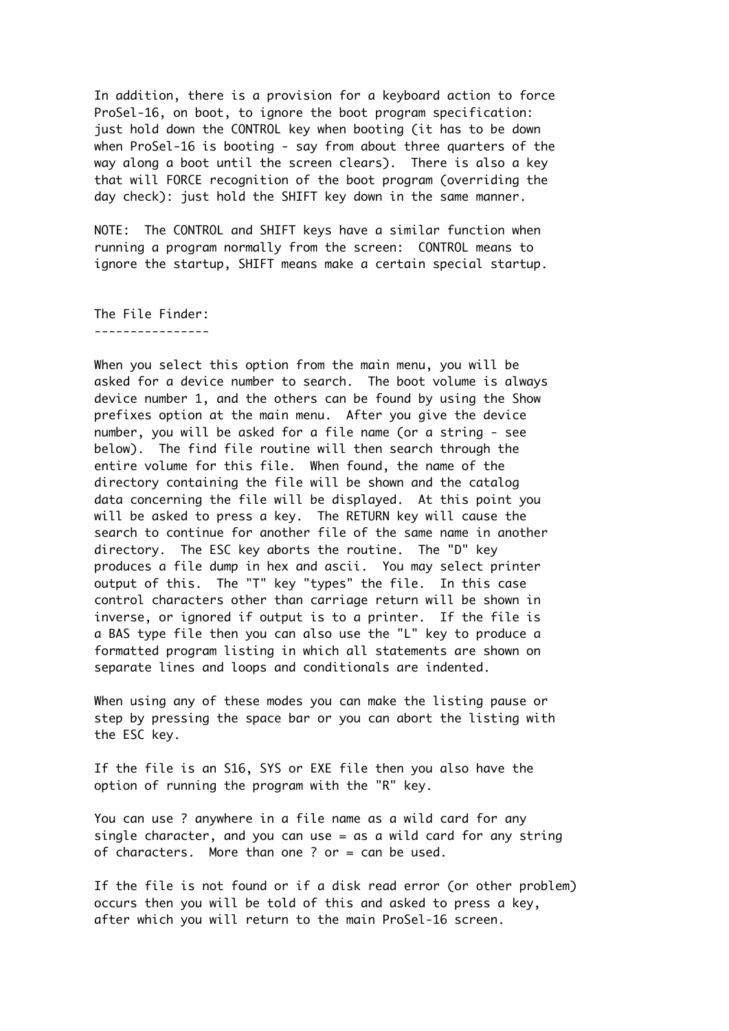In addition, there is a provision for a keyboard action to force ProSel-16, on boot, to ignore the boot program specification: just hold down the CONTROL key when booting (it has to be down when ProSel-16 is booting - say from about three quarters of the way along a boot until the screen clears). There is also a key that will FORCE recognition of the boot program (overriding the day check): just hold the SHIFT key down in the same manner.

NOTE: The CONTROL and SHIFT keys have a similar function when running a program normally from the screen: CONTROL means to ignore the startup, SHIFT means make a certain special startup.

The File Finder: ----------------

When you select this option from the main menu, you will be asked for a device number to search. The boot volume is always device number 1, and the others can be found by using the Show prefixes option at the main menu. After you give the device number, you will be asked for a file name (or a string - see below). The find file routine will then search through the entire volume for this file. When found, the name of the directory containing the file will be shown and the catalog data concerning the file will be displayed. At this point you will be asked to press a key. The RETURN key will cause the search to continue for another file of the same name in another directory. The ESC key aborts the routine. The "D" key produces a file dump in hex and ascii. You may select printer output of this. The "T" key "types" the file. In this case control characters other than carriage return will be shown in inverse, or ignored if output is to a printer. If the file is a BAS type file then you can also use the "L" key to produce a formatted program listing in which all statements are shown on separate lines and loops and conditionals are indented.

When using any of these modes you can make the listing pause or step by pressing the space bar or you can abort the listing with the ESC key.

If the file is an S16, SYS or EXE file then you also have the option of running the program with the "R" key.

You can use ? anywhere in a file name as a wild card for any single character, and you can use = as a wild card for any string of characters. More than one ? or = can be used.

If the file is not found or if a disk read error (or other problem) occurs then you will be told of this and asked to press a key, after which you will return to the main ProSel-16 screen.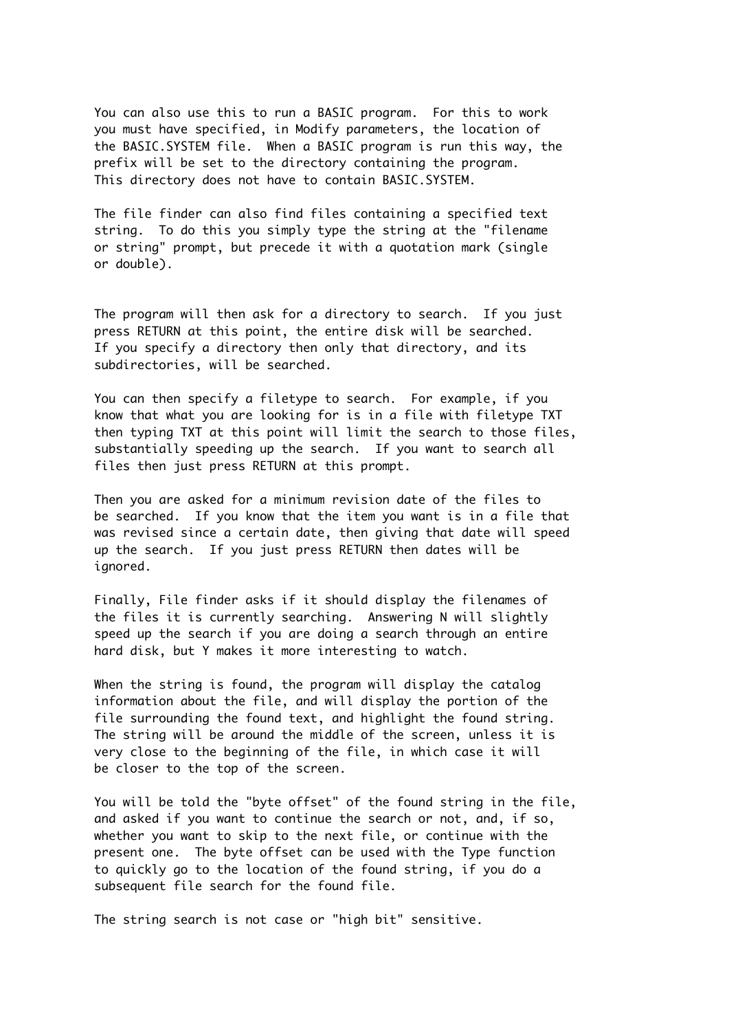You can also use this to run a BASIC program. For this to work you must have specified, in Modify parameters, the location of the BASIC.SYSTEM file. When a BASIC program is run this way, the prefix will be set to the directory containing the program. This directory does not have to contain BASIC.SYSTEM.

The file finder can also find files containing a specified text string. To do this you simply type the string at the "filename or string" prompt, but precede it with a quotation mark (single or double).

The program will then ask for a directory to search. If you just press RETURN at this point, the entire disk will be searched. If you specify a directory then only that directory, and its subdirectories, will be searched.

You can then specify a filetype to search. For example, if you know that what you are looking for is in a file with filetype TXT then typing TXT at this point will limit the search to those files, substantially speeding up the search. If you want to search all files then just press RETURN at this prompt.

Then you are asked for a minimum revision date of the files to be searched. If you know that the item you want is in a file that was revised since a certain date, then giving that date will speed up the search. If you just press RETURN then dates will be ignored.

Finally, File finder asks if it should display the filenames of the files it is currently searching. Answering N will slightly speed up the search if you are doing a search through an entire hard disk, but Y makes it more interesting to watch.

When the string is found, the program will display the catalog information about the file, and will display the portion of the file surrounding the found text, and highlight the found string. The string will be around the middle of the screen, unless it is very close to the beginning of the file, in which case it will be closer to the top of the screen.

You will be told the "byte offset" of the found string in the file, and asked if you want to continue the search or not, and, if so, whether you want to skip to the next file, or continue with the present one. The byte offset can be used with the Type function to quickly go to the location of the found string, if you do a subsequent file search for the found file.

The string search is not case or "high bit" sensitive.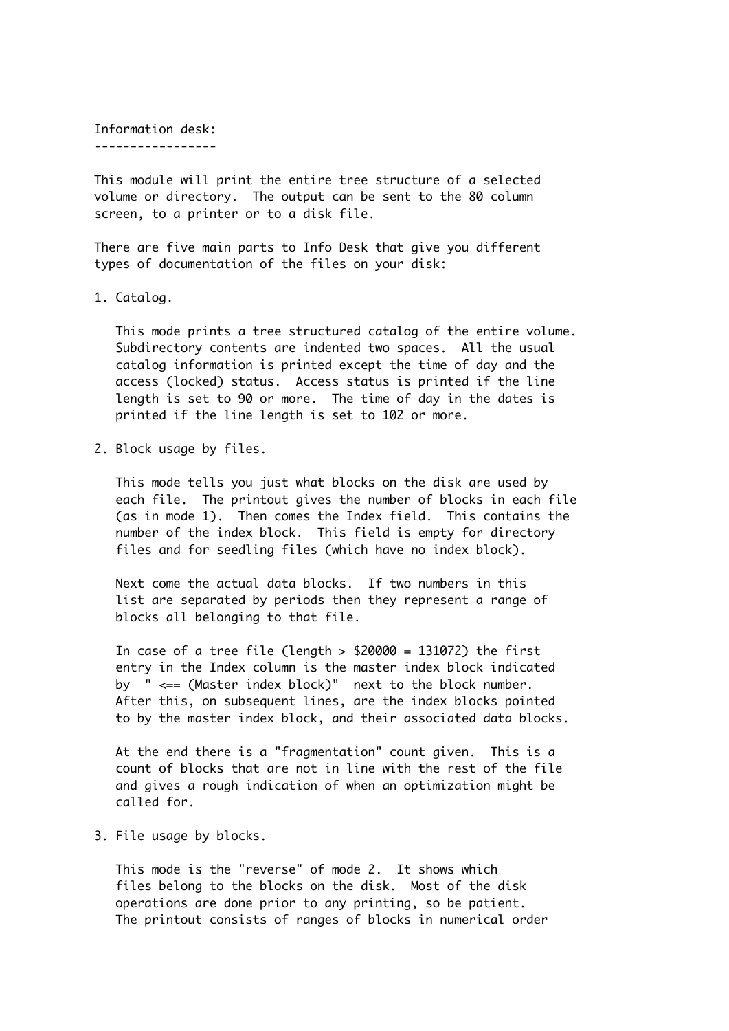Information desk:

-----------------

This module will print the entire tree structure of a selected volume or directory. The output can be sent to the 80 column screen, to a printer or to a disk file.

There are five main parts to Info Desk that give you different types of documentation of the files on your disk:

1. Catalog.

 This mode prints a tree structured catalog of the entire volume. Subdirectory contents are indented two spaces. All the usual catalog information is printed except the time of day and the access (locked) status. Access status is printed if the line length is set to 90 or more. The time of day in the dates is printed if the line length is set to 102 or more.

2. Block usage by files.

 This mode tells you just what blocks on the disk are used by each file. The printout gives the number of blocks in each file (as in mode 1). Then comes the Index field. This contains the number of the index block. This field is empty for directory files and for seedling files (which have no index block).

 Next come the actual data blocks. If two numbers in this list are separated by periods then they represent a range of blocks all belonging to that file.

In case of a tree file (length  $> $20000 = 131072$ ) the first entry in the Index column is the master index block indicated by  $" \leq = (\text{Master index block})"$  next to the block number. After this, on subsequent lines, are the index blocks pointed to by the master index block, and their associated data blocks.

 At the end there is a "fragmentation" count given. This is a count of blocks that are not in line with the rest of the file and gives a rough indication of when an optimization might be called for.

3. File usage by blocks.

 This mode is the "reverse" of mode 2. It shows which files belong to the blocks on the disk. Most of the disk operations are done prior to any printing, so be patient. The printout consists of ranges of blocks in numerical order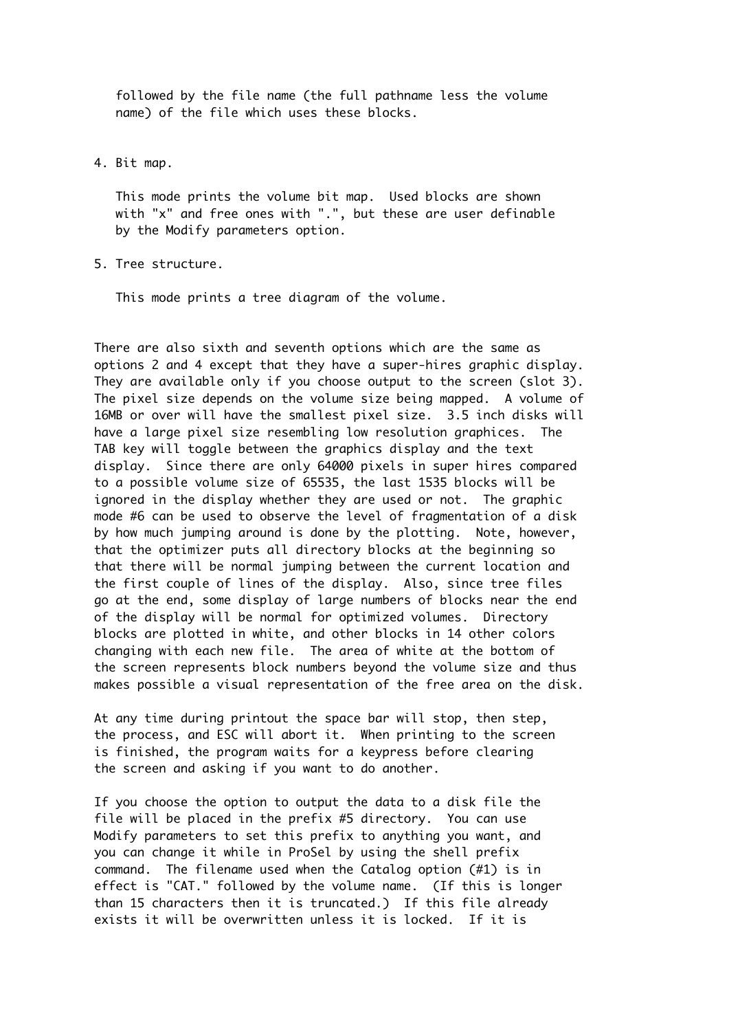followed by the file name (the full pathname less the volume name) of the file which uses these blocks.

4. Bit map.

 This mode prints the volume bit map. Used blocks are shown with "x" and free ones with ".", but these are user definable by the Modify parameters option.

5. Tree structure.

This mode prints a tree diagram of the volume.

There are also sixth and seventh options which are the same as options 2 and 4 except that they have a super-hires graphic display. They are available only if you choose output to the screen (slot 3). The pixel size depends on the volume size being mapped. A volume of 16MB or over will have the smallest pixel size. 3.5 inch disks will have a large pixel size resembling low resolution graphices. The TAB key will toggle between the graphics display and the text display. Since there are only 64000 pixels in super hires compared to a possible volume size of 65535, the last 1535 blocks will be ignored in the display whether they are used or not. The graphic mode #6 can be used to observe the level of fragmentation of a disk by how much jumping around is done by the plotting. Note, however, that the optimizer puts all directory blocks at the beginning so that there will be normal jumping between the current location and the first couple of lines of the display. Also, since tree files go at the end, some display of large numbers of blocks near the end of the display will be normal for optimized volumes. Directory blocks are plotted in white, and other blocks in 14 other colors changing with each new file. The area of white at the bottom of the screen represents block numbers beyond the volume size and thus makes possible a visual representation of the free area on the disk.

At any time during printout the space bar will stop, then step, the process, and ESC will abort it. When printing to the screen is finished, the program waits for a keypress before clearing the screen and asking if you want to do another.

If you choose the option to output the data to a disk file the file will be placed in the prefix #5 directory. You can use Modify parameters to set this prefix to anything you want, and you can change it while in ProSel by using the shell prefix command. The filename used when the Catalog option (#1) is in effect is "CAT." followed by the volume name. (If this is longer than 15 characters then it is truncated.) If this file already exists it will be overwritten unless it is locked. If it is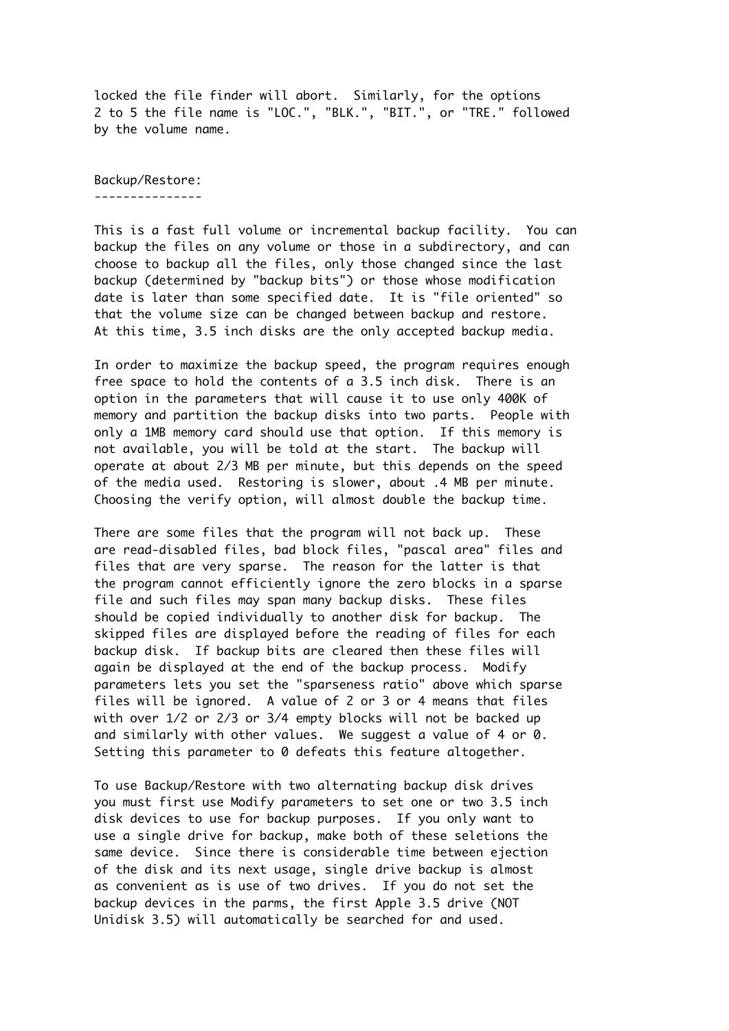locked the file finder will abort. Similarly, for the options 2 to 5 the file name is "LOC.", "BLK.", "BIT.", or "TRE." followed by the volume name.

Backup/Restore: ---------------

This is a fast full volume or incremental backup facility. You can backup the files on any volume or those in a subdirectory, and can choose to backup all the files, only those changed since the last backup (determined by "backup bits") or those whose modification date is later than some specified date. It is "file oriented" so that the volume size can be changed between backup and restore. At this time, 3.5 inch disks are the only accepted backup media.

In order to maximize the backup speed, the program requires enough free space to hold the contents of a 3.5 inch disk. There is an option in the parameters that will cause it to use only 400K of memory and partition the backup disks into two parts. People with only a 1MB memory card should use that option. If this memory is not available, you will be told at the start. The backup will operate at about 2/3 MB per minute, but this depends on the speed of the media used. Restoring is slower, about .4 MB per minute. Choosing the verify option, will almost double the backup time.

There are some files that the program will not back up. These are read-disabled files, bad block files, "pascal area" files and files that are very sparse. The reason for the latter is that the program cannot efficiently ignore the zero blocks in a sparse file and such files may span many backup disks. These files should be copied individually to another disk for backup. The skipped files are displayed before the reading of files for each backup disk. If backup bits are cleared then these files will again be displayed at the end of the backup process. Modify parameters lets you set the "sparseness ratio" above which sparse files will be ignored. A value of 2 or 3 or 4 means that files with over 1/2 or 2/3 or 3/4 empty blocks will not be backed up and similarly with other values. We suggest a value of 4 or 0. Setting this parameter to 0 defeats this feature altogether.

To use Backup/Restore with two alternating backup disk drives you must first use Modify parameters to set one or two 3.5 inch disk devices to use for backup purposes. If you only want to use a single drive for backup, make both of these seletions the same device. Since there is considerable time between ejection of the disk and its next usage, single drive backup is almost as convenient as is use of two drives. If you do not set the backup devices in the parms, the first Apple 3.5 drive (NOT Unidisk 3.5) will automatically be searched for and used.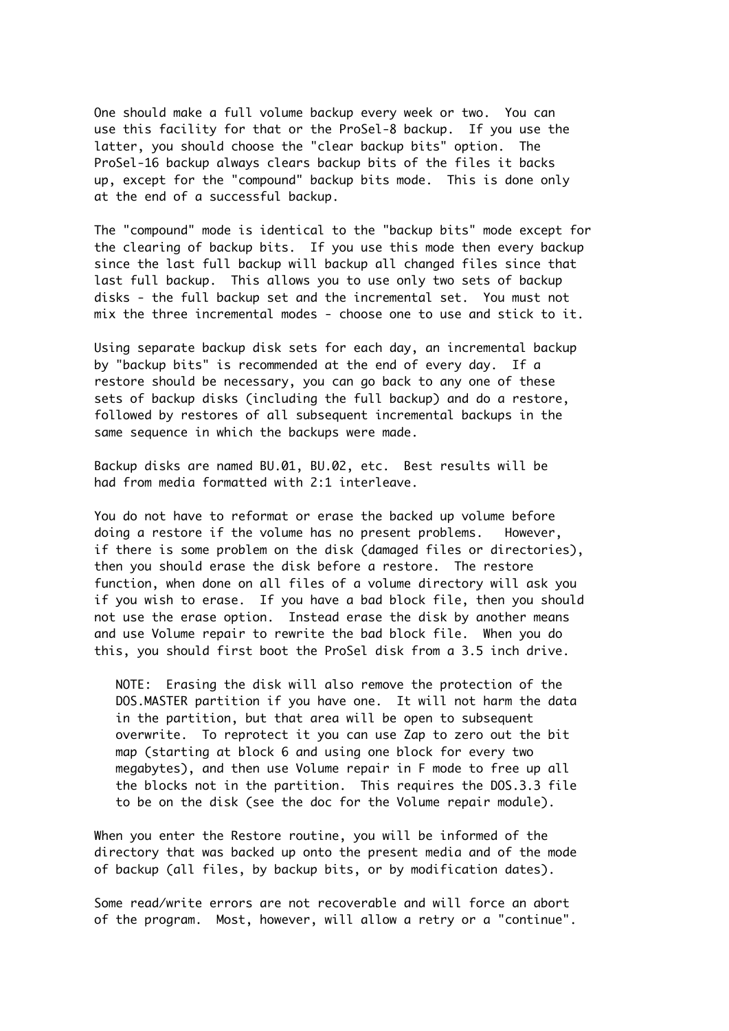One should make a full volume backup every week or two. You can use this facility for that or the ProSel-8 backup. If you use the latter, you should choose the "clear backup bits" option. The ProSel-16 backup always clears backup bits of the files it backs up, except for the "compound" backup bits mode. This is done only at the end of a successful backup.

The "compound" mode is identical to the "backup bits" mode except for the clearing of backup bits. If you use this mode then every backup since the last full backup will backup all changed files since that last full backup. This allows you to use only two sets of backup disks - the full backup set and the incremental set. You must not mix the three incremental modes - choose one to use and stick to it.

Using separate backup disk sets for each day, an incremental backup by "backup bits" is recommended at the end of every day. If a restore should be necessary, you can go back to any one of these sets of backup disks (including the full backup) and do a restore, followed by restores of all subsequent incremental backups in the same sequence in which the backups were made.

Backup disks are named BU.01, BU.02, etc. Best results will be had from media formatted with 2:1 interleave.

You do not have to reformat or erase the backed up volume before doing a restore if the volume has no present problems. However, if there is some problem on the disk (damaged files or directories), then you should erase the disk before a restore. The restore function, when done on all files of a volume directory will ask you if you wish to erase. If you have a bad block file, then you should not use the erase option. Instead erase the disk by another means and use Volume repair to rewrite the bad block file. When you do this, you should first boot the ProSel disk from a 3.5 inch drive.

 NOTE: Erasing the disk will also remove the protection of the DOS.MASTER partition if you have one. It will not harm the data in the partition, but that area will be open to subsequent overwrite. To reprotect it you can use Zap to zero out the bit map (starting at block 6 and using one block for every two megabytes), and then use Volume repair in F mode to free up all the blocks not in the partition. This requires the DOS.3.3 file to be on the disk (see the doc for the Volume repair module).

When you enter the Restore routine, you will be informed of the directory that was backed up onto the present media and of the mode of backup (all files, by backup bits, or by modification dates).

Some read/write errors are not recoverable and will force an abort of the program. Most, however, will allow a retry or a "continue".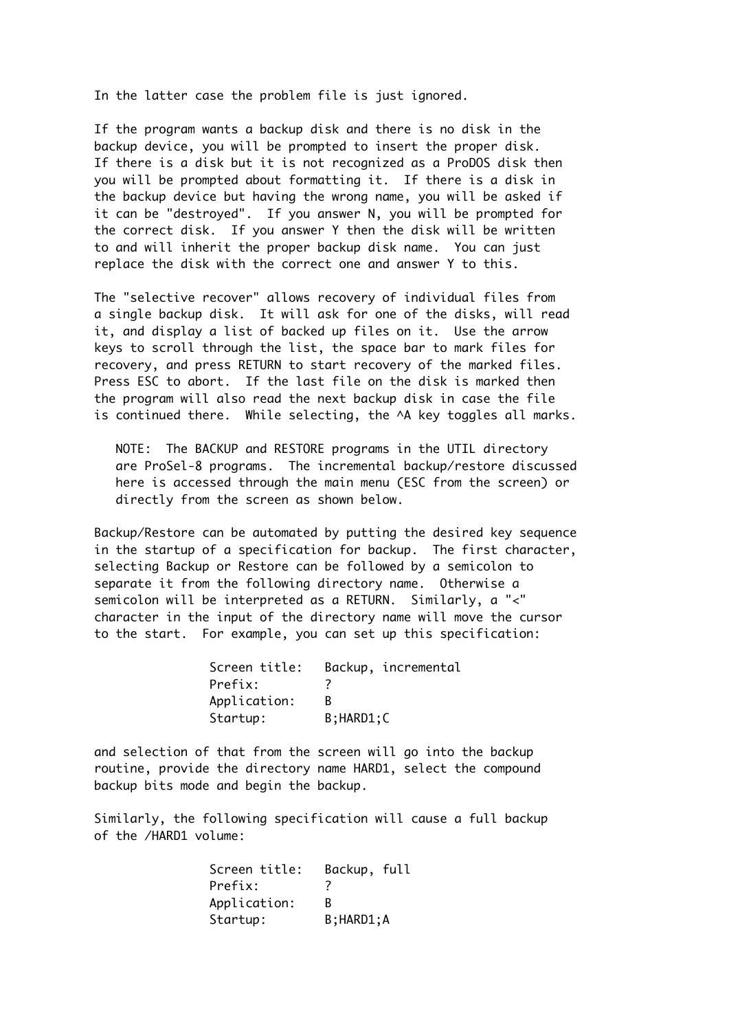In the latter case the problem file is just ignored.

If the program wants a backup disk and there is no disk in the backup device, you will be prompted to insert the proper disk. If there is a disk but it is not recognized as a ProDOS disk then you will be prompted about formatting it. If there is a disk in the backup device but having the wrong name, you will be asked if it can be "destroyed". If you answer N, you will be prompted for the correct disk. If you answer Y then the disk will be written to and will inherit the proper backup disk name. You can just replace the disk with the correct one and answer Y to this.

The "selective recover" allows recovery of individual files from a single backup disk. It will ask for one of the disks, will read it, and display a list of backed up files on it. Use the arrow keys to scroll through the list, the space bar to mark files for recovery, and press RETURN to start recovery of the marked files. Press ESC to abort. If the last file on the disk is marked then the program will also read the next backup disk in case the file is continued there. While selecting, the ^A key toggles all marks.

 NOTE: The BACKUP and RESTORE programs in the UTIL directory are ProSel-8 programs. The incremental backup/restore discussed here is accessed through the main menu (ESC from the screen) or directly from the screen as shown below.

Backup/Restore can be automated by putting the desired key sequence in the startup of a specification for backup. The first character, selecting Backup or Restore can be followed by a semicolon to separate it from the following directory name. Otherwise a semicolon will be interpreted as a RETURN. Similarly, a "<" character in the input of the directory name will move the cursor to the start. For example, you can set up this specification:

| Screen title: |                | Backup, incremental |
|---------------|----------------|---------------------|
| Prefix:       |                |                     |
| Application:  |                |                     |
| Startup:      | $B$ ; HARD1; C |                     |

and selection of that from the screen will go into the backup routine, provide the directory name HARD1, select the compound backup bits mode and begin the backup.

Similarly, the following specification will cause a full backup of the /HARD1 volume:

| Screen title: | Backup, full   |  |
|---------------|----------------|--|
| Prefix:       | 7              |  |
| Application:  | R              |  |
| Startup:      | $B$ ; HARD1; A |  |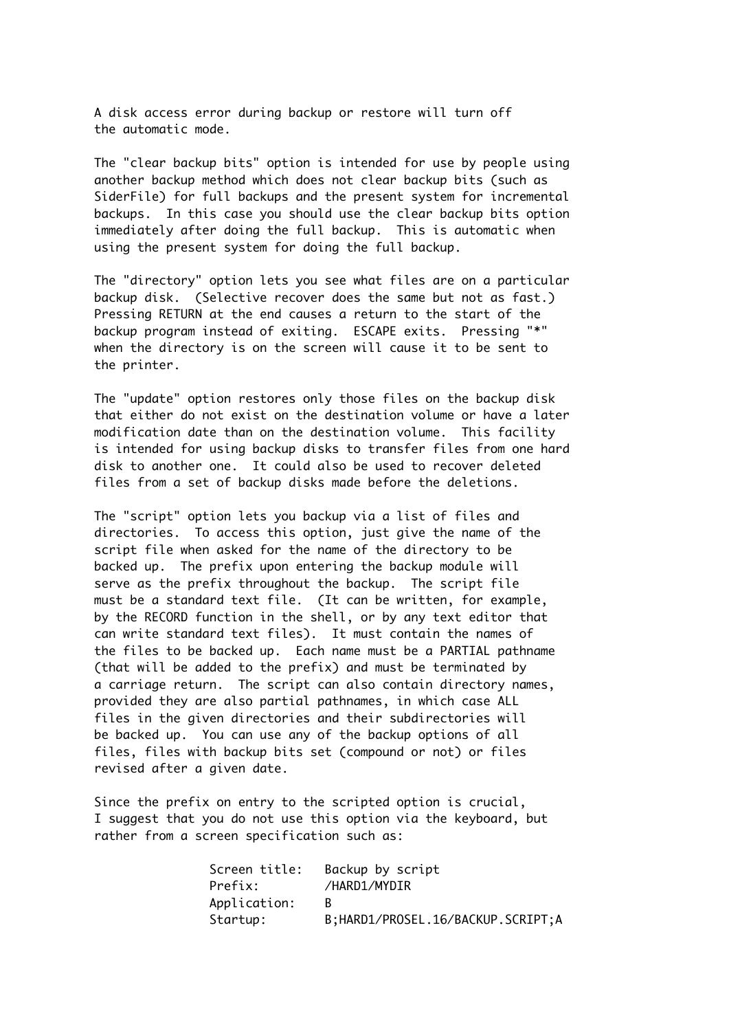A disk access error during backup or restore will turn off the automatic mode.

The "clear backup bits" option is intended for use by people using another backup method which does not clear backup bits (such as SiderFile) for full backups and the present system for incremental backups. In this case you should use the clear backup bits option immediately after doing the full backup. This is automatic when using the present system for doing the full backup.

The "directory" option lets you see what files are on a particular backup disk. (Selective recover does the same but not as fast.) Pressing RETURN at the end causes a return to the start of the backup program instead of exiting. ESCAPE exits. Pressing "\*" when the directory is on the screen will cause it to be sent to the printer.

The "update" option restores only those files on the backup disk that either do not exist on the destination volume or have a later modification date than on the destination volume. This facility is intended for using backup disks to transfer files from one hard disk to another one. It could also be used to recover deleted files from a set of backup disks made before the deletions.

The "script" option lets you backup via a list of files and directories. To access this option, just give the name of the script file when asked for the name of the directory to be backed up. The prefix upon entering the backup module will serve as the prefix throughout the backup. The script file must be a standard text file. (It can be written, for example, by the RECORD function in the shell, or by any text editor that can write standard text files). It must contain the names of the files to be backed up. Each name must be a PARTIAL pathname (that will be added to the prefix) and must be terminated by a carriage return. The script can also contain directory names, provided they are also partial pathnames, in which case ALL files in the given directories and their subdirectories will be backed up. You can use any of the backup options of all files, files with backup bits set (compound or not) or files revised after a given date.

Since the prefix on entry to the scripted option is crucial, I suggest that you do not use this option via the keyboard, but rather from a screen specification such as:

| Screen title: | Backup by script                      |
|---------------|---------------------------------------|
| Prefix:       | /HARD1/MYDIR                          |
| Application:  |                                       |
| Startup:      | B; HARD1/PROSEL. 16/BACKUP. SCRIPT; A |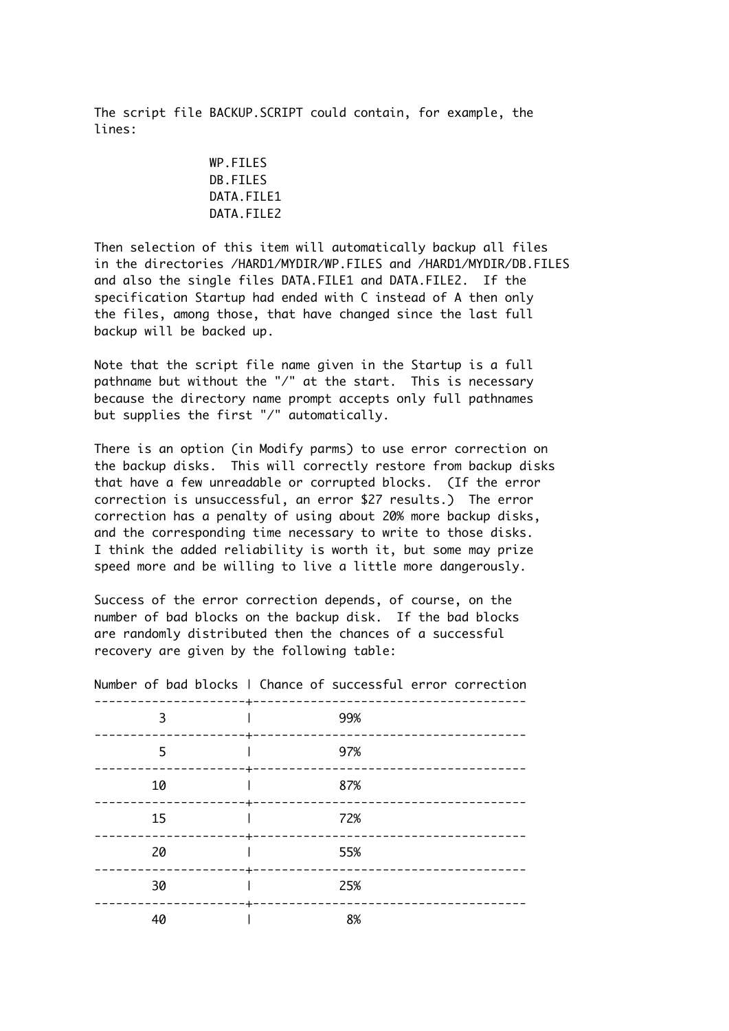The script file BACKUP.SCRIPT could contain, for example, the lines:

> WP.FILES DB.FILES DATA FTI F1 DATA.FILE2

Then selection of this item will automatically backup all files in the directories /HARD1/MYDIR/WP.FILES and /HARD1/MYDIR/DB.FILES and also the single files DATA.FILE1 and DATA.FILE2. If the specification Startup had ended with C instead of A then only the files, among those, that have changed since the last full backup will be backed up.

Note that the script file name given in the Startup is a full pathname but without the "/" at the start. This is necessary because the directory name prompt accepts only full pathnames but supplies the first "/" automatically.

There is an option (in Modify parms) to use error correction on the backup disks. This will correctly restore from backup disks that have a few unreadable or corrupted blocks. (If the error correction is unsuccessful, an error \$27 results.) The error correction has a penalty of using about 20% more backup disks, and the corresponding time necessary to write to those disks. I think the added reliability is worth it, but some may prize speed more and be willing to live a little more dangerously.

Success of the error correction depends, of course, on the number of bad blocks on the backup disk. If the bad blocks are randomly distributed then the chances of a successful recovery are given by the following table:

| ------+-       | NUMBER OF DUCK DEOCKS I CHURCE OF SUCCESSIBLE CITOR COLLECTION |
|----------------|----------------------------------------------------------------|
| 3<br>------+-  | 99%                                                            |
| 5              | 97%                                                            |
| 10             | 87%                                                            |
| ------+-<br>15 | 72%                                                            |
| 20             | 55%                                                            |
| 30             | 25%                                                            |
| 40             | 8%                                                             |

Number of bad blocks | Chance of successful error correction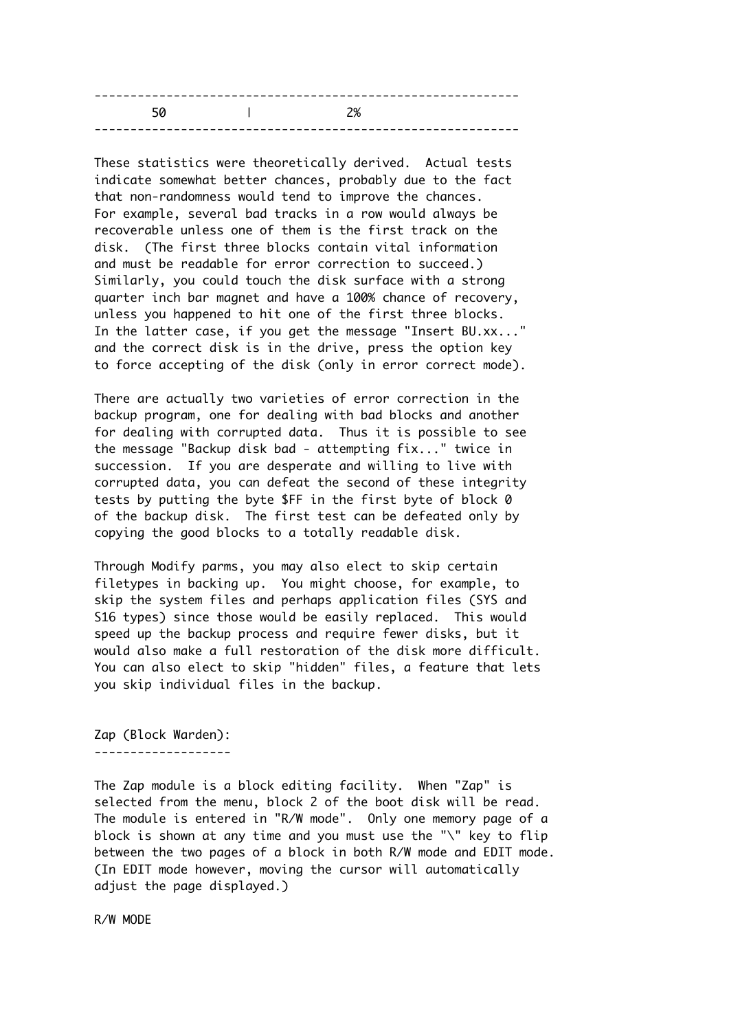|    |    | - - |
|----|----|-----|
| 50 | 2% |     |
|    |    |     |

These statistics were theoretically derived. Actual tests indicate somewhat better chances, probably due to the fact that non-randomness would tend to improve the chances. For example, several bad tracks in a row would always be recoverable unless one of them is the first track on the disk. (The first three blocks contain vital information and must be readable for error correction to succeed.) Similarly, you could touch the disk surface with a strong quarter inch bar magnet and have a 100% chance of recovery, unless you happened to hit one of the first three blocks. In the latter case, if you get the message "Insert BU.xx..." and the correct disk is in the drive, press the option key to force accepting of the disk (only in error correct mode).

There are actually two varieties of error correction in the backup program, one for dealing with bad blocks and another for dealing with corrupted data. Thus it is possible to see the message "Backup disk bad - attempting fix..." twice in succession. If you are desperate and willing to live with corrupted data, you can defeat the second of these integrity tests by putting the byte \$FF in the first byte of block 0 of the backup disk. The first test can be defeated only by copying the good blocks to a totally readable disk.

Through Modify parms, you may also elect to skip certain filetypes in backing up. You might choose, for example, to skip the system files and perhaps application files (SYS and S16 types) since those would be easily replaced. This would speed up the backup process and require fewer disks, but it would also make a full restoration of the disk more difficult. You can also elect to skip "hidden" files, a feature that lets you skip individual files in the backup.

Zap (Block Warden): -------------------

The Zap module is a block editing facility. When "Zap" is selected from the menu, block 2 of the boot disk will be read. The module is entered in "R/W mode". Only one memory page of a block is shown at any time and you must use the "\" key to flip between the two pages of a block in both R/W mode and EDIT mode. (In EDIT mode however, moving the cursor will automatically adjust the page displayed.)

R/W MODE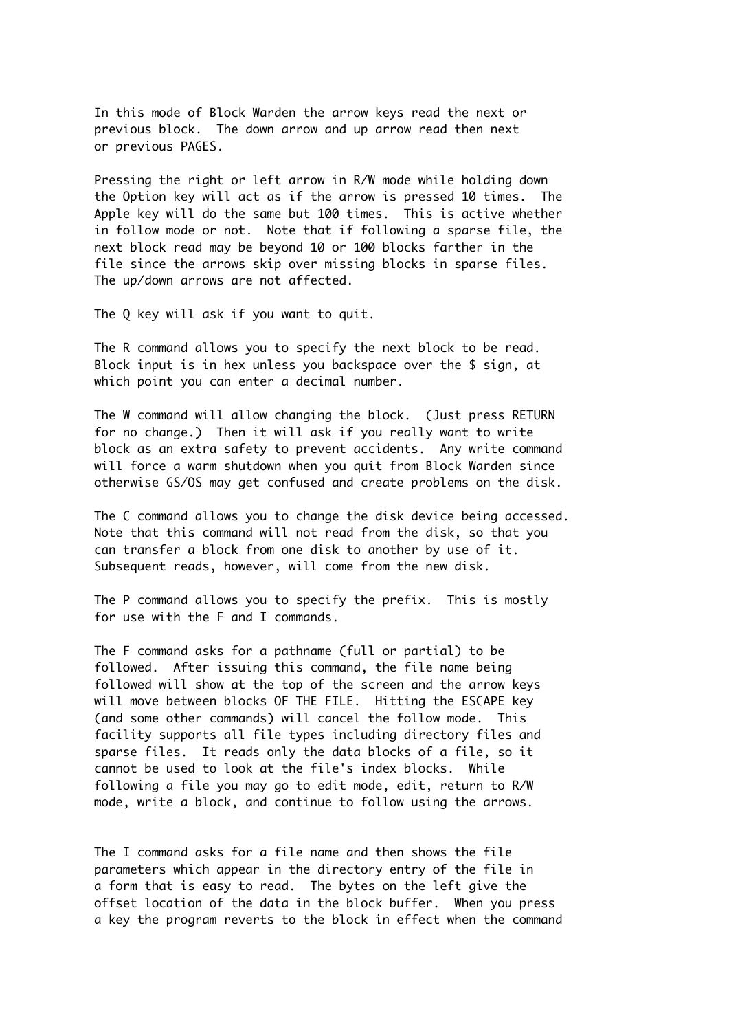In this mode of Block Warden the arrow keys read the next or previous block. The down arrow and up arrow read then next or previous PAGES.

Pressing the right or left arrow in R/W mode while holding down the Option key will act as if the arrow is pressed 10 times. The Apple key will do the same but 100 times. This is active whether in follow mode or not. Note that if following a sparse file, the next block read may be beyond 10 or 100 blocks farther in the file since the arrows skip over missing blocks in sparse files. The up/down arrows are not affected.

The Q key will ask if you want to quit.

The R command allows you to specify the next block to be read. Block input is in hex unless you backspace over the \$ sign, at which point you can enter a decimal number.

The W command will allow changing the block. (Just press RETURN for no change.) Then it will ask if you really want to write block as an extra safety to prevent accidents. Any write command will force a warm shutdown when you quit from Block Warden since otherwise GS/OS may get confused and create problems on the disk.

The C command allows you to change the disk device being accessed. Note that this command will not read from the disk, so that you can transfer a block from one disk to another by use of it. Subsequent reads, however, will come from the new disk.

The P command allows you to specify the prefix. This is mostly for use with the F and I commands.

The F command asks for a pathname (full or partial) to be followed. After issuing this command, the file name being followed will show at the top of the screen and the arrow keys will move between blocks OF THE FILE. Hitting the ESCAPE key (and some other commands) will cancel the follow mode. This facility supports all file types including directory files and sparse files. It reads only the data blocks of a file, so it cannot be used to look at the file's index blocks. While following a file you may go to edit mode, edit, return to R/W mode, write a block, and continue to follow using the arrows.

The I command asks for a file name and then shows the file parameters which appear in the directory entry of the file in a form that is easy to read. The bytes on the left give the offset location of the data in the block buffer. When you press a key the program reverts to the block in effect when the command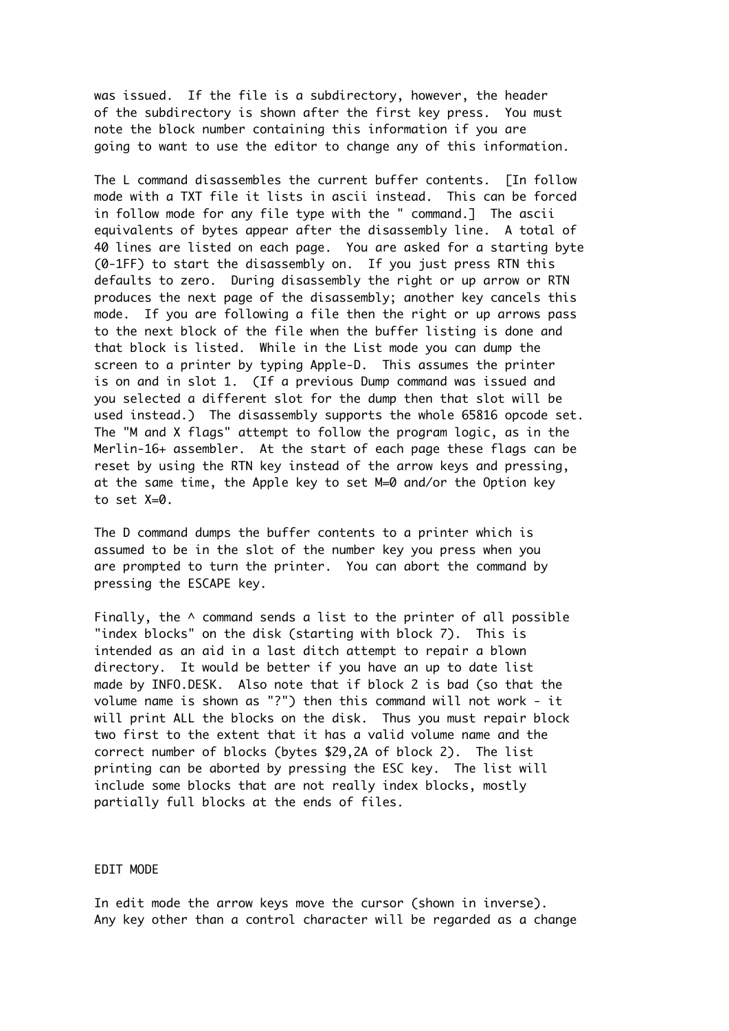was issued. If the file is a subdirectory, however, the header of the subdirectory is shown after the first key press. You must note the block number containing this information if you are going to want to use the editor to change any of this information.

The L command disassembles the current buffer contents. [In follow mode with a TXT file it lists in ascii instead. This can be forced in follow mode for any file type with the " command.] The ascii equivalents of bytes appear after the disassembly line. A total of 40 lines are listed on each page. You are asked for a starting byte (0-1FF) to start the disassembly on. If you just press RTN this defaults to zero. During disassembly the right or up arrow or RTN produces the next page of the disassembly; another key cancels this mode. If you are following a file then the right or up arrows pass to the next block of the file when the buffer listing is done and that block is listed. While in the List mode you can dump the screen to a printer by typing Apple-D. This assumes the printer is on and in slot 1. (If a previous Dump command was issued and you selected a different slot for the dump then that slot will be used instead.) The disassembly supports the whole 65816 opcode set. The "M and X flags" attempt to follow the program logic, as in the Merlin-16+ assembler. At the start of each page these flags can be reset by using the RTN key instead of the arrow keys and pressing, at the same time, the Apple key to set M=0 and/or the Option key to set X=0.

The D command dumps the buffer contents to a printer which is assumed to be in the slot of the number key you press when you are prompted to turn the printer. You can abort the command by pressing the ESCAPE key.

Finally, the  $\wedge$  command sends a list to the printer of all possible "index blocks" on the disk (starting with block 7). This is intended as an aid in a last ditch attempt to repair a blown directory. It would be better if you have an up to date list made by INFO.DESK. Also note that if block 2 is bad (so that the volume name is shown as "?") then this command will not work - it will print ALL the blocks on the disk. Thus you must repair block two first to the extent that it has a valid volume name and the correct number of blocks (bytes \$29,2A of block 2). The list printing can be aborted by pressing the ESC key. The list will include some blocks that are not really index blocks, mostly partially full blocks at the ends of files.

#### EDIT MODE

In edit mode the arrow keys move the cursor (shown in inverse). Any key other than a control character will be regarded as a change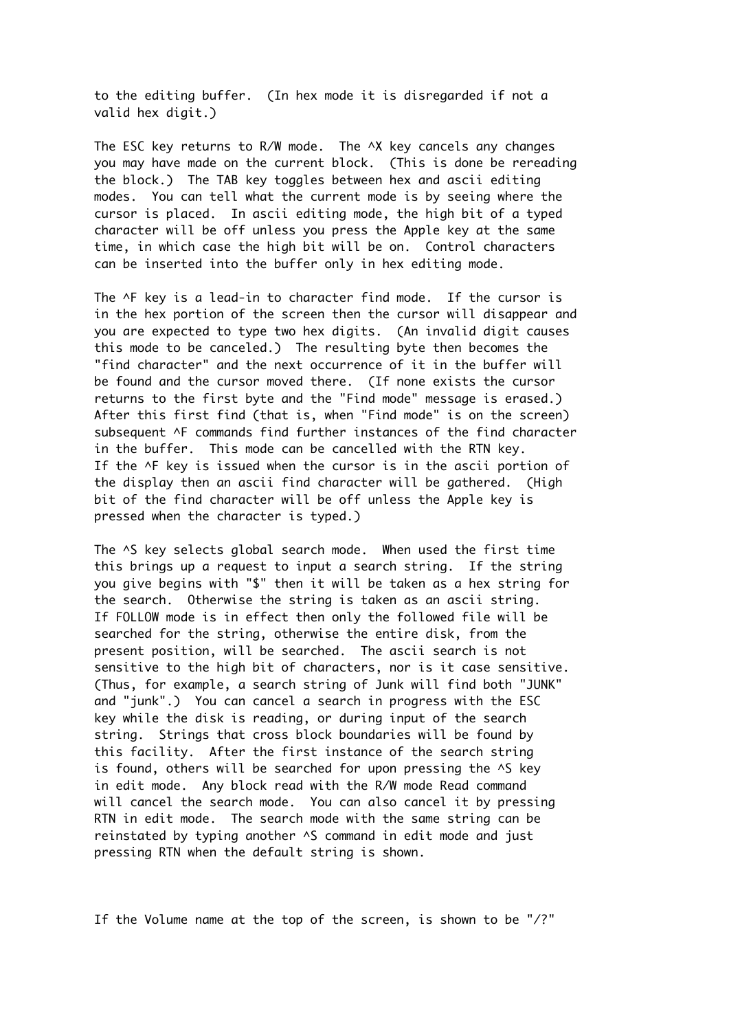to the editing buffer. (In hex mode it is disregarded if not a valid hex digit.)

The ESC key returns to R/W mode. The ^X key cancels any changes you may have made on the current block. (This is done be rereading the block.) The TAB key toggles between hex and ascii editing modes. You can tell what the current mode is by seeing where the cursor is placed. In ascii editing mode, the high bit of a typed character will be off unless you press the Apple key at the same time, in which case the high bit will be on. Control characters can be inserted into the buffer only in hex editing mode.

The ^F key is a lead-in to character find mode. If the cursor is in the hex portion of the screen then the cursor will disappear and you are expected to type two hex digits. (An invalid digit causes this mode to be canceled.) The resulting byte then becomes the "find character" and the next occurrence of it in the buffer will be found and the cursor moved there. (If none exists the cursor returns to the first byte and the "Find mode" message is erased.) After this first find (that is, when "Find mode" is on the screen) subsequent ^F commands find further instances of the find character in the buffer. This mode can be cancelled with the RTN key. If the ^F key is issued when the cursor is in the ascii portion of the display then an ascii find character will be gathered. (High bit of the find character will be off unless the Apple key is pressed when the character is typed.)

The ^S key selects global search mode. When used the first time this brings up a request to input a search string. If the string you give begins with "\$" then it will be taken as a hex string for the search. Otherwise the string is taken as an ascii string. If FOLLOW mode is in effect then only the followed file will be searched for the string, otherwise the entire disk, from the present position, will be searched. The ascii search is not sensitive to the high bit of characters, nor is it case sensitive. (Thus, for example, a search string of Junk will find both "JUNK" and "junk".) You can cancel a search in progress with the ESC key while the disk is reading, or during input of the search string. Strings that cross block boundaries will be found by this facility. After the first instance of the search string is found, others will be searched for upon pressing the ^S key in edit mode. Any block read with the R/W mode Read command will cancel the search mode. You can also cancel it by pressing RTN in edit mode. The search mode with the same string can be reinstated by typing another  $\wedge$ S command in edit mode and just pressing RTN when the default string is shown.

If the Volume name at the top of the screen, is shown to be "/?"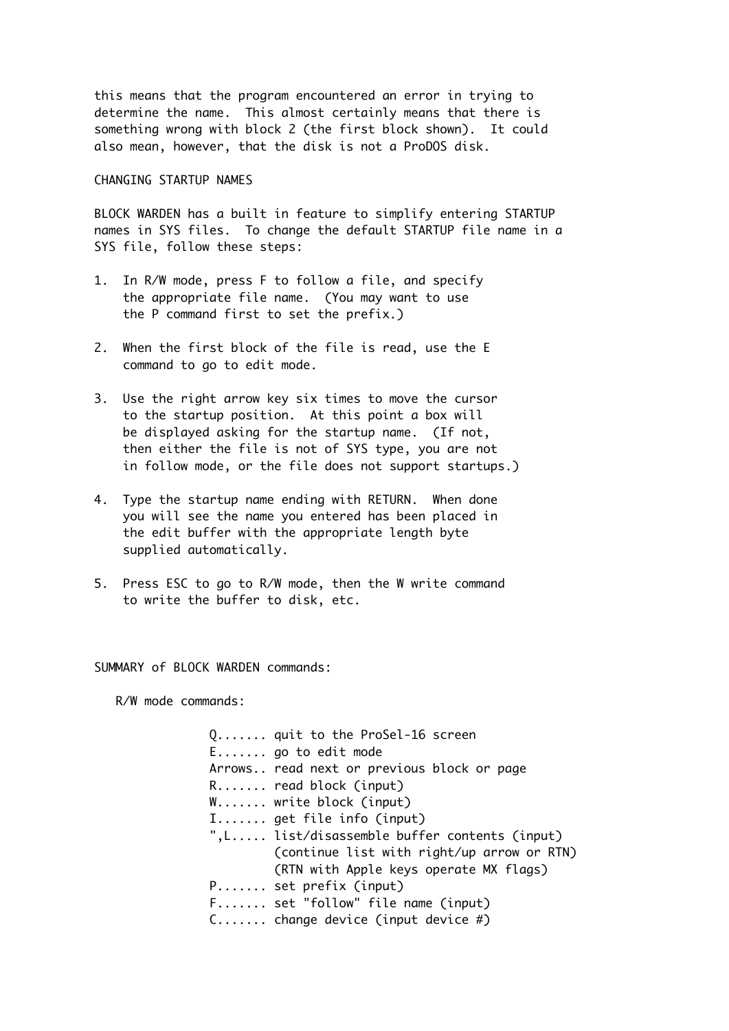this means that the program encountered an error in trying to determine the name. This almost certainly means that there is something wrong with block 2 (the first block shown). It could also mean, however, that the disk is not a ProDOS disk.

CHANGING STARTUP NAMES

BLOCK WARDEN has a built in feature to simplify entering STARTUP names in SYS files. To change the default STARTUP file name in a SYS file, follow these steps:

- 1. In R/W mode, press F to follow a file, and specify the appropriate file name. (You may want to use the P command first to set the prefix.)
- 2. When the first block of the file is read, use the E command to go to edit mode.
- 3. Use the right arrow key six times to move the cursor to the startup position. At this point a box will be displayed asking for the startup name. (If not, then either the file is not of SYS type, you are not in follow mode, or the file does not support startups.)
- 4. Type the startup name ending with RETURN. When done you will see the name you entered has been placed in the edit buffer with the appropriate length byte supplied automatically.
- 5. Press ESC to go to R/W mode, then the W write command to write the buffer to disk, etc.

SUMMARY of BLOCK WARDEN commands:

R/W mode commands:

Q....... quit to the ProSel-16 screen E....... go to edit mode Arrows.. read next or previous block or page R....... read block (input) W....... write block (input) I....... get file info (input) ",L..... list/disassemble buffer contents (input) (continue list with right/up arrow or RTN) (RTN with Apple keys operate MX flags) P....... set prefix (input) F....... set "follow" file name (input) C....... change device (input device #)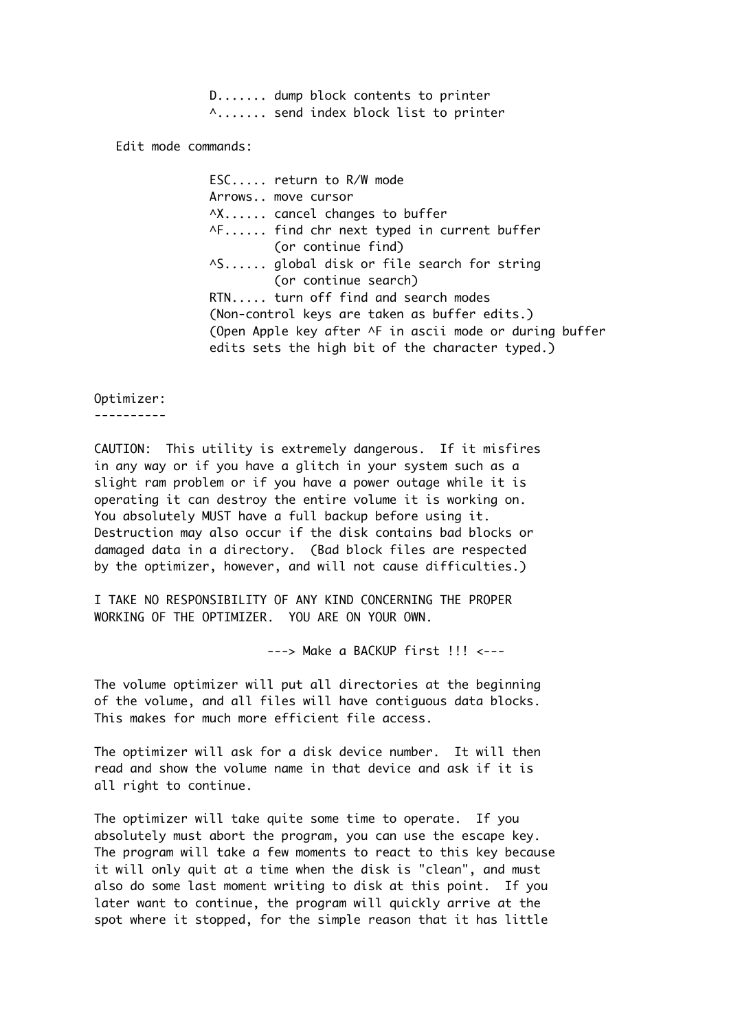D....... dump block contents to printer ^....... send index block list to printer

Edit mode commands:

ESC..... return to R/W mode Arrows.. move cursor ^X...... cancel changes to buffer ^F...... find chr next typed in current buffer (or continue find) ^S...... global disk or file search for string (or continue search) RTN..... turn off find and search modes (Non-control keys are taken as buffer edits.) (Open Apple key after ^F in ascii mode or during buffer edits sets the high bit of the character typed.)

### Optimizer:

----------

CAUTION: This utility is extremely dangerous. If it misfires in any way or if you have a glitch in your system such as a slight ram problem or if you have a power outage while it is operating it can destroy the entire volume it is working on. You absolutely MUST have a full backup before using it. Destruction may also occur if the disk contains bad blocks or damaged data in a directory. (Bad block files are respected by the optimizer, however, and will not cause difficulties.)

I TAKE NO RESPONSIBILITY OF ANY KIND CONCERNING THE PROPER WORKING OF THE OPTIMIZER. YOU ARE ON YOUR OWN.

---> Make a BACKUP first !!! <---

The volume optimizer will put all directories at the beginning of the volume, and all files will have contiguous data blocks. This makes for much more efficient file access.

The optimizer will ask for a disk device number. It will then read and show the volume name in that device and ask if it is all right to continue.

The optimizer will take quite some time to operate. If you absolutely must abort the program, you can use the escape key. The program will take a few moments to react to this key because it will only quit at a time when the disk is "clean", and must also do some last moment writing to disk at this point. If you later want to continue, the program will quickly arrive at the spot where it stopped, for the simple reason that it has little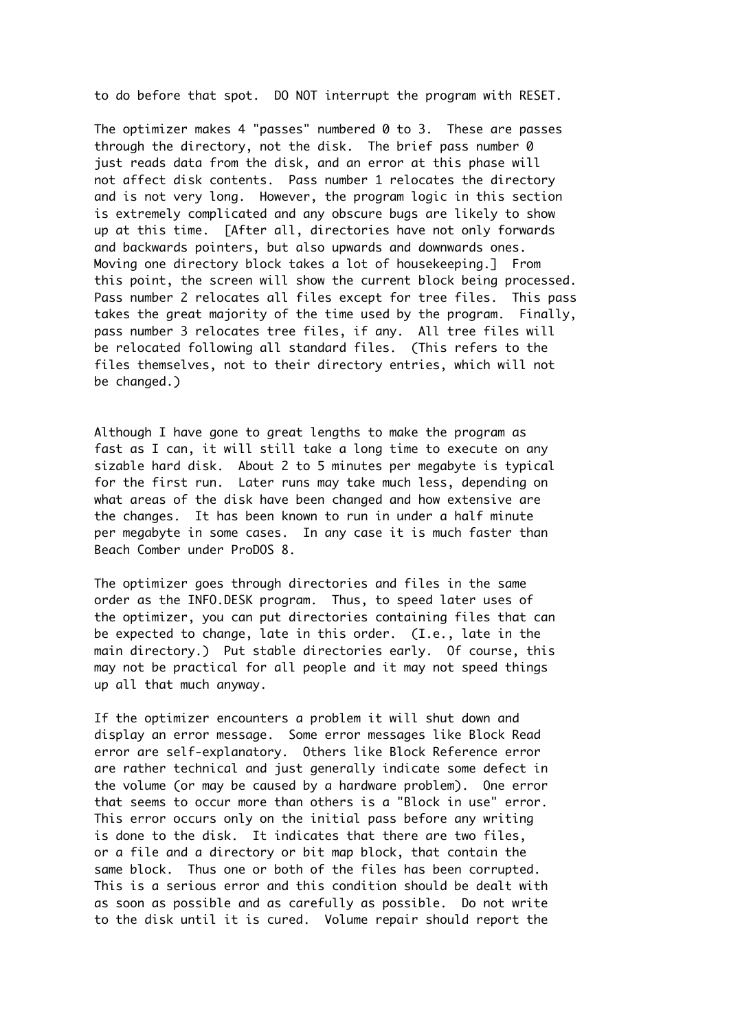to do before that spot. DO NOT interrupt the program with RESET.

The optimizer makes 4 "passes" numbered  $0$  to 3. These are passes through the directory, not the disk. The brief pass number 0 just reads data from the disk, and an error at this phase will not affect disk contents. Pass number 1 relocates the directory and is not very long. However, the program logic in this section is extremely complicated and any obscure bugs are likely to show up at this time. [After all, directories have not only forwards and backwards pointers, but also upwards and downwards ones. Moving one directory block takes a lot of housekeeping.] From this point, the screen will show the current block being processed. Pass number 2 relocates all files except for tree files. This pass takes the great majority of the time used by the program. Finally, pass number 3 relocates tree files, if any. All tree files will be relocated following all standard files. (This refers to the files themselves, not to their directory entries, which will not be changed.)

Although I have gone to great lengths to make the program as fast as I can, it will still take a long time to execute on any sizable hard disk. About 2 to 5 minutes per megabyte is typical for the first run. Later runs may take much less, depending on what areas of the disk have been changed and how extensive are the changes. It has been known to run in under a half minute per megabyte in some cases. In any case it is much faster than Beach Comber under ProDOS 8.

The optimizer goes through directories and files in the same order as the INFO.DESK program. Thus, to speed later uses of the optimizer, you can put directories containing files that can be expected to change, late in this order. (I.e., late in the main directory.) Put stable directories early. Of course, this may not be practical for all people and it may not speed things up all that much anyway.

If the optimizer encounters a problem it will shut down and display an error message. Some error messages like Block Read error are self-explanatory. Others like Block Reference error are rather technical and just generally indicate some defect in the volume (or may be caused by a hardware problem). One error that seems to occur more than others is a "Block in use" error. This error occurs only on the initial pass before any writing is done to the disk. It indicates that there are two files, or a file and a directory or bit map block, that contain the same block. Thus one or both of the files has been corrupted. This is a serious error and this condition should be dealt with as soon as possible and as carefully as possible. Do not write to the disk until it is cured. Volume repair should report the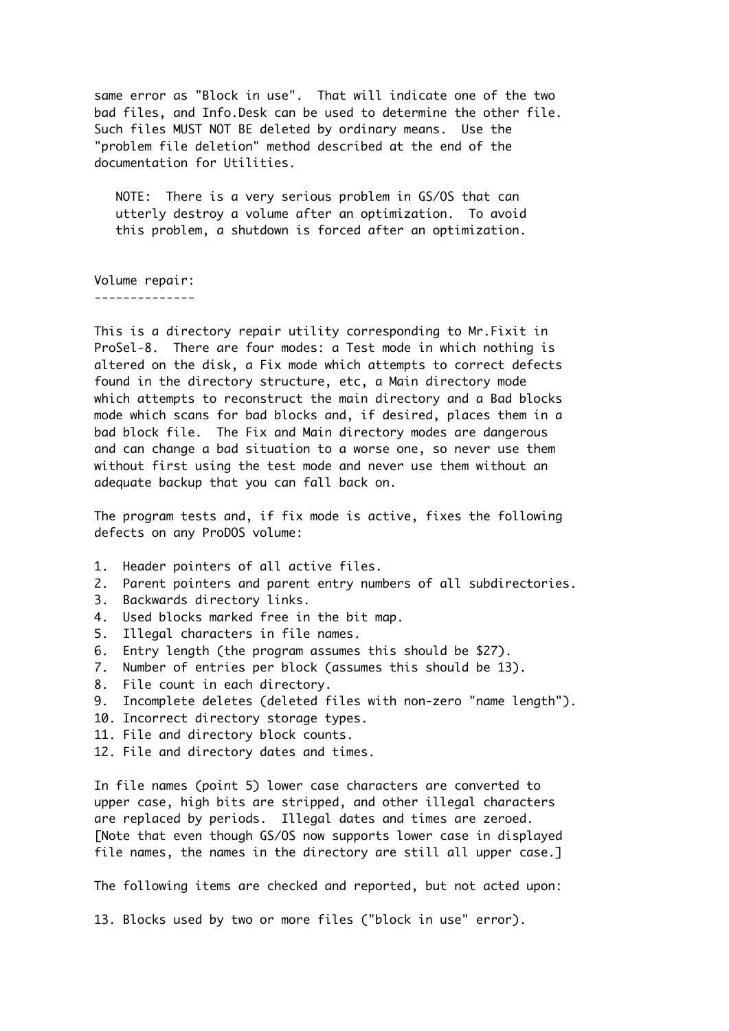same error as "Block in use". That will indicate one of the two bad files, and Info.Desk can be used to determine the other file. Such files MUST NOT BE deleted by ordinary means. Use the "problem file deletion" method described at the end of the documentation for Utilities.

 NOTE: There is a very serious problem in GS/OS that can utterly destroy a volume after an optimization. To avoid this problem, a shutdown is forced after an optimization.

Volume repair: --------------

This is a directory repair utility corresponding to Mr.Fixit in ProSel-8. There are four modes: a Test mode in which nothing is altered on the disk, a Fix mode which attempts to correct defects found in the directory structure, etc, a Main directory mode which attempts to reconstruct the main directory and a Bad blocks mode which scans for bad blocks and, if desired, places them in a bad block file. The Fix and Main directory modes are dangerous and can change a bad situation to a worse one, so never use them without first using the test mode and never use them without an adequate backup that you can fall back on.

The program tests and, if fix mode is active, fixes the following defects on any ProDOS volume:

- 1. Header pointers of all active files.
- 2. Parent pointers and parent entry numbers of all subdirectories.
- 3. Backwards directory links.
- 4. Used blocks marked free in the bit map.
- 5. Illegal characters in file names.
- 6. Entry length (the program assumes this should be \$27).
- 7. Number of entries per block (assumes this should be 13).
- 8. File count in each directory.
- 9. Incomplete deletes (deleted files with non-zero "name length").
- 10. Incorrect directory storage types.
- 11. File and directory block counts.
- 12. File and directory dates and times.

In file names (point 5) lower case characters are converted to upper case, high bits are stripped, and other illegal characters are replaced by periods. Illegal dates and times are zeroed. [Note that even though GS/OS now supports lower case in displayed file names, the names in the directory are still all upper case.]

The following items are checked and reported, but not acted upon:

13. Blocks used by two or more files ("block in use" error).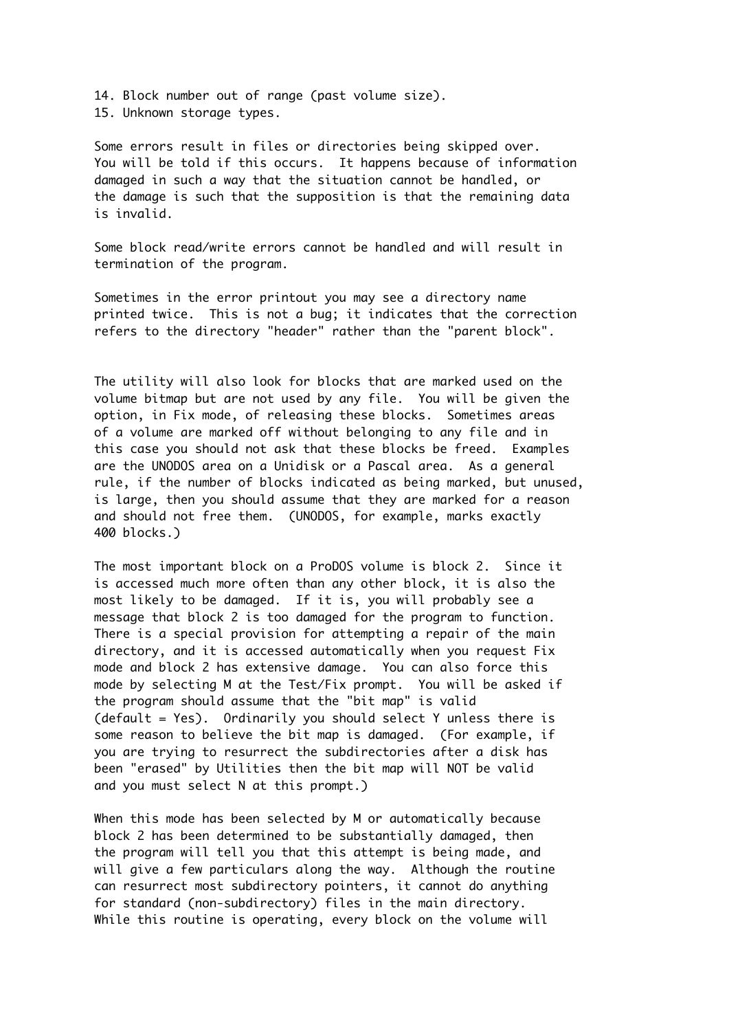14. Block number out of range (past volume size). 15. Unknown storage types.

Some errors result in files or directories being skipped over. You will be told if this occurs. It happens because of information damaged in such a way that the situation cannot be handled, or the damage is such that the supposition is that the remaining data is invalid.

Some block read/write errors cannot be handled and will result in termination of the program.

Sometimes in the error printout you may see a directory name printed twice. This is not a bug; it indicates that the correction refers to the directory "header" rather than the "parent block".

The utility will also look for blocks that are marked used on the volume bitmap but are not used by any file. You will be given the option, in Fix mode, of releasing these blocks. Sometimes areas of a volume are marked off without belonging to any file and in this case you should not ask that these blocks be freed. Examples are the UNODOS area on a Unidisk or a Pascal area. As a general rule, if the number of blocks indicated as being marked, but unused, is large, then you should assume that they are marked for a reason and should not free them. (UNODOS, for example, marks exactly 400 blocks.)

The most important block on a ProDOS volume is block 2. Since it is accessed much more often than any other block, it is also the most likely to be damaged. If it is, you will probably see a message that block 2 is too damaged for the program to function. There is a special provision for attempting a repair of the main directory, and it is accessed automatically when you request Fix mode and block 2 has extensive damage. You can also force this mode by selecting M at the Test/Fix prompt. You will be asked if the program should assume that the "bit map" is valid (default = Yes). Ordinarily you should select Y unless there is some reason to believe the bit map is damaged. (For example, if you are trying to resurrect the subdirectories after a disk has been "erased" by Utilities then the bit map will NOT be valid and you must select N at this prompt.)

When this mode has been selected by M or automatically because block 2 has been determined to be substantially damaged, then the program will tell you that this attempt is being made, and will give a few particulars along the way. Although the routine can resurrect most subdirectory pointers, it cannot do anything for standard (non-subdirectory) files in the main directory. While this routine is operating, every block on the volume will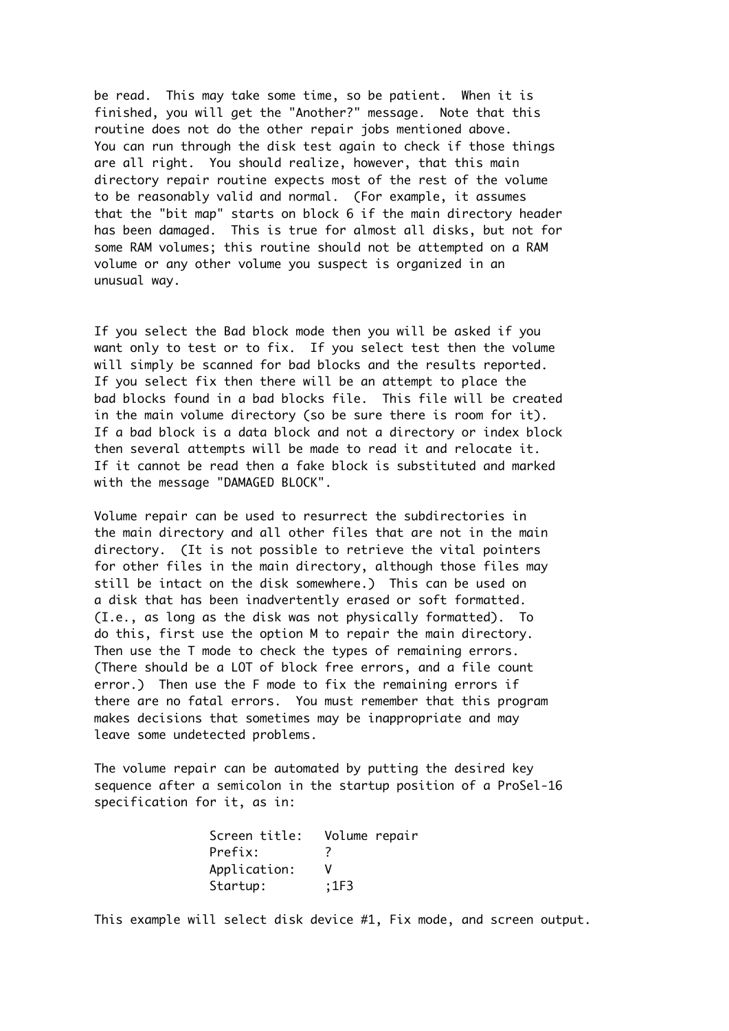be read. This may take some time, so be patient. When it is finished, you will get the "Another?" message. Note that this routine does not do the other repair jobs mentioned above. You can run through the disk test again to check if those things are all right. You should realize, however, that this main directory repair routine expects most of the rest of the volume to be reasonably valid and normal. (For example, it assumes that the "bit map" starts on block 6 if the main directory header has been damaged. This is true for almost all disks, but not for some RAM volumes; this routine should not be attempted on a RAM volume or any other volume you suspect is organized in an unusual way.

If you select the Bad block mode then you will be asked if you want only to test or to fix. If you select test then the volume will simply be scanned for bad blocks and the results reported. If you select fix then there will be an attempt to place the bad blocks found in a bad blocks file. This file will be created in the main volume directory (so be sure there is room for it). If a bad block is a data block and not a directory or index block then several attempts will be made to read it and relocate it. If it cannot be read then a fake block is substituted and marked with the message "DAMAGED BLOCK".

Volume repair can be used to resurrect the subdirectories in the main directory and all other files that are not in the main directory. (It is not possible to retrieve the vital pointers for other files in the main directory, although those files may still be intact on the disk somewhere.) This can be used on a disk that has been inadvertently erased or soft formatted. (I.e., as long as the disk was not physically formatted). To do this, first use the option M to repair the main directory. Then use the T mode to check the types of remaining errors. (There should be a LOT of block free errors, and a file count error.) Then use the F mode to fix the remaining errors if there are no fatal errors. You must remember that this program makes decisions that sometimes may be inappropriate and may leave some undetected problems.

The volume repair can be automated by putting the desired key sequence after a semicolon in the startup position of a ProSel-16 specification for it, as in:

| Screen title: | Volume repair |
|---------------|---------------|
| Prefix:       | 7             |
| Application:  | V             |
| Startup:      | ;1F3          |

This example will select disk device #1, Fix mode, and screen output.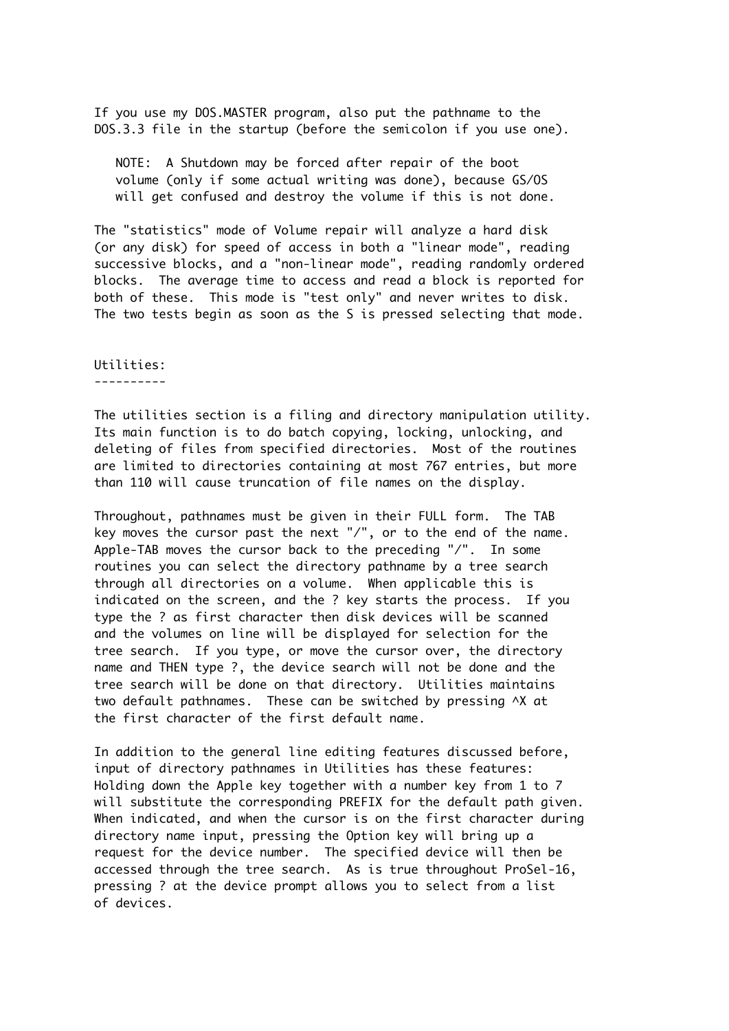If you use my DOS.MASTER program, also put the pathname to the DOS.3.3 file in the startup (before the semicolon if you use one).

 NOTE: A Shutdown may be forced after repair of the boot volume (only if some actual writing was done), because GS/OS will get confused and destroy the volume if this is not done.

The "statistics" mode of Volume repair will analyze a hard disk (or any disk) for speed of access in both a "linear mode", reading successive blocks, and a "non-linear mode", reading randomly ordered blocks. The average time to access and read a block is reported for both of these. This mode is "test only" and never writes to disk. The two tests begin as soon as the S is pressed selecting that mode.

### Utilities: ----------

The utilities section is a filing and directory manipulation utility. Its main function is to do batch copying, locking, unlocking, and deleting of files from specified directories. Most of the routines are limited to directories containing at most 767 entries, but more than 110 will cause truncation of file names on the display.

Throughout, pathnames must be given in their FULL form. The TAB key moves the cursor past the next "/", or to the end of the name. Apple-TAB moves the cursor back to the preceding "/". In some routines you can select the directory pathname by a tree search through all directories on a volume. When applicable this is indicated on the screen, and the ? key starts the process. If you type the ? as first character then disk devices will be scanned and the volumes on line will be displayed for selection for the tree search. If you type, or move the cursor over, the directory name and THEN type ?, the device search will not be done and the tree search will be done on that directory. Utilities maintains two default pathnames. These can be switched by pressing ^X at the first character of the first default name.

In addition to the general line editing features discussed before, input of directory pathnames in Utilities has these features: Holding down the Apple key together with a number key from 1 to 7 will substitute the corresponding PREFIX for the default path given. When indicated, and when the cursor is on the first character during directory name input, pressing the Option key will bring up a request for the device number. The specified device will then be accessed through the tree search. As is true throughout ProSel-16, pressing ? at the device prompt allows you to select from a list of devices.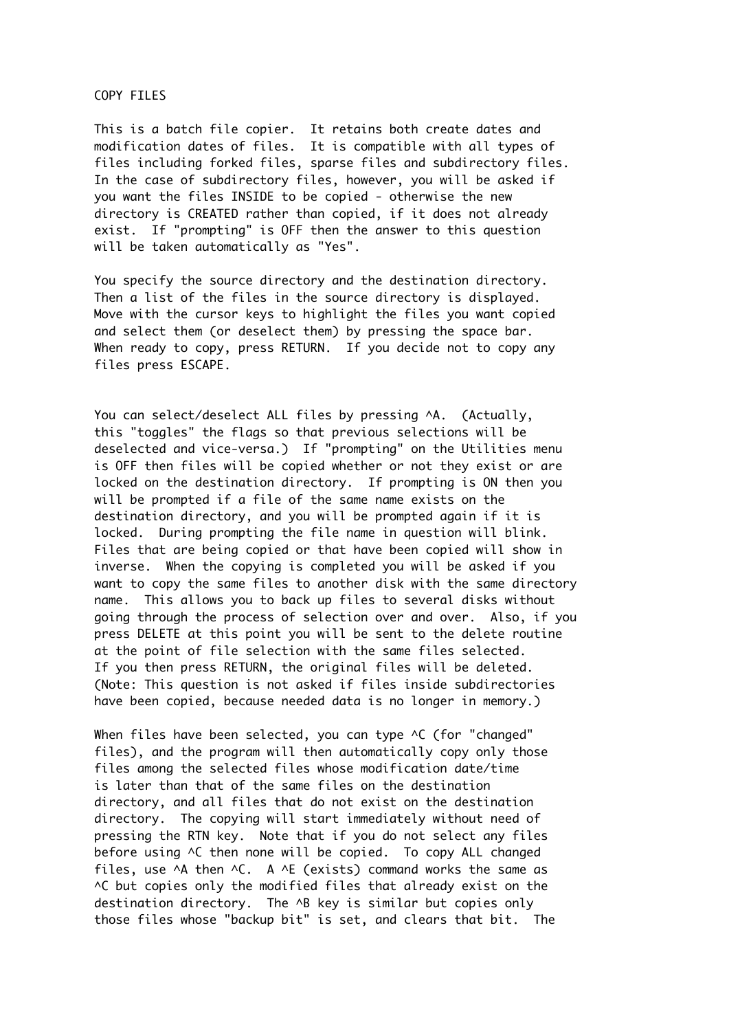COPY FILES

This is a batch file copier. It retains both create dates and modification dates of files. It is compatible with all types of files including forked files, sparse files and subdirectory files. In the case of subdirectory files, however, you will be asked if you want the files INSIDE to be copied - otherwise the new directory is CREATED rather than copied, if it does not already exist. If "prompting" is OFF then the answer to this question will be taken automatically as "Yes".

You specify the source directory and the destination directory. Then a list of the files in the source directory is displayed. Move with the cursor keys to highlight the files you want copied and select them (or deselect them) by pressing the space bar. When ready to copy, press RETURN. If you decide not to copy any files press ESCAPE.

You can select/deselect ALL files by pressing ^A. (Actually, this "toggles" the flags so that previous selections will be deselected and vice-versa.) If "prompting" on the Utilities menu is OFF then files will be copied whether or not they exist or are locked on the destination directory. If prompting is ON then you will be prompted if a file of the same name exists on the destination directory, and you will be prompted again if it is locked. During prompting the file name in question will blink. Files that are being copied or that have been copied will show in inverse. When the copying is completed you will be asked if you want to copy the same files to another disk with the same directory name. This allows you to back up files to several disks without going through the process of selection over and over. Also, if you press DELETE at this point you will be sent to the delete routine at the point of file selection with the same files selected. If you then press RETURN, the original files will be deleted. (Note: This question is not asked if files inside subdirectories have been copied, because needed data is no longer in memory.)

When files have been selected, you can type ^C (for "changed" files), and the program will then automatically copy only those files among the selected files whose modification date/time is later than that of the same files on the destination directory, and all files that do not exist on the destination directory. The copying will start immediately without need of pressing the RTN key. Note that if you do not select any files before using ^C then none will be copied. To copy ALL changed files, use  $\Delta A$  then  $\Delta C$ . A  $\Delta E$  (exists) command works the same as ^C but copies only the modified files that already exist on the destination directory. The ^B key is similar but copies only those files whose "backup bit" is set, and clears that bit. The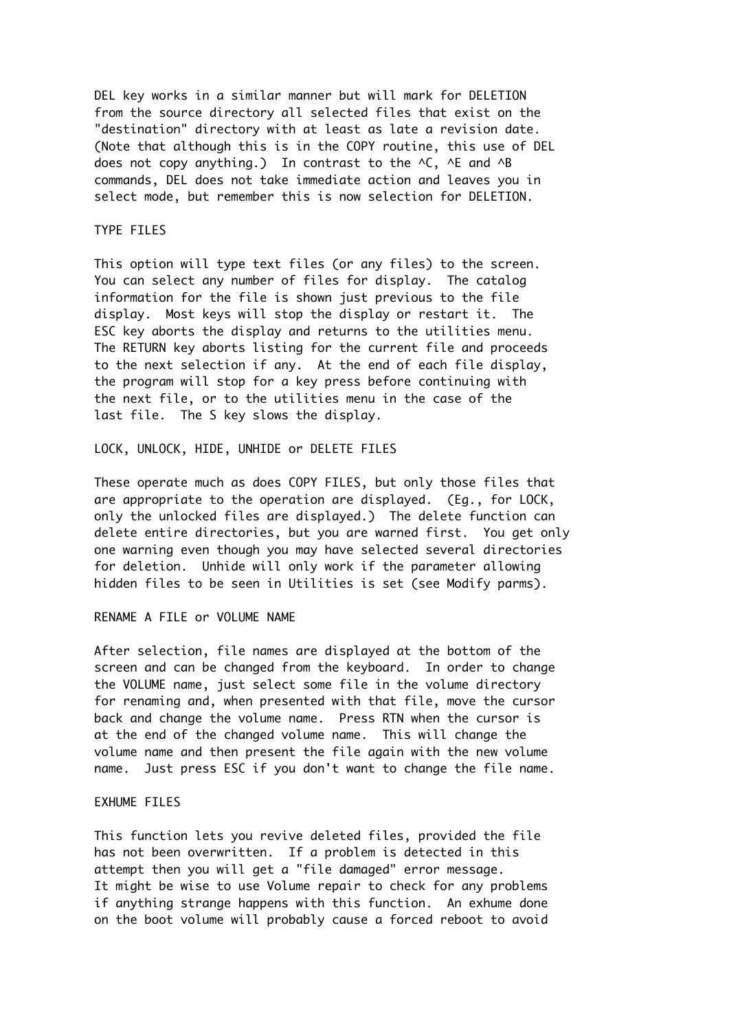DEL key works in a similar manner but will mark for DELETION from the source directory all selected files that exist on the "destination" directory with at least as late a revision date. (Note that although this is in the COPY routine, this use of DEL does not copy anything.) In contrast to the  $\wedge$ C,  $\wedge$ E and  $\wedge$ B commands, DEL does not take immediate action and leaves you in select mode, but remember this is now selection for DELETION.

### TYPE FILES

This option will type text files (or any files) to the screen. You can select any number of files for display. The catalog information for the file is shown just previous to the file display. Most keys will stop the display or restart it. The ESC key aborts the display and returns to the utilities menu. The RETURN key aborts listing for the current file and proceeds to the next selection if any. At the end of each file display, the program will stop for a key press before continuing with the next file, or to the utilities menu in the case of the last file. The S key slows the display.

## LOCK, UNLOCK, HIDE, UNHIDE or DELETE FILES

These operate much as does COPY FILES, but only those files that are appropriate to the operation are displayed. (Eg., for LOCK, only the unlocked files are displayed.) The delete function can delete entire directories, but you are warned first. You get only one warning even though you may have selected several directories for deletion. Unhide will only work if the parameter allowing hidden files to be seen in Utilities is set (see Modify parms).

## RENAME A FILE or VOLUME NAME

After selection, file names are displayed at the bottom of the screen and can be changed from the keyboard. In order to change the VOLUME name, just select some file in the volume directory for renaming and, when presented with that file, move the cursor back and change the volume name. Press RTN when the cursor is at the end of the changed volume name. This will change the volume name and then present the file again with the new volume name. Just press ESC if you don't want to change the file name.

### EXHUME FILES

This function lets you revive deleted files, provided the file has not been overwritten. If a problem is detected in this attempt then you will get a "file damaged" error message. It might be wise to use Volume repair to check for any problems if anything strange happens with this function. An exhume done on the boot volume will probably cause a forced reboot to avoid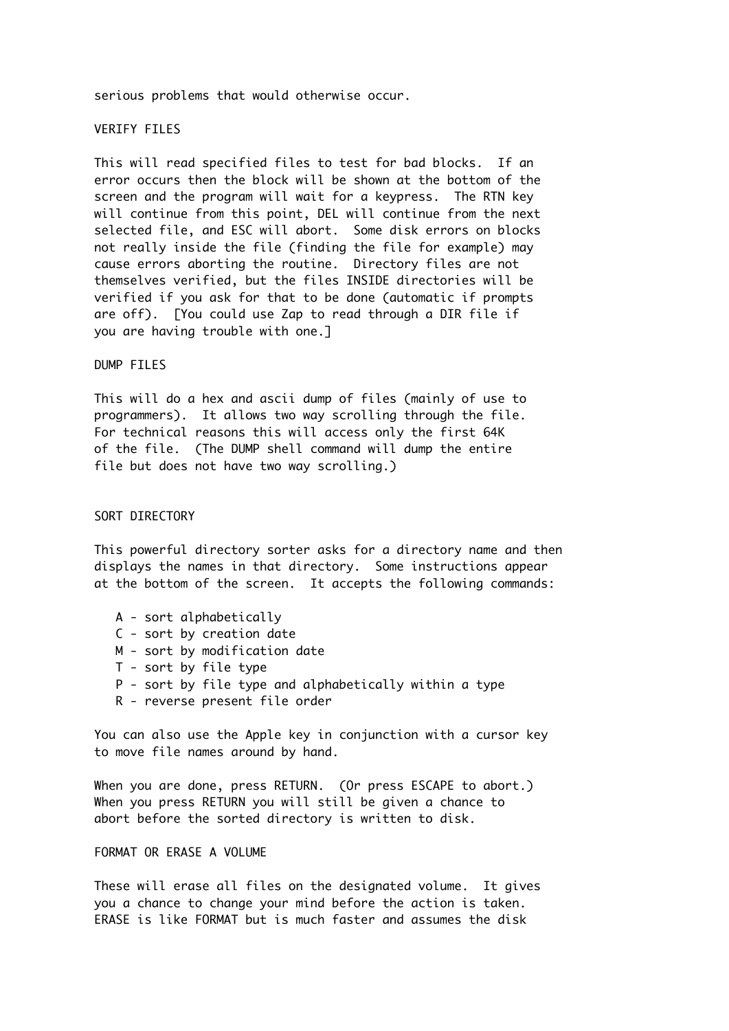serious problems that would otherwise occur.

## VERIFY FILES

This will read specified files to test for bad blocks. If an error occurs then the block will be shown at the bottom of the screen and the program will wait for a keypress. The RTN key will continue from this point, DEL will continue from the next selected file, and ESC will abort. Some disk errors on blocks not really inside the file (finding the file for example) may cause errors aborting the routine. Directory files are not themselves verified, but the files INSIDE directories will be verified if you ask for that to be done (automatic if prompts are off). [You could use Zap to read through a DIR file if you are having trouble with one.]

### DUMP FILES

This will do a hex and ascii dump of files (mainly of use to programmers). It allows two way scrolling through the file. For technical reasons this will access only the first 64K of the file. (The DUMP shell command will dump the entire file but does not have two way scrolling.)

### SORT DIRECTORY

This powerful directory sorter asks for a directory name and then displays the names in that directory. Some instructions appear at the bottom of the screen. It accepts the following commands:

- A sort alphabetically
- C sort by creation date
- M sort by modification date
- T sort by file type
- P sort by file type and alphabetically within a type
- R reverse present file order

You can also use the Apple key in conjunction with a cursor key to move file names around by hand.

When you are done, press RETURN. (Or press ESCAPE to abort.) When you press RETURN you will still be given a chance to abort before the sorted directory is written to disk.

## FORMAT OR ERASE A VOLUME

These will erase all files on the designated volume. It gives you a chance to change your mind before the action is taken. ERASE is like FORMAT but is much faster and assumes the disk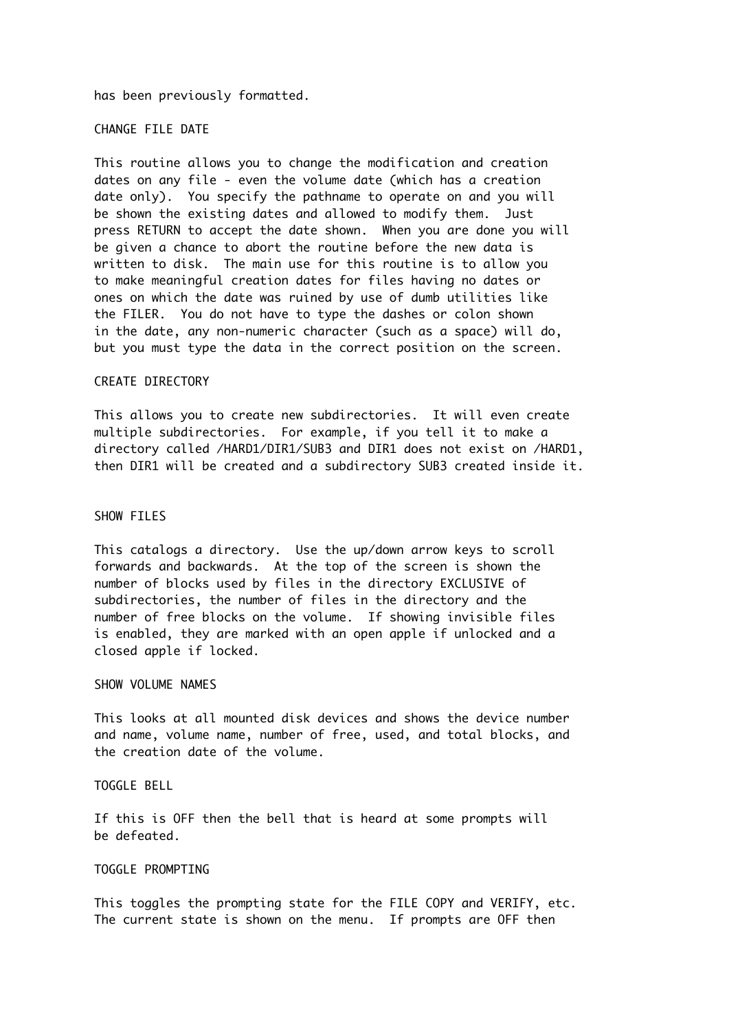has been previously formatted.

CHANGE FILE DATE

This routine allows you to change the modification and creation dates on any file - even the volume date (which has a creation date only). You specify the pathname to operate on and you will be shown the existing dates and allowed to modify them. Just press RETURN to accept the date shown. When you are done you will be given a chance to abort the routine before the new data is written to disk. The main use for this routine is to allow you to make meaningful creation dates for files having no dates or ones on which the date was ruined by use of dumb utilities like the FILER. You do not have to type the dashes or colon shown in the date, any non-numeric character (such as a space) will do, but you must type the data in the correct position on the screen.

### CREATE DIRECTORY

This allows you to create new subdirectories. It will even create multiple subdirectories. For example, if you tell it to make a directory called /HARD1/DIR1/SUB3 and DIR1 does not exist on /HARD1, then DIR1 will be created and a subdirectory SUB3 created inside it.

## SHOW FILES

This catalogs a directory. Use the up/down arrow keys to scroll forwards and backwards. At the top of the screen is shown the number of blocks used by files in the directory EXCLUSIVE of subdirectories, the number of files in the directory and the number of free blocks on the volume. If showing invisible files is enabled, they are marked with an open apple if unlocked and a closed apple if locked.

### SHOW VOLUME NAMES

This looks at all mounted disk devices and shows the device number and name, volume name, number of free, used, and total blocks, and the creation date of the volume.

## TOGGLE BELL

If this is OFF then the bell that is heard at some prompts will be defeated.

### TOGGLE PROMPTING

This toggles the prompting state for the FILE COPY and VERIFY, etc. The current state is shown on the menu. If prompts are OFF then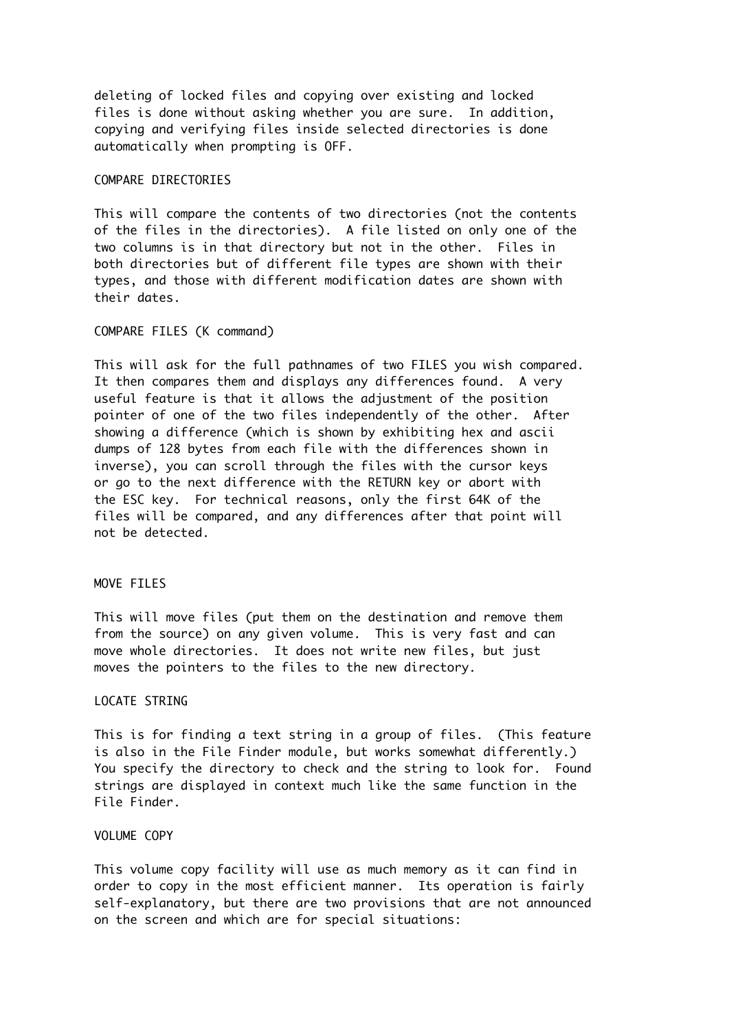deleting of locked files and copying over existing and locked files is done without asking whether you are sure. In addition, copying and verifying files inside selected directories is done automatically when prompting is OFF.

## COMPARE DIRECTORIES

This will compare the contents of two directories (not the contents of the files in the directories). A file listed on only one of the two columns is in that directory but not in the other. Files in both directories but of different file types are shown with their types, and those with different modification dates are shown with their dates.

## COMPARE FILES (K command)

This will ask for the full pathnames of two FILES you wish compared. It then compares them and displays any differences found. A very useful feature is that it allows the adjustment of the position pointer of one of the two files independently of the other. After showing a difference (which is shown by exhibiting hex and ascii dumps of 128 bytes from each file with the differences shown in inverse), you can scroll through the files with the cursor keys or go to the next difference with the RETURN key or abort with the ESC key. For technical reasons, only the first 64K of the files will be compared, and any differences after that point will not be detected.

# MOVE FILES

This will move files (put them on the destination and remove them from the source) on any given volume. This is very fast and can move whole directories. It does not write new files, but just moves the pointers to the files to the new directory.

### LOCATE STRING

This is for finding a text string in a group of files. (This feature is also in the File Finder module, but works somewhat differently.) You specify the directory to check and the string to look for. Found strings are displayed in context much like the same function in the File Finder.

### VOLUME COPY

This volume copy facility will use as much memory as it can find in order to copy in the most efficient manner. Its operation is fairly self-explanatory, but there are two provisions that are not announced on the screen and which are for special situations: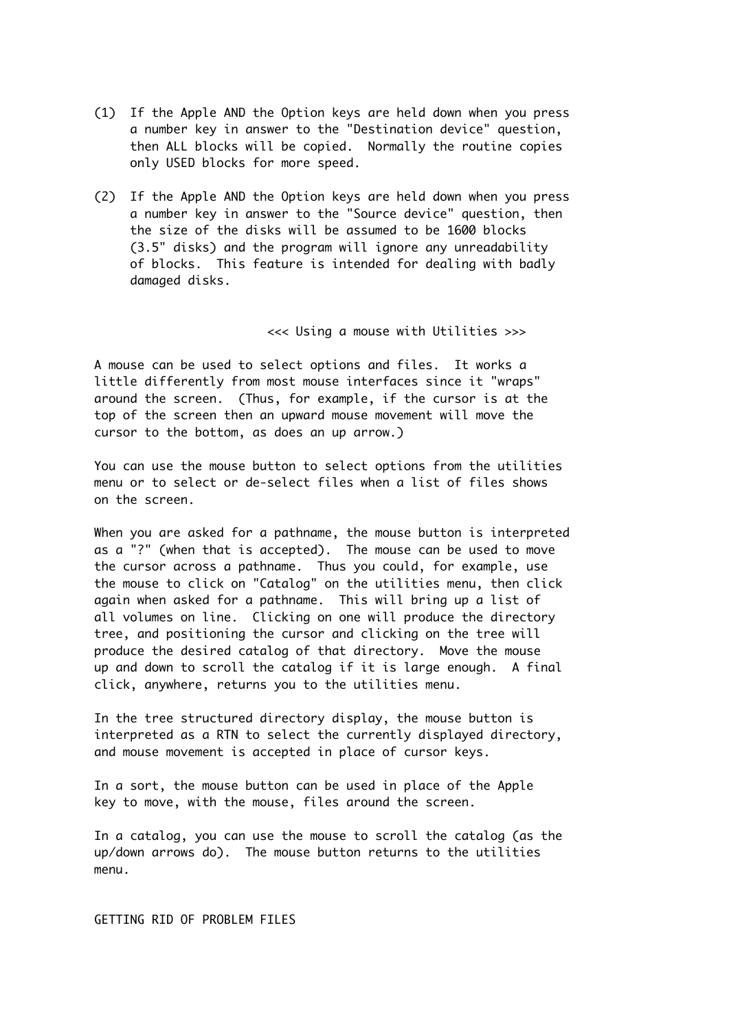- (1) If the Apple AND the Option keys are held down when you press a number key in answer to the "Destination device" question, then ALL blocks will be copied. Normally the routine copies only USED blocks for more speed.
- (2) If the Apple AND the Option keys are held down when you press a number key in answer to the "Source device" question, then the size of the disks will be assumed to be 1600 blocks (3.5" disks) and the program will ignore any unreadability of blocks. This feature is intended for dealing with badly damaged disks.

<<< Using a mouse with Utilities >>>

A mouse can be used to select options and files. It works a little differently from most mouse interfaces since it "wraps" around the screen. (Thus, for example, if the cursor is at the top of the screen then an upward mouse movement will move the cursor to the bottom, as does an up arrow.)

You can use the mouse button to select options from the utilities menu or to select or de-select files when a list of files shows on the screen.

When you are asked for a pathname, the mouse button is interpreted as a "?" (when that is accepted). The mouse can be used to move the cursor across a pathname. Thus you could, for example, use the mouse to click on "Catalog" on the utilities menu, then click again when asked for a pathname. This will bring up a list of all volumes on line. Clicking on one will produce the directory tree, and positioning the cursor and clicking on the tree will produce the desired catalog of that directory. Move the mouse up and down to scroll the catalog if it is large enough. A final click, anywhere, returns you to the utilities menu.

In the tree structured directory display, the mouse button is interpreted as a RTN to select the currently displayed directory, and mouse movement is accepted in place of cursor keys.

In a sort, the mouse button can be used in place of the Apple key to move, with the mouse, files around the screen.

In a catalog, you can use the mouse to scroll the catalog (as the up/down arrows do). The mouse button returns to the utilities menu.

GETTING RID OF PROBLEM FILES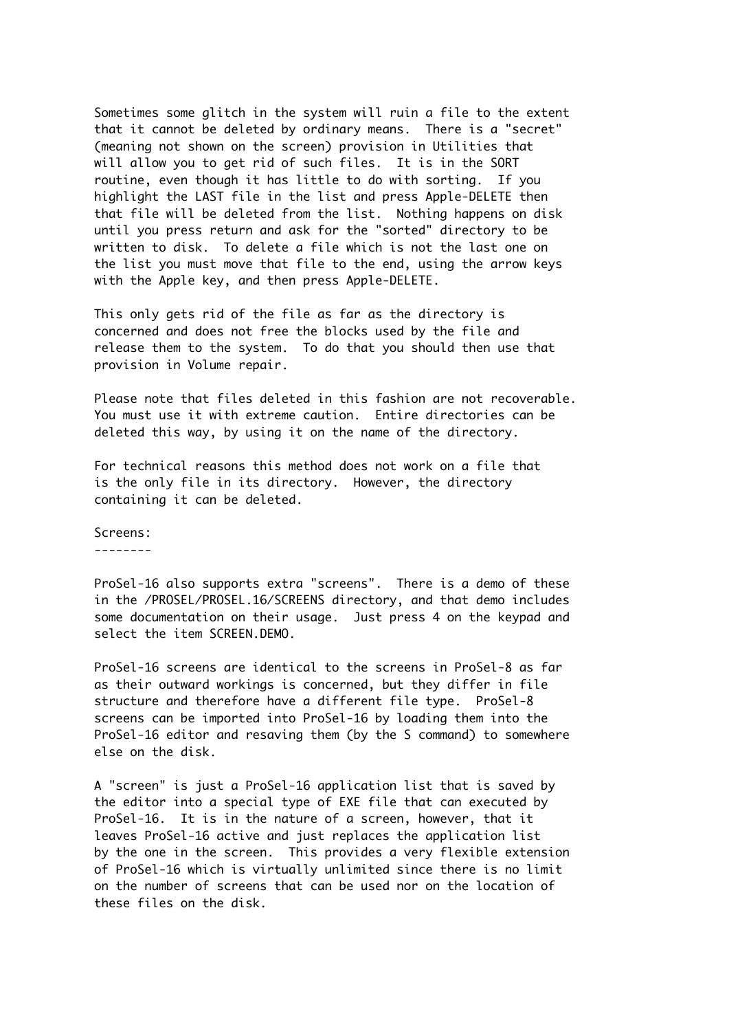Sometimes some glitch in the system will ruin a file to the extent that it cannot be deleted by ordinary means. There is a "secret" (meaning not shown on the screen) provision in Utilities that will allow you to get rid of such files. It is in the SORT routine, even though it has little to do with sorting. If you highlight the LAST file in the list and press Apple-DELETE then that file will be deleted from the list. Nothing happens on disk until you press return and ask for the "sorted" directory to be written to disk. To delete a file which is not the last one on the list you must move that file to the end, using the arrow keys with the Apple key, and then press Apple-DELETE.

This only gets rid of the file as far as the directory is concerned and does not free the blocks used by the file and release them to the system. To do that you should then use that provision in Volume repair.

Please note that files deleted in this fashion are not recoverable. You must use it with extreme caution. Entire directories can be deleted this way, by using it on the name of the directory.

For technical reasons this method does not work on a file that is the only file in its directory. However, the directory containing it can be deleted.

Screens:

--------

ProSel-16 also supports extra "screens". There is a demo of these in the /PROSEL/PROSEL.16/SCREENS directory, and that demo includes some documentation on their usage. Just press 4 on the keypad and select the item SCREEN.DEMO.

ProSel-16 screens are identical to the screens in ProSel-8 as far as their outward workings is concerned, but they differ in file structure and therefore have a different file type. ProSel-8 screens can be imported into ProSel-16 by loading them into the ProSel-16 editor and resaving them (by the S command) to somewhere else on the disk.

A "screen" is just a ProSel-16 application list that is saved by the editor into a special type of EXE file that can executed by ProSel-16. It is in the nature of a screen, however, that it leaves ProSel-16 active and just replaces the application list by the one in the screen. This provides a very flexible extension of ProSel-16 which is virtually unlimited since there is no limit on the number of screens that can be used nor on the location of these files on the disk.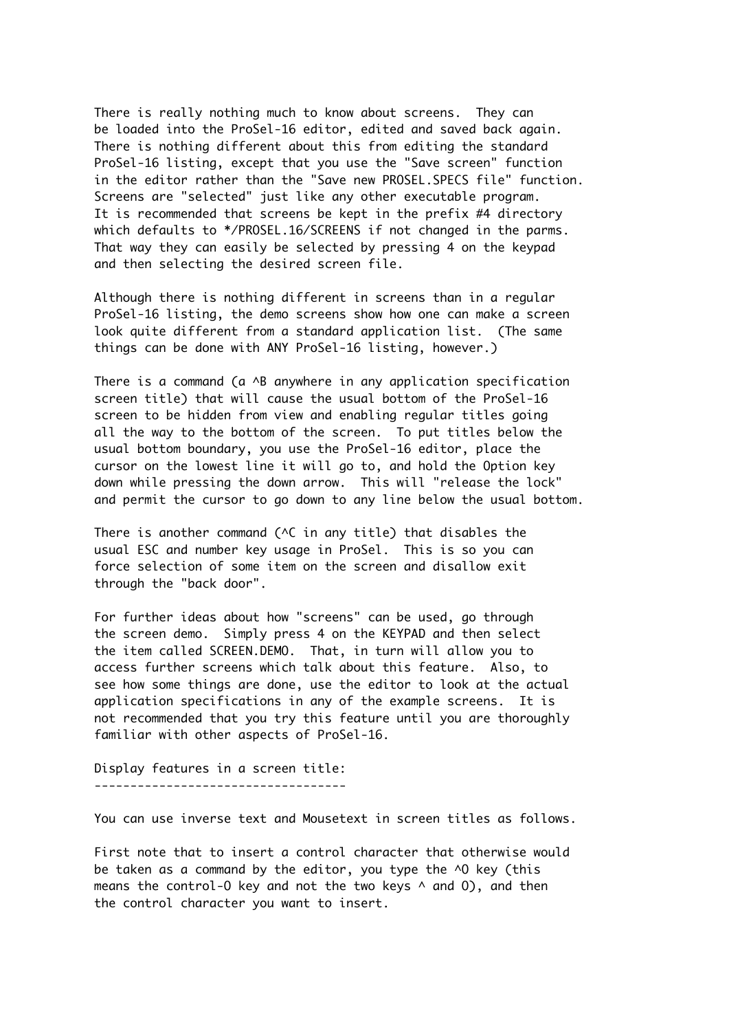There is really nothing much to know about screens. They can be loaded into the ProSel-16 editor, edited and saved back again. There is nothing different about this from editing the standard ProSel-16 listing, except that you use the "Save screen" function in the editor rather than the "Save new PROSEL.SPECS file" function. Screens are "selected" just like any other executable program. It is recommended that screens be kept in the prefix #4 directory which defaults to \*/PROSEL.16/SCREENS if not changed in the parms. That way they can easily be selected by pressing 4 on the keypad and then selecting the desired screen file.

Although there is nothing different in screens than in a regular ProSel-16 listing, the demo screens show how one can make a screen look quite different from a standard application list. (The same things can be done with ANY ProSel-16 listing, however.)

There is a command ( $a \wedge B$  anywhere in any application specification screen title) that will cause the usual bottom of the ProSel-16 screen to be hidden from view and enabling regular titles going all the way to the bottom of the screen. To put titles below the usual bottom boundary, you use the ProSel-16 editor, place the cursor on the lowest line it will go to, and hold the Option key down while pressing the down arrow. This will "release the lock" and permit the cursor to go down to any line below the usual bottom.

There is another command ( $\wedge$ C in any title) that disables the usual ESC and number key usage in ProSel. This is so you can force selection of some item on the screen and disallow exit through the "back door".

For further ideas about how "screens" can be used, go through the screen demo. Simply press 4 on the KEYPAD and then select the item called SCREEN.DEMO. That, in turn will allow you to access further screens which talk about this feature. Also, to see how some things are done, use the editor to look at the actual application specifications in any of the example screens. It is not recommended that you try this feature until you are thoroughly familiar with other aspects of ProSel-16.

Display features in a screen title: -----------------------------------

You can use inverse text and Mousetext in screen titles as follows.

First note that to insert a control character that otherwise would be taken as a command by the editor, you type the ^O key (this means the control-0 key and not the two keys  $\wedge$  and 0), and then the control character you want to insert.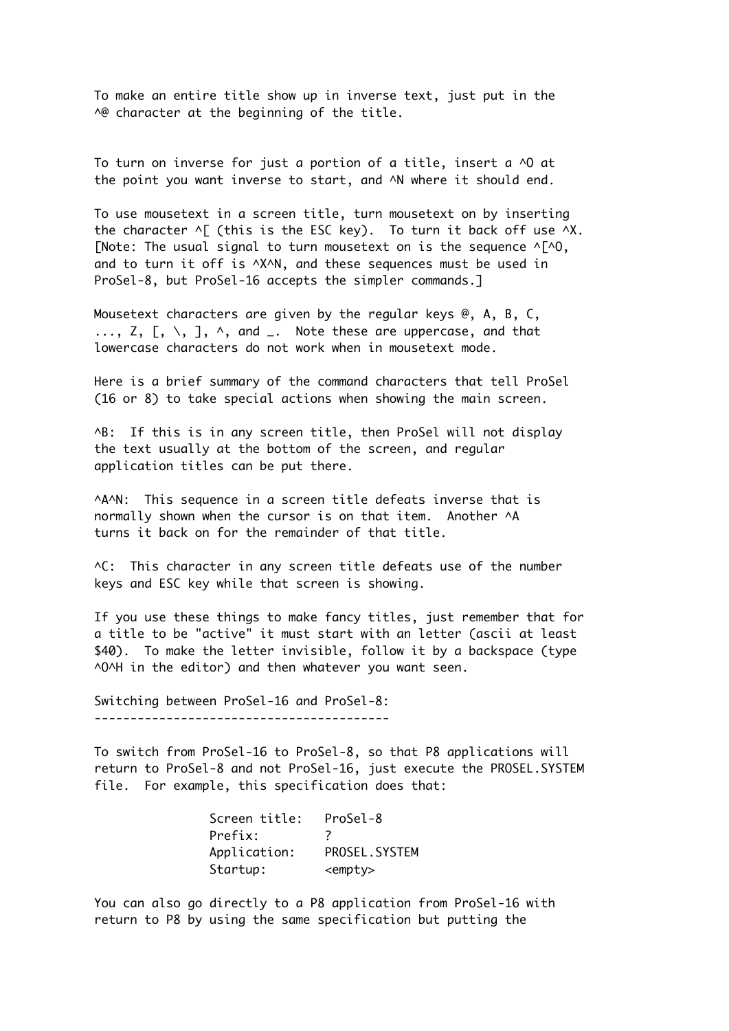To make an entire title show up in inverse text, just put in the A@ character at the beginning of the title.

To turn on inverse for just a portion of a title, insert a ^O at the point you want inverse to start, and ^N where it should end.

To use mousetext in a screen title, turn mousetext on by inserting the character  $\wedge$  [ (this is the ESC key). To turn it back off use  $\wedge$ X. [Note: The usual signal to turn mousetext on is the sequence  $\wedge$ [ $\wedge$ 0, and to turn it off is ^X^N, and these sequences must be used in ProSel-8, but ProSel-16 accepts the simpler commands.]

Mousetext characters are given by the regular keys @, A, B, C,  $\ldots$ , Z, [, \, ],  $\wedge$ , and  $\ldots$  Note these are uppercase, and that lowercase characters do not work when in mousetext mode.

Here is a brief summary of the command characters that tell ProSel (16 or 8) to take special actions when showing the main screen.

^B: If this is in any screen title, then ProSel will not display the text usually at the bottom of the screen, and regular application titles can be put there.

^A^N: This sequence in a screen title defeats inverse that is normally shown when the cursor is on that item. Another ^A turns it back on for the remainder of that title.

^C: This character in any screen title defeats use of the number keys and ESC key while that screen is showing.

If you use these things to make fancy titles, just remember that for a title to be "active" it must start with an letter (ascii at least \$40). To make the letter invisible, follow it by a backspace (type ^O^H in the editor) and then whatever you want seen.

Switching between ProSel-16 and ProSel-8: -----------------------------------------

To switch from ProSel-16 to ProSel-8, so that P8 applications will return to ProSel-8 and not ProSel-16, just execute the PROSEL.SYSTEM file. For example, this specification does that:

| Screen title: | ProSel-8        |
|---------------|-----------------|
| Prefix:       |                 |
| Application:  | PROSEL, SYSTEM  |
| Startup:      | <empty></empty> |

You can also go directly to a P8 application from ProSel-16 with return to P8 by using the same specification but putting the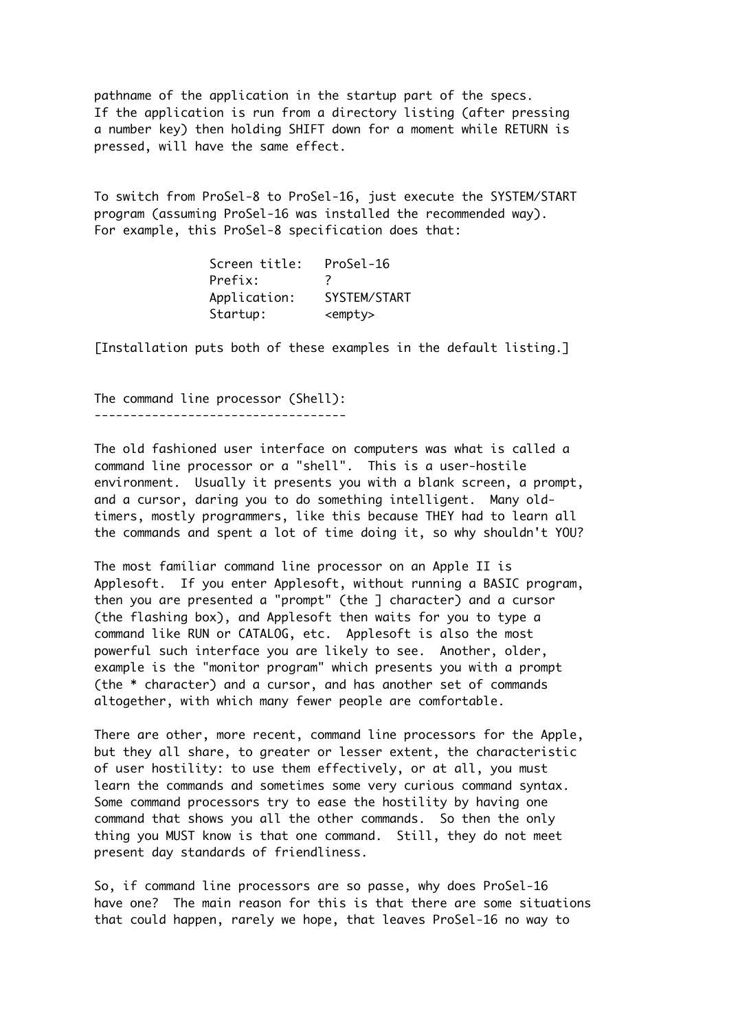pathname of the application in the startup part of the specs. If the application is run from a directory listing (after pressing a number key) then holding SHIFT down for a moment while RETURN is pressed, will have the same effect.

To switch from ProSel-8 to ProSel-16, just execute the SYSTEM/START program (assuming ProSel-16 was installed the recommended way). For example, this ProSel-8 specification does that:

> Screen title: ProSel-16 Prefix: ? Application: SYSTEM/START Startup: <empty>

[Installation puts both of these examples in the default listing.]

The command line processor (Shell): -----------------------------------

The old fashioned user interface on computers was what is called a command line processor or a "shell". This is a user-hostile environment. Usually it presents you with a blank screen, a prompt, and a cursor, daring you to do something intelligent. Many oldtimers, mostly programmers, like this because THEY had to learn all the commands and spent a lot of time doing it, so why shouldn't YOU?

The most familiar command line processor on an Apple II is Applesoft. If you enter Applesoft, without running a BASIC program, then you are presented a "prompt" (the ] character) and a cursor (the flashing box), and Applesoft then waits for you to type a command like RUN or CATALOG, etc. Applesoft is also the most powerful such interface you are likely to see. Another, older, example is the "monitor program" which presents you with a prompt (the \* character) and a cursor, and has another set of commands altogether, with which many fewer people are comfortable.

There are other, more recent, command line processors for the Apple, but they all share, to greater or lesser extent, the characteristic of user hostility: to use them effectively, or at all, you must learn the commands and sometimes some very curious command syntax. Some command processors try to ease the hostility by having one command that shows you all the other commands. So then the only thing you MUST know is that one command. Still, they do not meet present day standards of friendliness.

So, if command line processors are so passe, why does ProSel-16 have one? The main reason for this is that there are some situations that could happen, rarely we hope, that leaves ProSel-16 no way to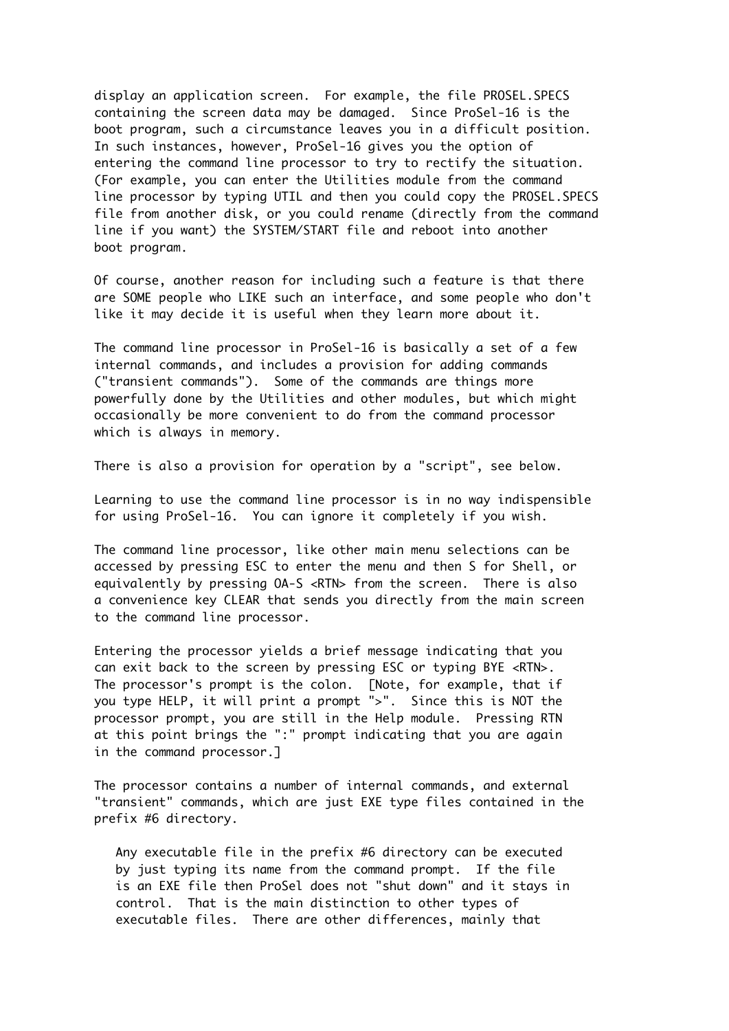display an application screen. For example, the file PROSEL.SPECS containing the screen data may be damaged. Since ProSel-16 is the boot program, such a circumstance leaves you in a difficult position. In such instances, however, ProSel-16 gives you the option of entering the command line processor to try to rectify the situation. (For example, you can enter the Utilities module from the command line processor by typing UTIL and then you could copy the PROSEL.SPECS file from another disk, or you could rename (directly from the command line if you want) the SYSTEM/START file and reboot into another boot program.

Of course, another reason for including such a feature is that there are SOME people who LIKE such an interface, and some people who don't like it may decide it is useful when they learn more about it.

The command line processor in ProSel-16 is basically a set of a few internal commands, and includes a provision for adding commands ("transient commands"). Some of the commands are things more powerfully done by the Utilities and other modules, but which might occasionally be more convenient to do from the command processor which is always in memory.

There is also a provision for operation by a "script", see below.

Learning to use the command line processor is in no way indispensible for using ProSel-16. You can ignore it completely if you wish.

The command line processor, like other main menu selections can be accessed by pressing ESC to enter the menu and then S for Shell, or equivalently by pressing OA-S <RTN> from the screen. There is also a convenience key CLEAR that sends you directly from the main screen to the command line processor.

Entering the processor yields a brief message indicating that you can exit back to the screen by pressing ESC or typing BYE <RTN>. The processor's prompt is the colon. [Note, for example, that if you type HELP, it will print a prompt ">". Since this is NOT the processor prompt, you are still in the Help module. Pressing RTN at this point brings the ":" prompt indicating that you are again in the command processor.]

The processor contains a number of internal commands, and external "transient" commands, which are just EXE type files contained in the prefix #6 directory.

 Any executable file in the prefix #6 directory can be executed by just typing its name from the command prompt. If the file is an EXE file then ProSel does not "shut down" and it stays in control. That is the main distinction to other types of executable files. There are other differences, mainly that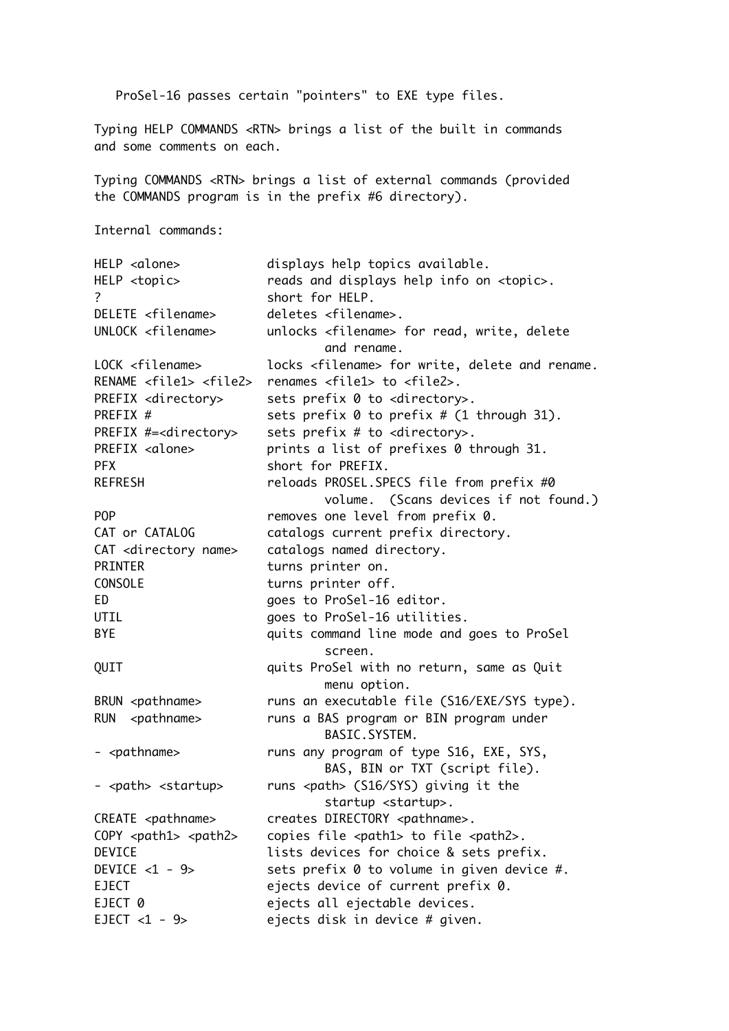ProSel-16 passes certain "pointers" to EXE type files.

Typing HELP COMMANDS <RTN> brings a list of the built in commands and some comments on each.

Typing COMMANDS <RTN> brings a list of external commands (provided the COMMANDS program is in the prefix #6 directory).

Internal commands:

HELP <alone> displays help topics available. HELP <topic> reads and displays help info on <topic>. ? short for HELP. DELETE <filename> deletes <filename>. UNLOCK <filename> unlocks <filename> for read, write, delete and rename. LOCK <filename>
locks <filename>
for write, delete and rename. RENAME <file1> <file2> renames <file1> to <file2>. PREFIX <directory>
sets prefix 0 to <directory>. PREFIX  $#$  sets prefix  $\emptyset$  to prefix  $\#$  (1 through 31). PREFIX #=<directory> sets prefix # to <directory>. PREFIX <alone> prints a list of prefixes 0 through 31. PFX short for PREFIX. REFRESH reloads PROSEL.SPECS file from prefix #0 volume. (Scans devices if not found.) POP removes one level from prefix 0. CAT or CATALOG catalogs current prefix directory. CAT <directory name> catalogs named directory. PRINTER turns printer on. CONSOLE turns printer off. ED goes to ProSel-16 editor. UTIL Goes to ProSel-16 utilities. BYE **Example 20** and going the mode and goes to ProSel screen. QUIT quits ProSel with no return, same as Quit menu option. BRUN <pathname> runs an executable file (S16/EXE/SYS type). RUN <pathname> runs a BAS program or BIN program under BASIC.SYSTEM. - <pathname> runs any program of type S16, EXE, SYS, BAS, BIN or TXT (script file). - <path> <startup> runs <path> (S16/SYS) giving it the startup <startup>. CREATE <pathname> creates DIRECTORY <pathname>. COPY <path1> <path2> copies file <path1> to file <path2>. DEVICE lists devices for choice & sets prefix. DEVICE <1 - 9> sets prefix 0 to volume in given device #. EJECT ejects device of current prefix 0. EJECT 0 ejects all ejectable devices. EJECT  $<1$  - 9> ejects disk in device # given.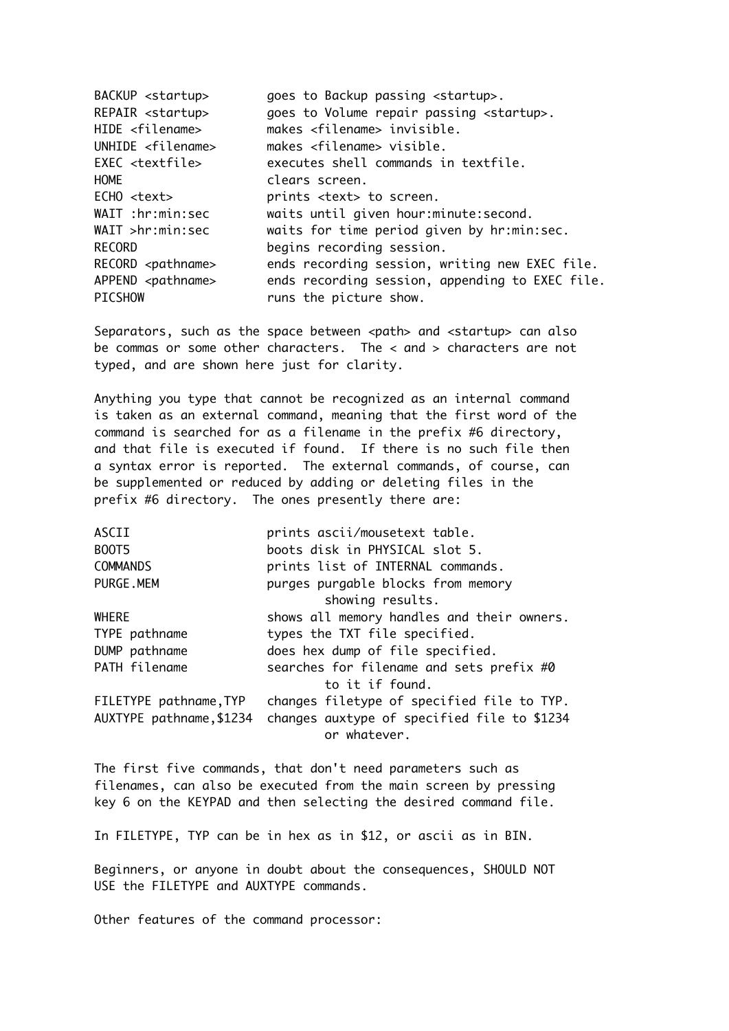| BACKUP <startup></startup>   | goes to Backup passing <startup>.</startup>        |
|------------------------------|----------------------------------------------------|
| REPAIR <startup></startup>   | goes to Volume repair passing <startup>.</startup> |
| HIDE <filename></filename>   | makes <filename> invisible.</filename>             |
| UNHIDE $\le$ filename>       | makes $\langle$ filename> visible.                 |
| EXEC <textfile></textfile>   | executes shell commands in textfile.               |
| <b>HOME</b>                  | clears screen.                                     |
| ECHO <text></text>           | prints <text> to screen.</text>                    |
| WAIT :hr:min:sec             | waits until given hour:minute:second.              |
| WAIT >hr:min:sec             | waits for time period given by hr:min:sec.         |
| <b>RECORD</b>                | begins recording session.                          |
| RECORD <pathname></pathname> | ends recording session, writing new EXEC file.     |
| APPEND <pathname></pathname> | ends recording session, appending to EXEC file.    |
| <b>PICSHOW</b>               | runs the picture show.                             |
|                              |                                                    |

Separators, such as the space between <path> and <startup> can also be commas or some other characters. The < and > characters are not typed, and are shown here just for clarity.

Anything you type that cannot be recognized as an internal command is taken as an external command, meaning that the first word of the command is searched for as a filename in the prefix #6 directory, and that file is executed if found. If there is no such file then a syntax error is reported. The external commands, of course, can be supplemented or reduced by adding or deleting files in the prefix #6 directory. The ones presently there are:

| ASCII                    | prints ascii/mousetext table.               |
|--------------------------|---------------------------------------------|
| <b>BOOT5</b>             | boots disk in PHYSICAL slot 5.              |
| <b>COMMANDS</b>          | prints list of INTERNAL commands.           |
| PURGE.MEM                | purges purgable blocks from memory          |
|                          | showing results.                            |
| WHERE                    | shows all memory handles and their owners.  |
| TYPE pathname            | types the TXT file specified.               |
| DUMP pathname            | does hex dump of file specified.            |
| PATH filename            | searches for filename and sets prefix #0    |
|                          | to it if found.                             |
| FILETYPE pathname, TYP   | changes filetype of specified file to TYP.  |
| AUXTYPE pathname, \$1234 | changes auxtype of specified file to \$1234 |
|                          | or whatever.                                |

The first five commands, that don't need parameters such as filenames, can also be executed from the main screen by pressing key 6 on the KEYPAD and then selecting the desired command file.

In FILETYPE, TYP can be in hex as in \$12, or ascii as in BIN.

Beginners, or anyone in doubt about the consequences, SHOULD NOT USE the FILETYPE and AUXTYPE commands.

Other features of the command processor: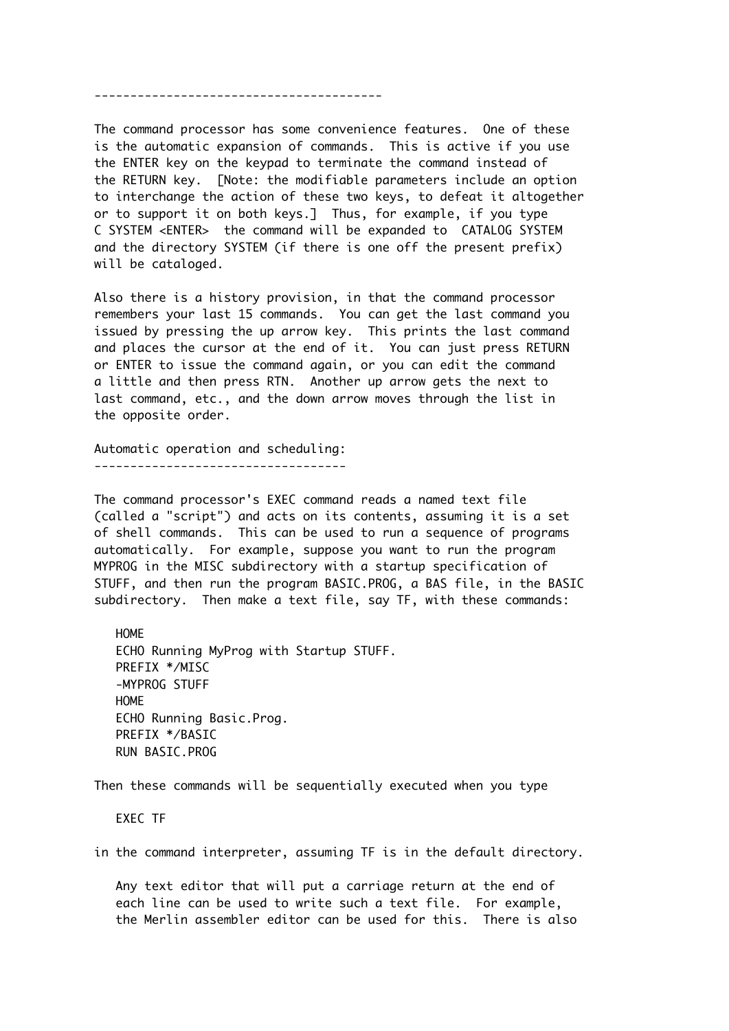----------------------------------------

The command processor has some convenience features. One of these is the automatic expansion of commands. This is active if you use the ENTER key on the keypad to terminate the command instead of the RETURN key. [Note: the modifiable parameters include an option to interchange the action of these two keys, to defeat it altogether or to support it on both keys.] Thus, for example, if you type C SYSTEM <ENTER> the command will be expanded to CATALOG SYSTEM and the directory SYSTEM (if there is one off the present prefix) will be cataloged.

Also there is a history provision, in that the command processor remembers your last 15 commands. You can get the last command you issued by pressing the up arrow key. This prints the last command and places the cursor at the end of it. You can just press RETURN or ENTER to issue the command again, or you can edit the command a little and then press RTN. Another up arrow gets the next to last command, etc., and the down arrow moves through the list in the opposite order.

Automatic operation and scheduling: -----------------------------------

The command processor's EXEC command reads a named text file (called a "script") and acts on its contents, assuming it is a set of shell commands. This can be used to run a sequence of programs automatically. For example, suppose you want to run the program MYPROG in the MISC subdirectory with a startup specification of STUFF, and then run the program BASIC.PROG, a BAS file, in the BASIC subdirectory. Then make a text file, say TF, with these commands:

 HOME ECHO Running MyProg with Startup STUFF. PREFIX \*/MISC -MYPROG STUFF HOME ECHO Running Basic.Prog. PREFIX \*/BASIC RUN BASIC.PROG

Then these commands will be sequentially executed when you type

EXEC TF

in the command interpreter, assuming TF is in the default directory.

 Any text editor that will put a carriage return at the end of each line can be used to write such a text file. For example, the Merlin assembler editor can be used for this. There is also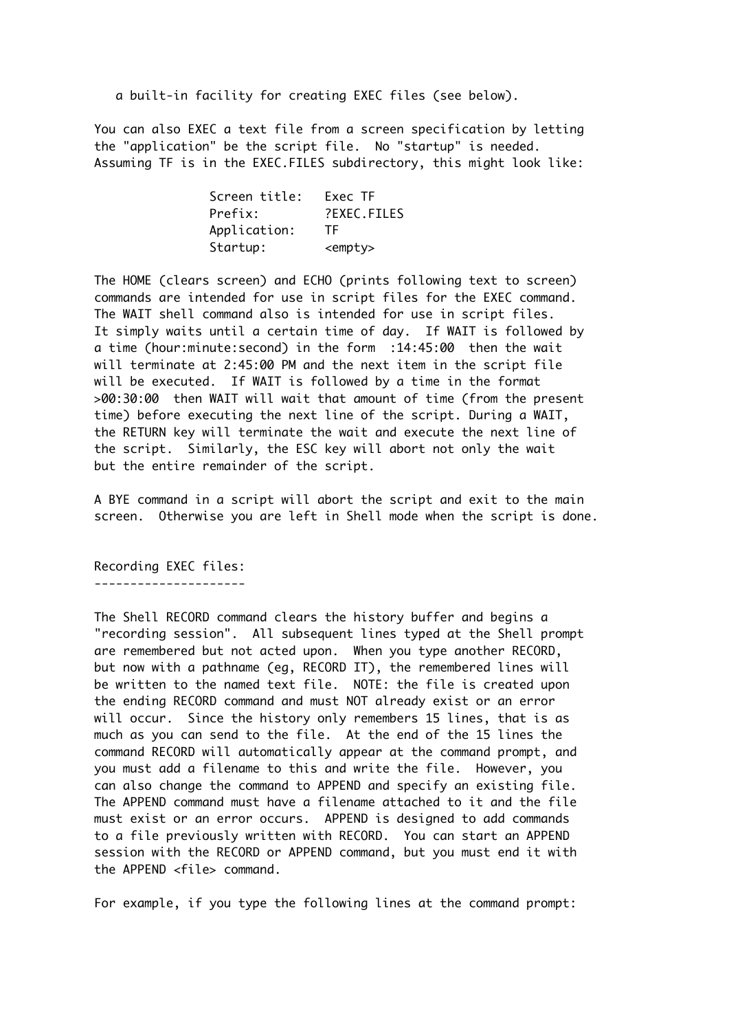a built-in facility for creating EXEC files (see below).

You can also EXEC a text file from a screen specification by letting the "application" be the script file. No "startup" is needed. Assuming TF is in the EXEC.FILES subdirectory, this might look like:

| Screen title: | Exec TF         |
|---------------|-----------------|
| Prefix:       | ?EXEC.FILES     |
| Application:  | TF.             |
| Startup:      | <empty></empty> |

The HOME (clears screen) and ECHO (prints following text to screen) commands are intended for use in script files for the EXEC command. The WAIT shell command also is intended for use in script files. It simply waits until a certain time of day. If WAIT is followed by a time (hour:minute:second) in the form :14:45:00 then the wait will terminate at 2:45:00 PM and the next item in the script file will be executed. If WAIT is followed by a time in the format >00:30:00 then WAIT will wait that amount of time (from the present time) before executing the next line of the script. During a WAIT, the RETURN key will terminate the wait and execute the next line of the script. Similarly, the ESC key will abort not only the wait but the entire remainder of the script.

A BYE command in a script will abort the script and exit to the main screen. Otherwise you are left in Shell mode when the script is done.

Recording EXEC files: ---------------------

The Shell RECORD command clears the history buffer and begins a "recording session". All subsequent lines typed at the Shell prompt are remembered but not acted upon. When you type another RECORD, but now with a pathname (eg, RECORD IT), the remembered lines will be written to the named text file. NOTE: the file is created upon the ending RECORD command and must NOT already exist or an error will occur. Since the history only remembers 15 lines, that is as much as you can send to the file. At the end of the 15 lines the command RECORD will automatically appear at the command prompt, and you must add a filename to this and write the file. However, you can also change the command to APPEND and specify an existing file. The APPEND command must have a filename attached to it and the file must exist or an error occurs. APPEND is designed to add commands to a file previously written with RECORD. You can start an APPEND session with the RECORD or APPEND command, but you must end it with the APPEND <file> command.

For example, if you type the following lines at the command prompt: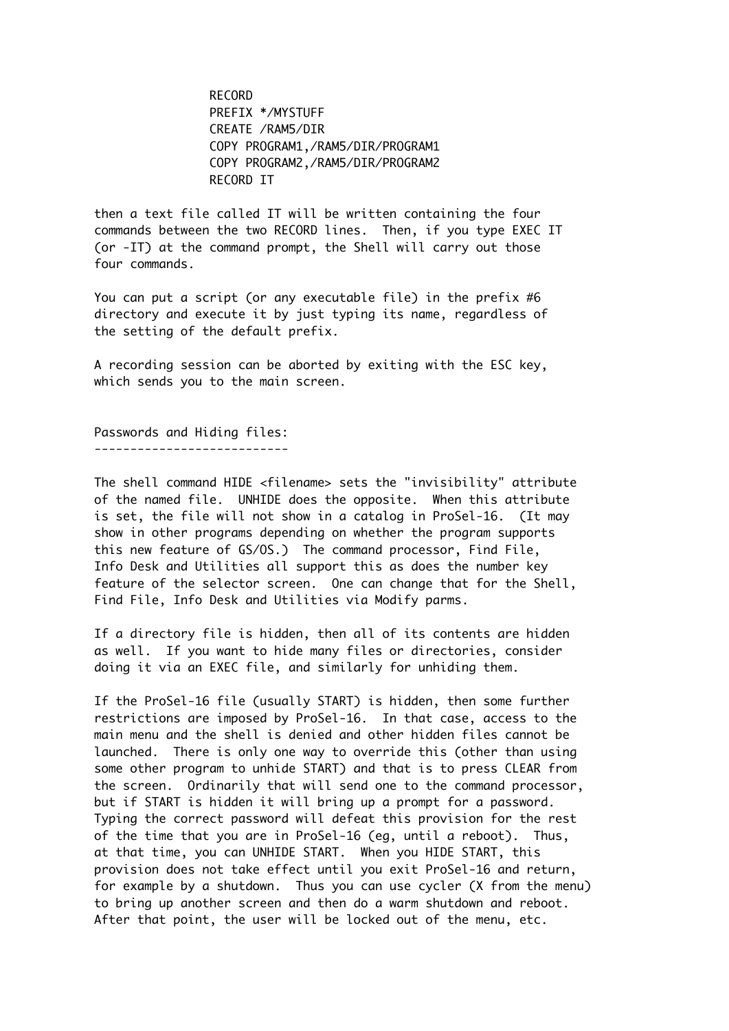RECORD PREFIX \*/MYSTUFF CREATE /RAM5/DIR COPY PROGRAM1,/RAM5/DIR/PROGRAM1 COPY PROGRAM2,/RAM5/DIR/PROGRAM2 RECORD IT

then a text file called IT will be written containing the four commands between the two RECORD lines. Then, if you type EXEC IT (or -IT) at the command prompt, the Shell will carry out those four commands.

You can put a script (or any executable file) in the prefix #6 directory and execute it by just typing its name, regardless of the setting of the default prefix.

A recording session can be aborted by exiting with the ESC key, which sends you to the main screen.

Passwords and Hiding files: ---------------------------

The shell command HIDE <filename> sets the "invisibility" attribute of the named file. UNHIDE does the opposite. When this attribute is set, the file will not show in a catalog in ProSel-16. (It may show in other programs depending on whether the program supports this new feature of GS/OS.) The command processor, Find File, Info Desk and Utilities all support this as does the number key feature of the selector screen. One can change that for the Shell, Find File, Info Desk and Utilities via Modify parms.

If a directory file is hidden, then all of its contents are hidden as well. If you want to hide many files or directories, consider doing it via an EXEC file, and similarly for unhiding them.

If the ProSel-16 file (usually START) is hidden, then some further restrictions are imposed by ProSel-16. In that case, access to the main menu and the shell is denied and other hidden files cannot be launched. There is only one way to override this (other than using some other program to unhide START) and that is to press CLEAR from the screen. Ordinarily that will send one to the command processor, but if START is hidden it will bring up a prompt for a password. Typing the correct password will defeat this provision for the rest of the time that you are in ProSel-16 (eg, until a reboot). Thus, at that time, you can UNHIDE START. When you HIDE START, this provision does not take effect until you exit ProSel-16 and return, for example by a shutdown. Thus you can use cycler (X from the menu) to bring up another screen and then do a warm shutdown and reboot. After that point, the user will be locked out of the menu, etc.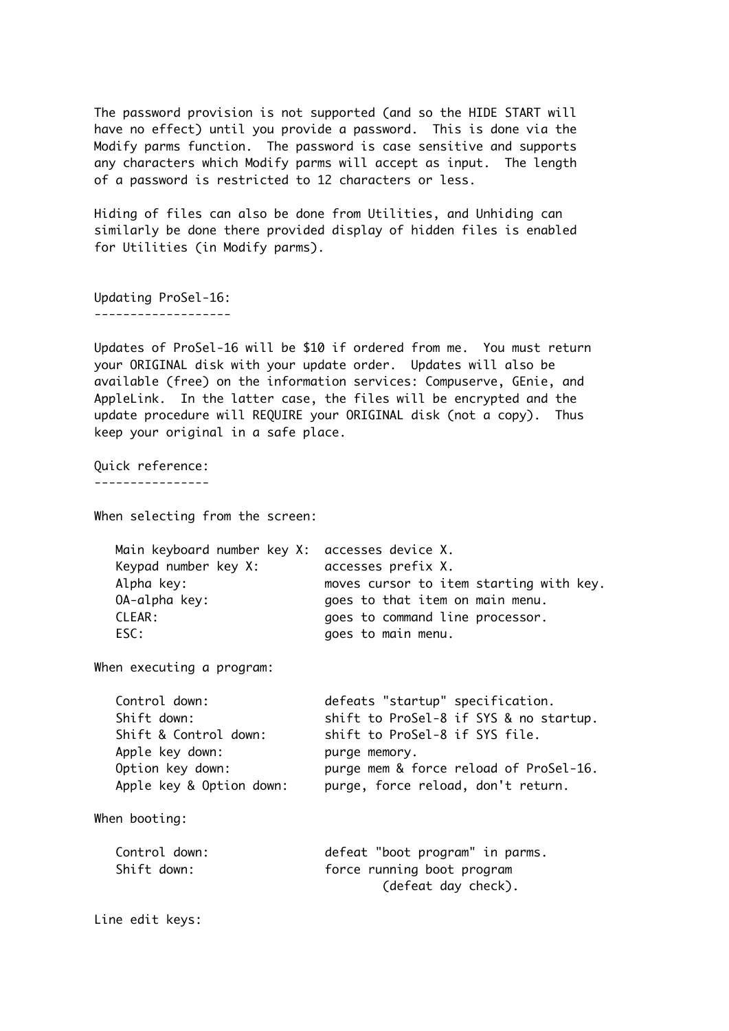The password provision is not supported (and so the HIDE START will have no effect) until you provide a password. This is done via the Modify parms function. The password is case sensitive and supports any characters which Modify parms will accept as input. The length of a password is restricted to 12 characters or less.

Hiding of files can also be done from Utilities, and Unhiding can similarly be done there provided display of hidden files is enabled for Utilities (in Modify parms).

Updating ProSel-16: -------------------

Updates of ProSel-16 will be \$10 if ordered from me. You must return your ORIGINAL disk with your update order. Updates will also be available (free) on the information services: Compuserve, GEnie, and AppleLink. In the latter case, the files will be encrypted and the update procedure will REQUIRE your ORIGINAL disk (not a copy). Thus keep your original in a safe place.

Quick reference: ----------------

When selecting from the screen:

| Main keyboard number key X: accesses device X. |                                         |
|------------------------------------------------|-----------------------------------------|
| Keypad number key X:                           | accesses prefix X.                      |
| Alpha key:                                     | moves cursor to item starting with key. |
| OA-alpha key:                                  | goes to that item on main menu.         |
| CLEAR:                                         | goes to command line processor.         |
| ESC:                                           | goes to main menu.                      |
|                                                |                                         |

When executing a program:

| Control down:            | defeats "startup" specification.       |
|--------------------------|----------------------------------------|
| Shift down:              | shift to ProSel-8 if SYS & no startup. |
| Shift & Control down:    | shift to ProSel-8 if SYS file.         |
| Apple key down:          | purge memory.                          |
| Option key down:         | purge mem & force reload of ProSel-16. |
| Apple key & Option down: | purge, force reload, don't return.     |
|                          |                                        |

When booting:

| Control down: | defeat "boot program" in parms. |
|---------------|---------------------------------|
| Shift down:   | force running boot program      |
|               | (defeat day check).             |

Line edit keys: